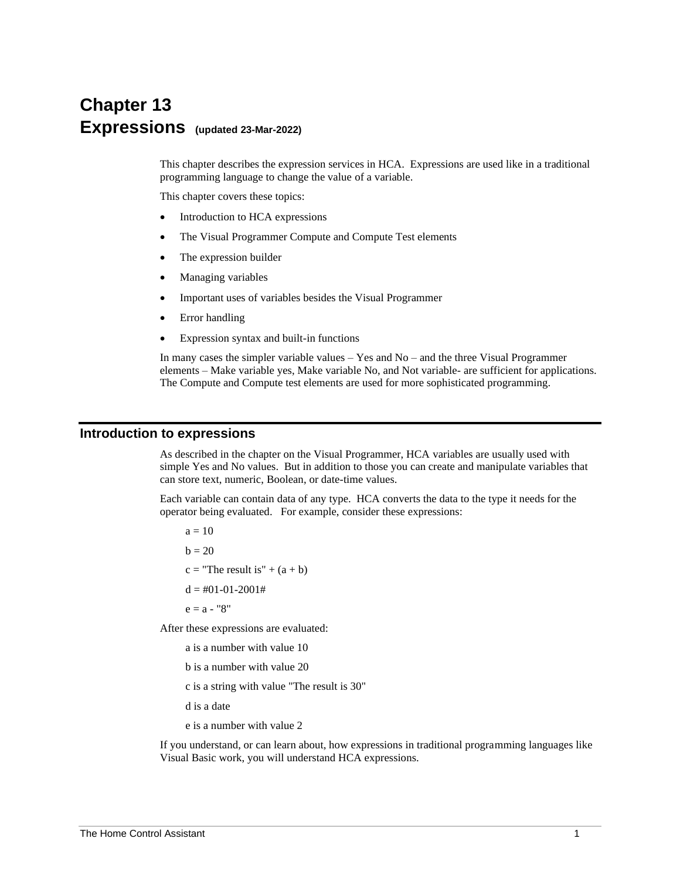# **Chapter 13 Expressions (updated 23-Mar-2022)**

This chapter describes the expression services in HCA. Expressions are used like in a traditional programming language to change the value of a variable.

This chapter covers these topics:

- Introduction to HCA expressions
- The Visual Programmer Compute and Compute Test elements
- The expression builder
- Managing variables
- Important uses of variables besides the Visual Programmer
- Error handling
- Expression syntax and built-in functions

In many cases the simpler variable values – Yes and No – and the three Visual Programmer elements – Make variable yes, Make variable No, and Not variable- are sufficient for applications. The Compute and Compute test elements are used for more sophisticated programming.

#### **Introduction to expressions**

As described in the chapter on the Visual Programmer, HCA variables are usually used with simple Yes and No values. But in addition to those you can create and manipulate variables that can store text, numeric, Boolean, or date-time values.

Each variable can contain data of any type. HCA converts the data to the type it needs for the operator being evaluated. For example, consider these expressions:

 $a = 10$  $b = 20$  $c =$  "The result is" +  $(a + b)$  $d = #01-01-2001#$ 

 $e = a - "8"$ 

After these expressions are evaluated:

- a is a number with value 10
- b is a number with value 20
- c is a string with value "The result is 30"
- d is a date
- e is a number with value 2

If you understand, or can learn about, how expressions in traditional programming languages like Visual Basic work, you will understand HCA expressions.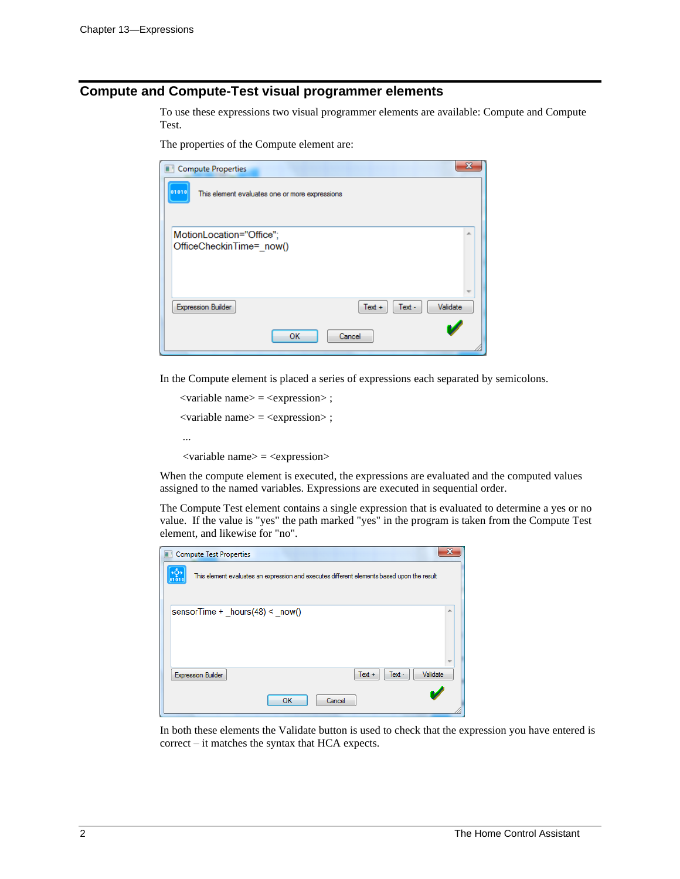### **Compute and Compute-Test visual programmer elements**

To use these expressions two visual programmer elements are available: Compute and Compute Test.

The properties of the Compute element are:

| <b>Compute Properties</b>                            |                                                |                    |          |
|------------------------------------------------------|------------------------------------------------|--------------------|----------|
| 01010                                                | This element evaluates one or more expressions |                    |          |
| MotionLocation="Office";<br>OfficeCheckinTime=_now() |                                                |                    | 土        |
| <b>Expression Builder</b>                            |                                                | Text -<br>$Text +$ | Validate |
|                                                      | OК                                             | Cancel             |          |

In the Compute element is placed a series of expressions each separated by semicolons.

```
<variable name> = <expression> ;
<variable name> = <expression> ;
...
<variable name> = <expression>
```
When the compute element is executed, the expressions are evaluated and the computed values assigned to the named variables. Expressions are executed in sequential order.

The Compute Test element contains a single expression that is evaluated to determine a yes or no value. If the value is "yes" the path marked "yes" in the program is taken from the Compute Test element, and likewise for "no".

| <b>Compute Test Properties</b>   |    |                                                                                            |          |
|----------------------------------|----|--------------------------------------------------------------------------------------------|----------|
| →Q→<br>01010                     |    | This element evaluates an expression and executes different elements based upon the result |          |
| sensorTime + $hours(48) < now()$ |    |                                                                                            | Ä        |
|                                  |    |                                                                                            |          |
|                                  |    |                                                                                            |          |
| <b>Expression Builder</b>        |    | $Text +$<br>Text -                                                                         | Validate |
|                                  | OK | Cancel                                                                                     |          |

In both these elements the Validate button is used to check that the expression you have entered is correct – it matches the syntax that HCA expects.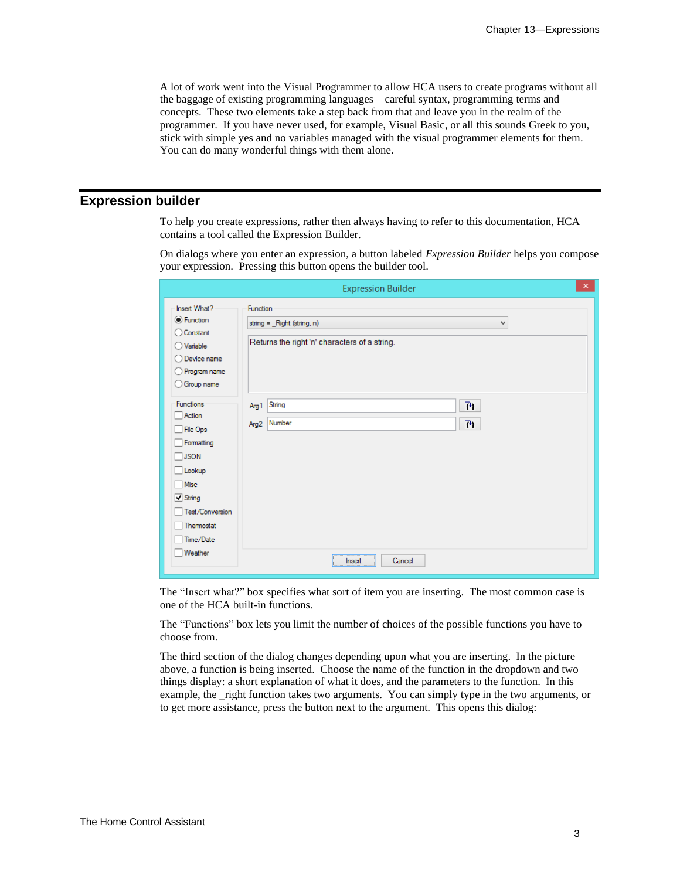A lot of work went into the Visual Programmer to allow HCA users to create programs without all the baggage of existing programming languages – careful syntax, programming terms and concepts. These two elements take a step back from that and leave you in the realm of the programmer. If you have never used, for example, Visual Basic, or all this sounds Greek to you, stick with simple yes and no variables managed with the visual programmer elements for them. You can do many wonderful things with them alone.

#### **Expression builder**

To help you create expressions, rather then always having to refer to this documentation, HCA contains a tool called the Expression Builder.

On dialogs where you enter an expression, a button labeled *Expression Builder* helps you compose your expression. Pressing this button opens the builder tool.

|                                                                                                                                                                   | <b>Expression Builder</b>                                                                     | $\mathsf{x}$ |
|-------------------------------------------------------------------------------------------------------------------------------------------------------------------|-----------------------------------------------------------------------------------------------|--------------|
| Insert What?<br><b>O</b> Function<br>◯ Constant<br>Variable<br>Device name<br>O Program name<br>Group name                                                        | Function<br>string = _Right (string, n)<br>v<br>Returns the right 'n' characters of a string. |              |
| Functions<br>Action<br>File Ops<br>Formatting<br>$\Box$ JSON<br>Lookup<br>$\Box$ Misc<br>$\boxed{\checkmark}$ String<br>Test/Conversion<br>Themostat<br>Time/Date | $\overline{\mathcal{P}}$<br>String<br>Arg 1<br>79<br>Number<br>Arg2                           |              |
| Weather                                                                                                                                                           | ,,,,,,,,,,,,,,,,,,,,,,,,,,,,,,,,<br>Cancel<br>Insert                                          |              |

The "Insert what?" box specifies what sort of item you are inserting. The most common case is one of the HCA built-in functions.

The "Functions" box lets you limit the number of choices of the possible functions you have to choose from.

The third section of the dialog changes depending upon what you are inserting. In the picture above, a function is being inserted. Choose the name of the function in the dropdown and two things display: a short explanation of what it does, and the parameters to the function. In this example, the right function takes two arguments. You can simply type in the two arguments, or to get more assistance, press the button next to the argument. This opens this dialog: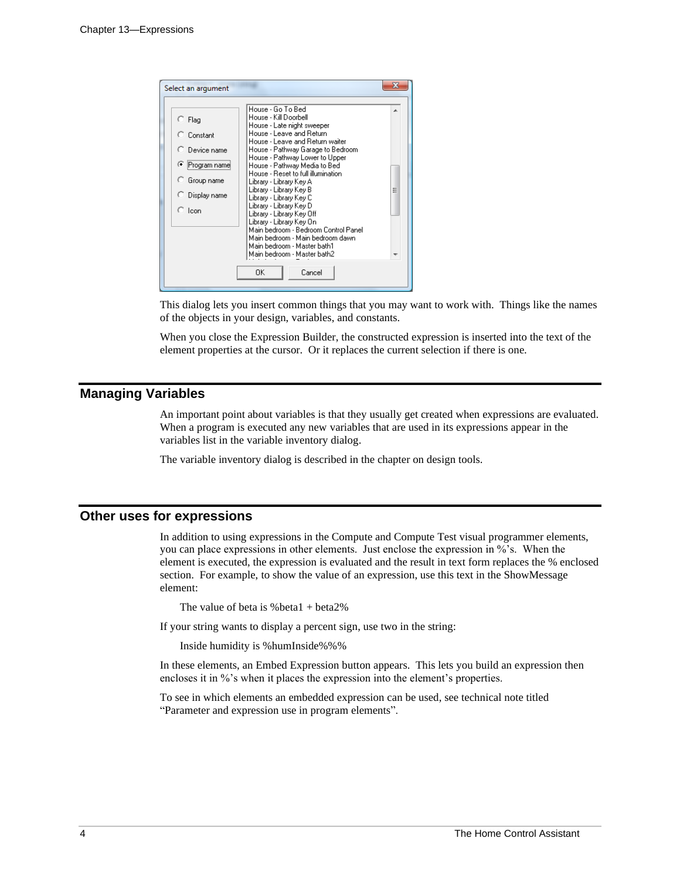| Select an argument                                                                                          |                                                                                                                                                                                                                                                                                                                                                                                                                                                                                                                                                                                                     |   |
|-------------------------------------------------------------------------------------------------------------|-----------------------------------------------------------------------------------------------------------------------------------------------------------------------------------------------------------------------------------------------------------------------------------------------------------------------------------------------------------------------------------------------------------------------------------------------------------------------------------------------------------------------------------------------------------------------------------------------------|---|
| $\subset$ Flag<br>C Constant<br>C Device name<br>C Program name<br>○ Group name<br>○ Display name<br>O Icon | House - Go To Bed<br>House - Kill Doorbell<br>House - Late night sweeper<br>House - Leave and Return<br>House - Leave and Return waiter<br>House - Pathway Garage to Bedroom<br>House - Pathway Lower to Upper<br>House - Pathway Media to Bed<br>House - Reset to full illumination<br>Library - Library Key A<br>Library - Library Key B<br>Library - Library Key C<br>Library - Library Key D<br>Library - Library Key Off<br>Library - Library Key On<br>Main bedroom - Bedroom Control Panel<br>Main bedroom - Main bedroom dawn<br>Main bedroom - Master bath1<br>Main bedroom - Master bath2 | Ξ |
|                                                                                                             | 0K<br>Cancel                                                                                                                                                                                                                                                                                                                                                                                                                                                                                                                                                                                        |   |

This dialog lets you insert common things that you may want to work with. Things like the names of the objects in your design, variables, and constants.

When you close the Expression Builder, the constructed expression is inserted into the text of the element properties at the cursor. Or it replaces the current selection if there is one.

#### **Managing Variables**

An important point about variables is that they usually get created when expressions are evaluated. When a program is executed any new variables that are used in its expressions appear in the variables list in the variable inventory dialog.

The variable inventory dialog is described in the chapter on design tools.

#### **Other uses for expressions**

In addition to using expressions in the Compute and Compute Test visual programmer elements, you can place expressions in other elements. Just enclose the expression in %'s. When the element is executed, the expression is evaluated and the result in text form replaces the % enclosed section. For example, to show the value of an expression, use this text in the ShowMessage element:

The value of beta is  $%$  beta $1 + \text{beta2\%}$ 

If your string wants to display a percent sign, use two in the string:

Inside humidity is %humInside%%%

In these elements, an Embed Expression button appears. This lets you build an expression then encloses it in %'s when it places the expression into the element's properties.

To see in which elements an embedded expression can be used, see technical note titled "Parameter and expression use in program elements".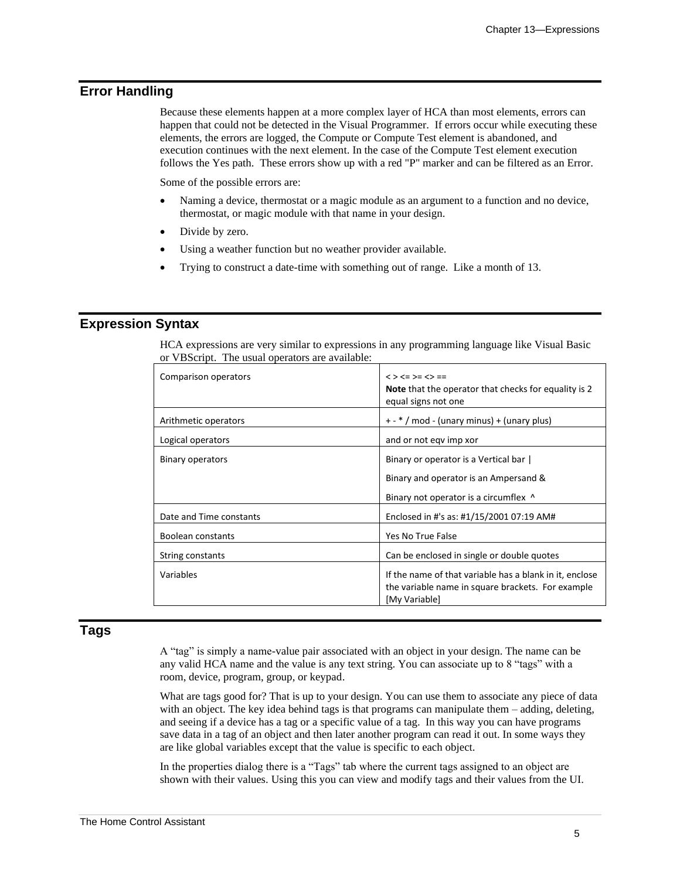### **Error Handling**

Because these elements happen at a more complex layer of HCA than most elements, errors can happen that could not be detected in the Visual Programmer. If errors occur while executing these elements, the errors are logged, the Compute or Compute Test element is abandoned, and execution continues with the next element. In the case of the Compute Test element execution follows the Yes path. These errors show up with a red "P" marker and can be filtered as an Error.

Some of the possible errors are:

- Naming a device, thermostat or a magic module as an argument to a function and no device, thermostat, or magic module with that name in your design.
- Divide by zero.
- Using a weather function but no weather provider available.
- Trying to construct a date-time with something out of range. Like a month of 13.

#### **Expression Syntax**

HCA expressions are very similar to expressions in any programming language like Visual Basic or VBScript. The usual operators are available:

| Comparison operators    | $<$ > $<$ = > = $<$ > = =<br>Note that the operator that checks for equality is 2<br>equal signs not one                      |
|-------------------------|-------------------------------------------------------------------------------------------------------------------------------|
| Arithmetic operators    | + - * / mod - (unary minus) + (unary plus)                                                                                    |
| Logical operators       | and or not eqv imp xor                                                                                                        |
| Binary operators        | Binary or operator is a Vertical bar<br>Binary and operator is an Ampersand &                                                 |
|                         | Binary not operator is a circumflex ^                                                                                         |
| Date and Time constants | Enclosed in #'s as: #1/15/2001 07:19 AM#                                                                                      |
| Boolean constants       | Yes No True False                                                                                                             |
| String constants        | Can be enclosed in single or double quotes                                                                                    |
| Variables               | If the name of that variable has a blank in it, enclose<br>the variable name in square brackets. For example<br>[My Variable] |

#### **Tags**

A "tag" is simply a name-value pair associated with an object in your design. The name can be any valid HCA name and the value is any text string. You can associate up to 8 "tags" with a room, device, program, group, or keypad.

What are tags good for? That is up to your design. You can use them to associate any piece of data with an object. The key idea behind tags is that programs can manipulate them – adding, deleting, and seeing if a device has a tag or a specific value of a tag. In this way you can have programs save data in a tag of an object and then later another program can read it out. In some ways they are like global variables except that the value is specific to each object.

In the properties dialog there is a "Tags" tab where the current tags assigned to an object are shown with their values. Using this you can view and modify tags and their values from the UI.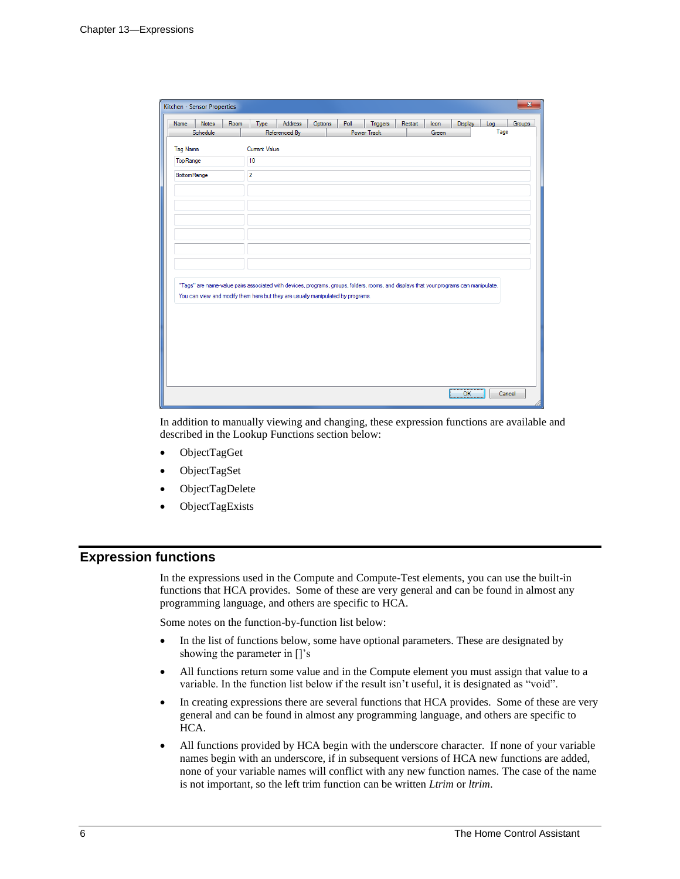|                    | Notes    | Room | Type                 | Address                                                                                                                                | Options | Poll | <b>Triggers</b> | Restart | Icon  | Display | Log  | Groups |
|--------------------|----------|------|----------------------|----------------------------------------------------------------------------------------------------------------------------------------|---------|------|-----------------|---------|-------|---------|------|--------|
|                    | Schedule |      |                      | Referenced By                                                                                                                          |         |      | Power Track     |         | Green |         | Tags |        |
| <b>Tag Name</b>    |          |      | <b>Current Value</b> |                                                                                                                                        |         |      |                 |         |       |         |      |        |
| TopRange           |          |      | 10                   |                                                                                                                                        |         |      |                 |         |       |         |      |        |
| <b>BottomRange</b> |          |      | $\overline{2}$       |                                                                                                                                        |         |      |                 |         |       |         |      |        |
|                    |          |      |                      |                                                                                                                                        |         |      |                 |         |       |         |      |        |
|                    |          |      |                      |                                                                                                                                        |         |      |                 |         |       |         |      |        |
|                    |          |      |                      |                                                                                                                                        |         |      |                 |         |       |         |      |        |
|                    |          |      |                      |                                                                                                                                        |         |      |                 |         |       |         |      |        |
|                    |          |      |                      |                                                                                                                                        |         |      |                 |         |       |         |      |        |
|                    |          |      |                      |                                                                                                                                        |         |      |                 |         |       |         |      |        |
|                    |          |      |                      |                                                                                                                                        |         |      |                 |         |       |         |      |        |
|                    |          |      |                      | "Tags" are name-value pairs associated with devices, programs, groups, folders, rooms, and displays that your programs can manipulate. |         |      |                 |         |       |         |      |        |
|                    |          |      |                      | You can view and modify them here but they are usually manipulated by programs.                                                        |         |      |                 |         |       |         |      |        |
|                    |          |      |                      |                                                                                                                                        |         |      |                 |         |       |         |      |        |
|                    |          |      |                      |                                                                                                                                        |         |      |                 |         |       |         |      |        |
|                    |          |      |                      |                                                                                                                                        |         |      |                 |         |       |         |      |        |
|                    |          |      |                      |                                                                                                                                        |         |      |                 |         |       |         |      |        |
|                    |          |      |                      |                                                                                                                                        |         |      |                 |         |       |         |      |        |
|                    |          |      |                      |                                                                                                                                        |         |      |                 |         |       |         |      |        |

In addition to manually viewing and changing, these expression functions are available and described in the Lookup Functions section below:

- ObjectTagGet
- ObjectTagSet
- ObjectTagDelete
- ObjectTagExists

#### **Expression functions**

In the expressions used in the Compute and Compute-Test elements, you can use the built-in functions that HCA provides. Some of these are very general and can be found in almost any programming language, and others are specific to HCA.

Some notes on the function-by-function list below:

- In the list of functions below, some have optional parameters. These are designated by showing the parameter in []'s
- All functions return some value and in the Compute element you must assign that value to a variable. In the function list below if the result isn't useful, it is designated as "void".
- In creating expressions there are several functions that HCA provides. Some of these are very general and can be found in almost any programming language, and others are specific to HCA.
- All functions provided by HCA begin with the underscore character. If none of your variable names begin with an underscore, if in subsequent versions of HCA new functions are added, none of your variable names will conflict with any new function names. The case of the name is not important, so the left trim function can be written *Ltrim* or *ltrim*.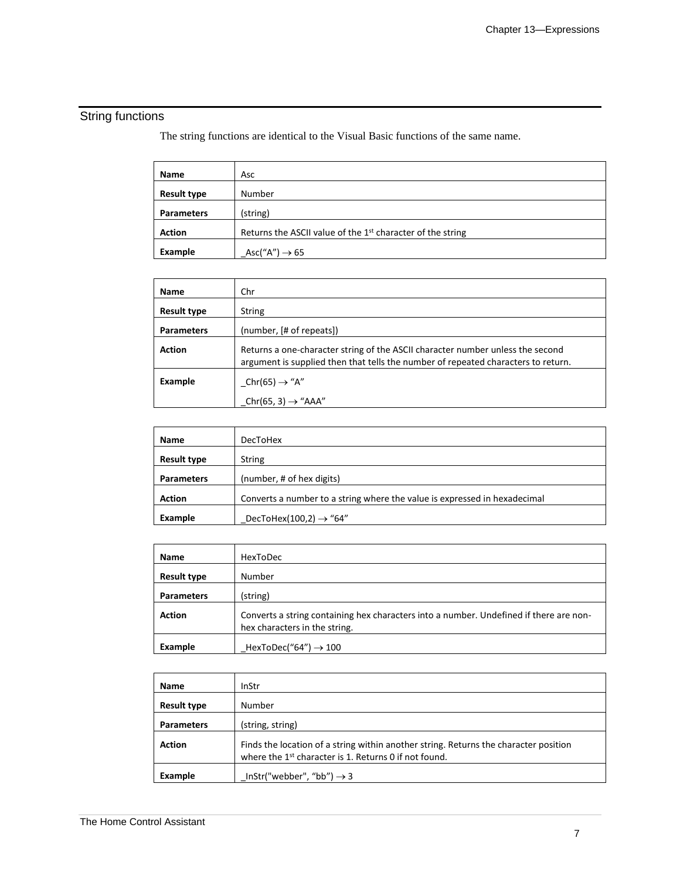# String functions

The string functions are identical to the Visual Basic functions of the same name.

| Name               | Asc                                                                    |
|--------------------|------------------------------------------------------------------------|
| <b>Result type</b> | Number                                                                 |
| <b>Parameters</b>  | (string)                                                               |
| <b>Action</b>      | Returns the ASCII value of the 1 <sup>st</sup> character of the string |
| Example            | Asc("A") $\rightarrow$ 65                                              |

| <b>Name</b>        | Chr                                                                                                                                                                 |
|--------------------|---------------------------------------------------------------------------------------------------------------------------------------------------------------------|
| <b>Result type</b> | <b>String</b>                                                                                                                                                       |
| <b>Parameters</b>  | (number, [# of repeats])                                                                                                                                            |
| <b>Action</b>      | Returns a one-character string of the ASCII character number unless the second<br>argument is supplied then that tells the number of repeated characters to return. |
| Example            | Chr(65) $\rightarrow$ "A"                                                                                                                                           |
|                    | Chr(65, 3) $\rightarrow$ "AAA"                                                                                                                                      |

| Name               | <b>DecToHex</b>                                                           |
|--------------------|---------------------------------------------------------------------------|
| <b>Result type</b> | <b>String</b>                                                             |
| <b>Parameters</b>  | (number, # of hex digits)                                                 |
| <b>Action</b>      | Converts a number to a string where the value is expressed in hexadecimal |
| Example            | DecToHex(100,2) $\rightarrow$ "64"                                        |

| Name               | HexToDec                                                                                                                |
|--------------------|-------------------------------------------------------------------------------------------------------------------------|
| <b>Result type</b> | Number                                                                                                                  |
| <b>Parameters</b>  | (string)                                                                                                                |
| <b>Action</b>      | Converts a string containing hex characters into a number. Undefined if there are non-<br>hex characters in the string. |
| Example            | HexToDec("64") $\rightarrow$ 100                                                                                        |

| <b>Name</b>        | InStr                                                                                                                                                     |
|--------------------|-----------------------------------------------------------------------------------------------------------------------------------------------------------|
| <b>Result type</b> | Number                                                                                                                                                    |
| <b>Parameters</b>  | (string, string)                                                                                                                                          |
| <b>Action</b>      | Finds the location of a string within another string. Returns the character position<br>where the 1 <sup>st</sup> character is 1. Returns 0 if not found. |
| Example            | InStr("webber", "bb") $\rightarrow$ 3                                                                                                                     |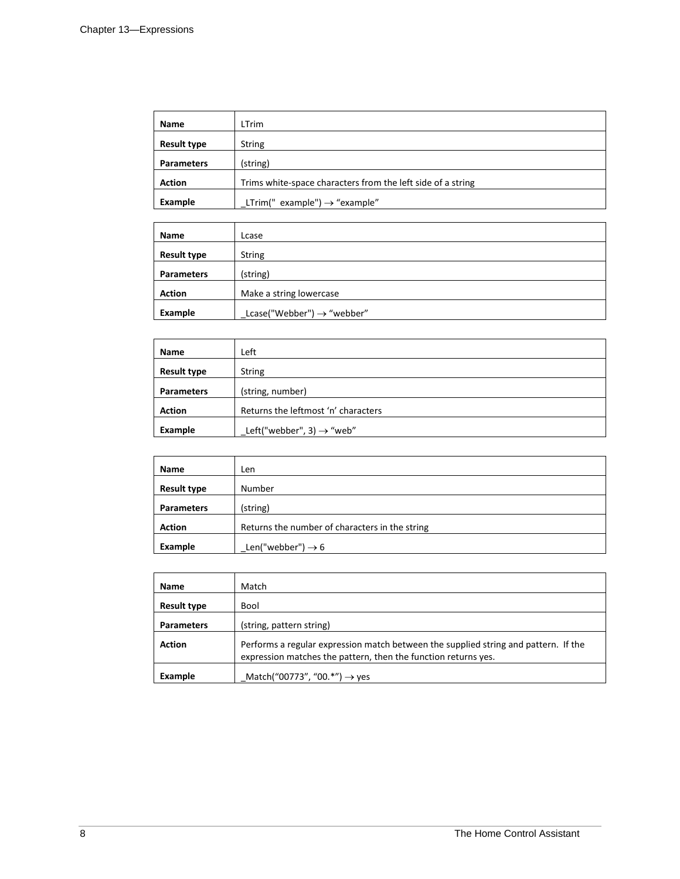| Name               | LTrim                                                       |
|--------------------|-------------------------------------------------------------|
| <b>Result type</b> | <b>String</b>                                               |
| <b>Parameters</b>  | (string)                                                    |
| <b>Action</b>      | Trims white-space characters from the left side of a string |
| Example            | LTrim(" example") $\rightarrow$ "example"                   |

| Name               | Lcase                                  |
|--------------------|----------------------------------------|
| <b>Result type</b> | <b>String</b>                          |
| <b>Parameters</b>  | (string)                               |
| <b>Action</b>      | Make a string lowercase                |
| Example            | Lcase("Webber") $\rightarrow$ "webber" |

| Name               | Left                                  |
|--------------------|---------------------------------------|
| <b>Result type</b> | <b>String</b>                         |
| <b>Parameters</b>  | (string, number)                      |
| <b>Action</b>      | Returns the leftmost 'n' characters   |
| Example            | Left("webber", 3) $\rightarrow$ "web" |

| <b>Name</b>        | Len                                            |
|--------------------|------------------------------------------------|
| <b>Result type</b> | Number                                         |
| <b>Parameters</b>  | (string)                                       |
| <b>Action</b>      | Returns the number of characters in the string |
| Example            | Len("webber") $\rightarrow$ 6                  |

| <b>Name</b>        | Match                                                                                                                                                 |
|--------------------|-------------------------------------------------------------------------------------------------------------------------------------------------------|
| <b>Result type</b> | Bool                                                                                                                                                  |
| <b>Parameters</b>  | (string, pattern string)                                                                                                                              |
| <b>Action</b>      | Performs a regular expression match between the supplied string and pattern. If the<br>expression matches the pattern, then the function returns yes. |
| Example            | Match("00773", "00.*") $\rightarrow$ yes                                                                                                              |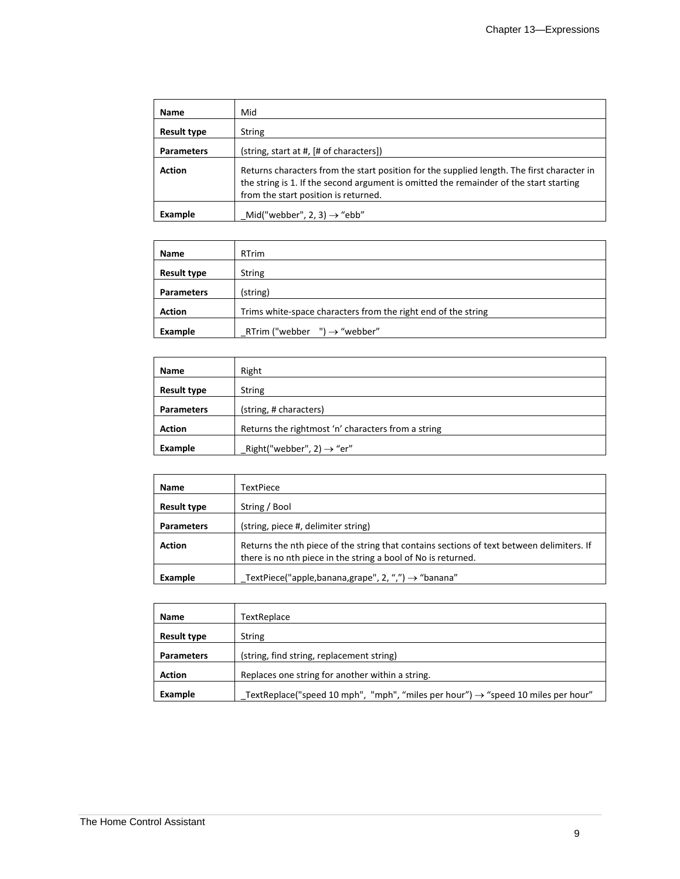| <b>Name</b>        | Mid                                                                                                                                                                                                                          |
|--------------------|------------------------------------------------------------------------------------------------------------------------------------------------------------------------------------------------------------------------------|
| <b>Result type</b> | <b>String</b>                                                                                                                                                                                                                |
| <b>Parameters</b>  | (string, start at #, [# of characters])                                                                                                                                                                                      |
| <b>Action</b>      | Returns characters from the start position for the supplied length. The first character in<br>the string is 1. If the second argument is omitted the remainder of the start starting<br>from the start position is returned. |
| Example            | Mid("webber", 2, 3) $\rightarrow$ "ebb"                                                                                                                                                                                      |

| Name               | <b>RTrim</b>                                                  |
|--------------------|---------------------------------------------------------------|
| <b>Result type</b> | <b>String</b>                                                 |
| <b>Parameters</b>  | (string)                                                      |
| <b>Action</b>      | Trims white-space characters from the right end of the string |
| Example            | ") $\rightarrow$ "webber"<br>RTrim ("webber                   |

| Name               | Right                                              |
|--------------------|----------------------------------------------------|
| <b>Result type</b> | <b>String</b>                                      |
| <b>Parameters</b>  | (string, # characters)                             |
| <b>Action</b>      | Returns the rightmost 'n' characters from a string |
| Example            | Right("webber", 2) $\rightarrow$ "er"              |

| <b>Name</b>        | TextPiece                                                                                                                                                  |
|--------------------|------------------------------------------------------------------------------------------------------------------------------------------------------------|
| <b>Result type</b> | String / Bool                                                                                                                                              |
| <b>Parameters</b>  | (string, piece #, delimiter string)                                                                                                                        |
| <b>Action</b>      | Returns the nth piece of the string that contains sections of text between delimiters. If<br>there is no nth piece in the string a bool of No is returned. |
| Example            | TextPiece("apple,banana,grape", 2, ",") $\rightarrow$ "banana"                                                                                             |

| Name               | TextReplace                                                                                  |
|--------------------|----------------------------------------------------------------------------------------------|
| <b>Result type</b> | <b>String</b>                                                                                |
| <b>Parameters</b>  | (string, find string, replacement string)                                                    |
| <b>Action</b>      | Replaces one string for another within a string.                                             |
| Example            | TextReplace("speed 10 mph", "mph", "miles per hour") $\rightarrow$ "speed 10 miles per hour" |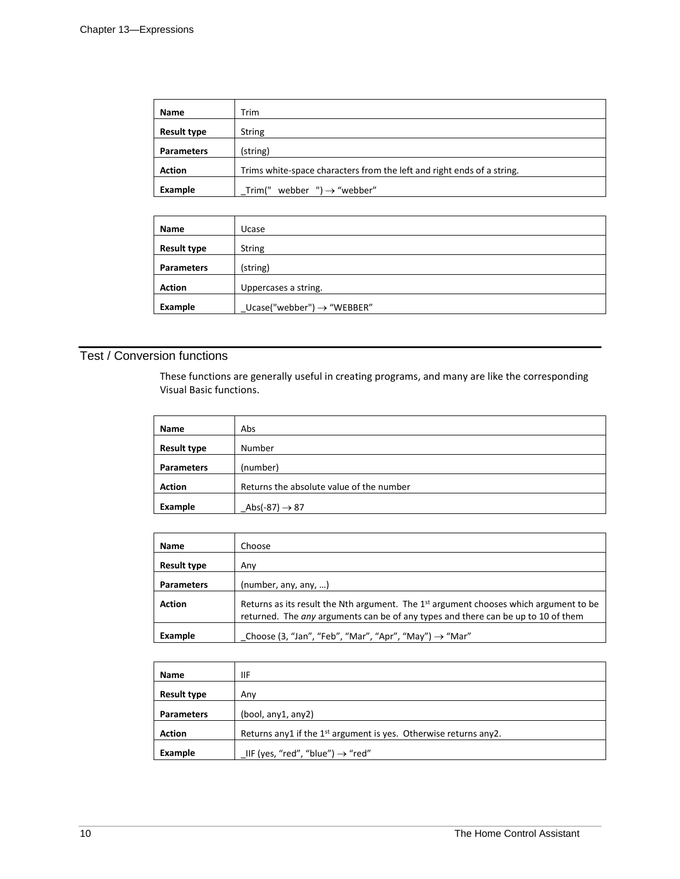| Name               | Trim                                                                   |
|--------------------|------------------------------------------------------------------------|
| <b>Result type</b> | <b>String</b>                                                          |
| <b>Parameters</b>  | (string)                                                               |
| <b>Action</b>      | Trims white-space characters from the left and right ends of a string. |
| Example            | webber $'$ ) $\rightarrow$ "webber"<br>Trim("                          |

| <b>Name</b>        | Ucase                                  |
|--------------------|----------------------------------------|
| <b>Result type</b> | <b>String</b>                          |
| <b>Parameters</b>  | (string)                               |
| <b>Action</b>      | Uppercases a string.                   |
| Example            | $Ucase("webber") \rightarrow "WEBBER"$ |

### Test / Conversion functions

These functions are generally useful in creating programs, and many are like the corresponding Visual Basic functions.

| <b>Name</b>        | Abs                                      |
|--------------------|------------------------------------------|
| <b>Result type</b> | Number                                   |
| <b>Parameters</b>  | (number)                                 |
| <b>Action</b>      | Returns the absolute value of the number |
| Example            | Abs(-87) $\rightarrow$ 87                |

| <b>Name</b>        | Choose                                                                                                                                                                       |
|--------------------|------------------------------------------------------------------------------------------------------------------------------------------------------------------------------|
| <b>Result type</b> | Anv                                                                                                                                                                          |
| <b>Parameters</b>  | (number, any, any, )                                                                                                                                                         |
| <b>Action</b>      | Returns as its result the Nth argument. The $1st$ argument chooses which argument to be<br>returned. The any arguments can be of any types and there can be up to 10 of them |
| Example            | Choose (3, "Jan", "Feb", "Mar", "Apr", "May") $\rightarrow$ "Mar"                                                                                                            |

| Name               | IIF                                                                          |
|--------------------|------------------------------------------------------------------------------|
| <b>Result type</b> | Any                                                                          |
| <b>Parameters</b>  | (bool, any1, any2)                                                           |
| <b>Action</b>      | Returns any1 if the 1 <sup>st</sup> argument is yes. Otherwise returns any2. |
| Example            | IIF (yes, "red", "blue") $\rightarrow$ "red"                                 |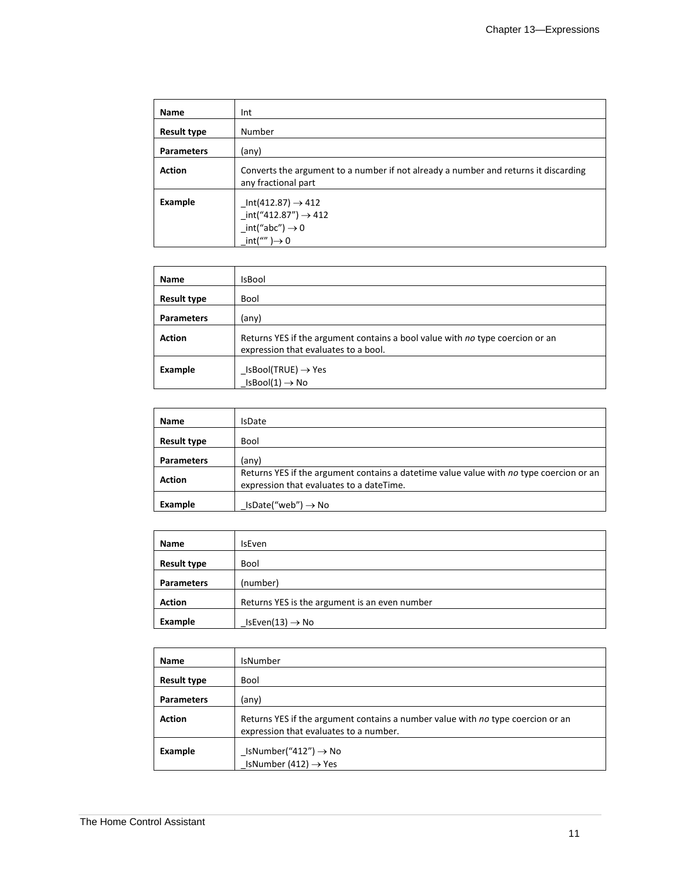| Name               | Int                                                                                                                  |
|--------------------|----------------------------------------------------------------------------------------------------------------------|
| <b>Result type</b> | Number                                                                                                               |
| <b>Parameters</b>  | (any)                                                                                                                |
| <b>Action</b>      | Converts the argument to a number if not already a number and returns it discarding<br>any fractional part           |
| Example            | $Int(412.87) \to 412$<br>$\_int("412.87") \rightarrow 412$<br>$-int("abc") \rightarrow 0$<br>$int("") \rightarrow 0$ |

| <b>Name</b>        | <b>IsBool</b>                                                                                                         |
|--------------------|-----------------------------------------------------------------------------------------------------------------------|
| <b>Result type</b> | Bool                                                                                                                  |
| <b>Parameters</b>  | (any)                                                                                                                 |
| <b>Action</b>      | Returns YES if the argument contains a bool value with no type coercion or an<br>expression that evaluates to a bool. |
| Example            | $\textsf{\_}$ IsBool(TRUE) $\rightarrow$ Yes<br>$IsBool(1) \rightarrow No$                                            |

| Name               | <b>IsDate</b>                                                                                                                       |
|--------------------|-------------------------------------------------------------------------------------------------------------------------------------|
| <b>Result type</b> | <b>Bool</b>                                                                                                                         |
| <b>Parameters</b>  | (any)                                                                                                                               |
| <b>Action</b>      | Returns YES if the argument contains a datetime value value with no type coercion or an<br>expression that evaluates to a dateTime. |
| Example            | $IsDate("web") \rightarrow No$                                                                                                      |

| <b>Name</b>        | <b>IsEven</b>                                 |
|--------------------|-----------------------------------------------|
| <b>Result type</b> | Bool                                          |
| <b>Parameters</b>  | (number)                                      |
| <b>Action</b>      | Returns YES is the argument is an even number |
| Example            | IsEven(13) $\rightarrow$ No                   |

| Name               | IsNumber                                                                                                                  |
|--------------------|---------------------------------------------------------------------------------------------------------------------------|
| <b>Result type</b> | Bool                                                                                                                      |
| <b>Parameters</b>  | (any)                                                                                                                     |
| <b>Action</b>      | Returns YES if the argument contains a number value with no type coercion or an<br>expression that evaluates to a number. |
| Example            | $\text{\_}$ IsNumber("412") $\rightarrow$ No<br>IsNumber (412) $\rightarrow$ Yes                                          |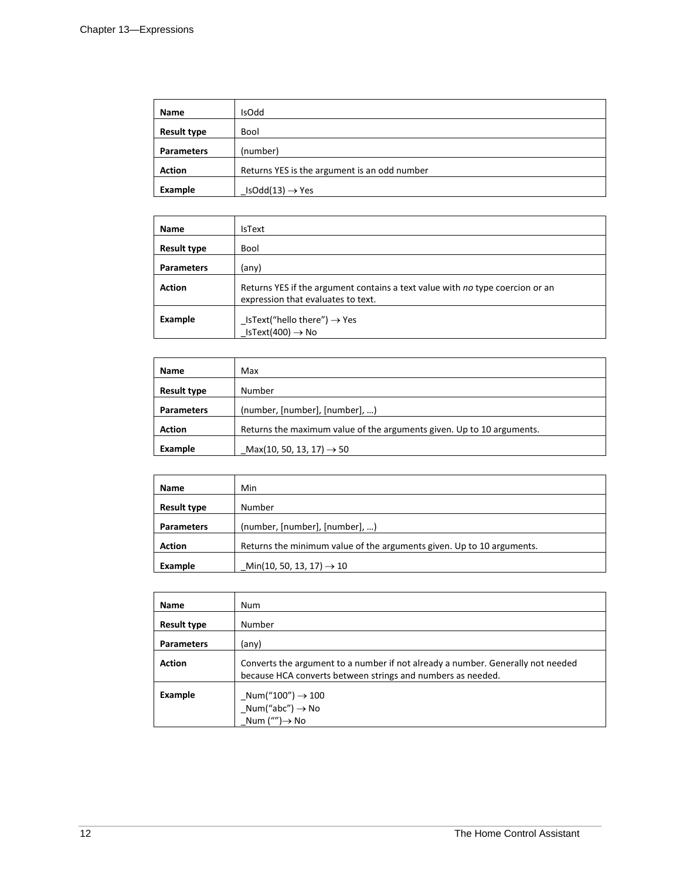| Name               | <b>IsOdd</b>                                 |
|--------------------|----------------------------------------------|
| <b>Result type</b> | Bool                                         |
| <b>Parameters</b>  | (number)                                     |
| <b>Action</b>      | Returns YES is the argument is an odd number |
| Example            | $IsOdd(13) \rightarrow Yes$                  |

| Name               | <b>IsText</b>                                                                                                       |
|--------------------|---------------------------------------------------------------------------------------------------------------------|
| <b>Result type</b> | Bool                                                                                                                |
| <b>Parameters</b>  | (any)                                                                                                               |
| <b>Action</b>      | Returns YES if the argument contains a text value with no type coercion or an<br>expression that evaluates to text. |
| Example            | $List("hello there") \rightarrow Yes$<br>IsText(400) $\rightarrow$ No                                               |

| Name               | Max                                                                   |
|--------------------|-----------------------------------------------------------------------|
| <b>Result type</b> | Number                                                                |
| <b>Parameters</b>  | (number, [number], [number], )                                        |
| <b>Action</b>      | Returns the maximum value of the arguments given. Up to 10 arguments. |
| Example            | Max(10, 50, 13, 17) $\rightarrow$ 50                                  |

| Name               | Min                                                                   |
|--------------------|-----------------------------------------------------------------------|
| <b>Result type</b> | Number                                                                |
| <b>Parameters</b>  | (number, [number], [number], )                                        |
| <b>Action</b>      | Returns the minimum value of the arguments given. Up to 10 arguments. |
| Example            | Min(10, 50, 13, 17) $\rightarrow$ 10                                  |

| <b>Name</b>        | Num                                                                                                                                            |
|--------------------|------------------------------------------------------------------------------------------------------------------------------------------------|
| <b>Result type</b> | Number                                                                                                                                         |
| <b>Parameters</b>  | (any)                                                                                                                                          |
| <b>Action</b>      | Converts the argument to a number if not already a number. Generally not needed<br>because HCA converts between strings and numbers as needed. |
| Example            | $\_Num("100") \rightarrow 100$<br>$_l$ Num("abc") $\rightarrow$ No<br>Num ("") $\rightarrow$ No                                                |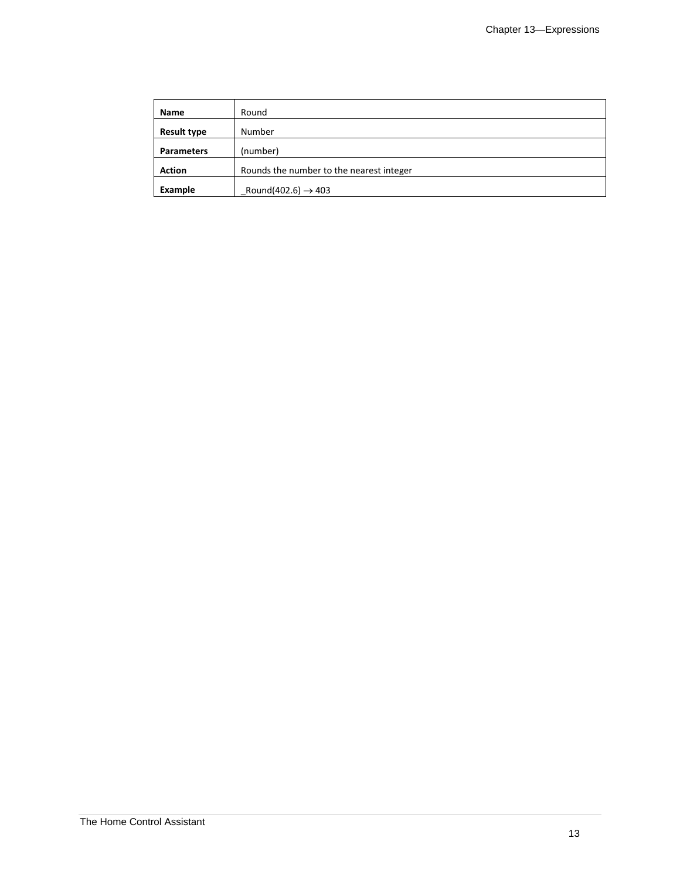| Name               | Round                                    |
|--------------------|------------------------------------------|
| <b>Result type</b> | Number                                   |
| <b>Parameters</b>  | (number)                                 |
| <b>Action</b>      | Rounds the number to the nearest integer |
| Example            | Round(402.6) $\rightarrow$ 403           |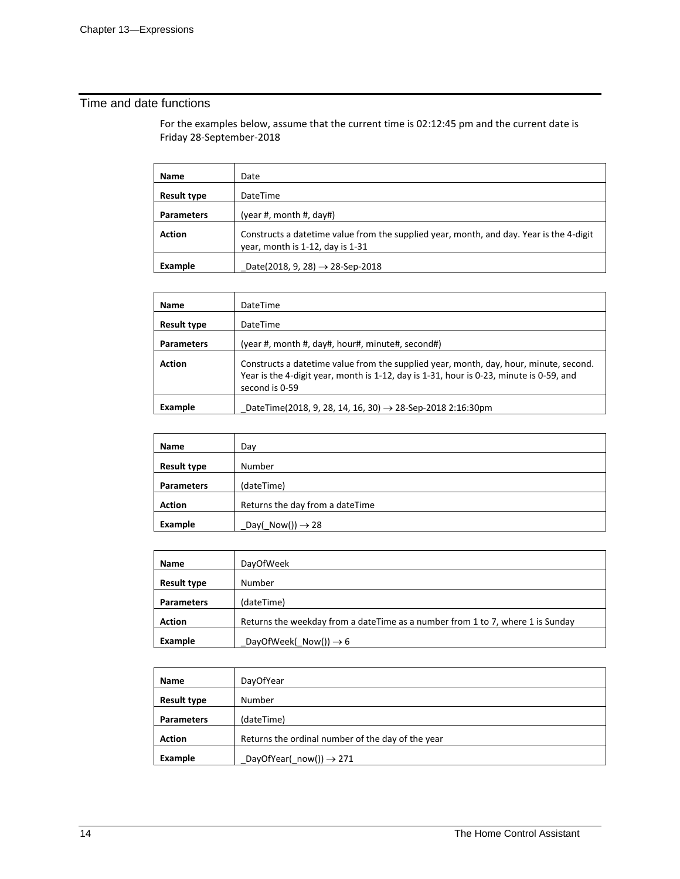### Time and date functions

For the examples below, assume that the current time is 02:12:45 pm and the current date is Friday 28-September-2018

| <b>Name</b>        | Date                                                                                                                        |
|--------------------|-----------------------------------------------------------------------------------------------------------------------------|
| <b>Result type</b> | DateTime                                                                                                                    |
| <b>Parameters</b>  | (year #, month #, day#)                                                                                                     |
| <b>Action</b>      | Constructs a datetime value from the supplied year, month, and day. Year is the 4-digit<br>year, month is 1-12, day is 1-31 |
| Example            | Date(2018, 9, 28) $\rightarrow$ 28-Sep-2018                                                                                 |

| Name               | DateTime                                                                                                                                                                                           |
|--------------------|----------------------------------------------------------------------------------------------------------------------------------------------------------------------------------------------------|
| <b>Result type</b> | DateTime                                                                                                                                                                                           |
| <b>Parameters</b>  | (year #, month #, day#, hour#, minute#, second#)                                                                                                                                                   |
| <b>Action</b>      | Constructs a datetime value from the supplied year, month, day, hour, minute, second.<br>Year is the 4-digit year, month is 1-12, day is 1-31, hour is 0-23, minute is 0-59, and<br>second is 0-59 |
| Example            | DateTime(2018, 9, 28, 14, 16, 30) $\rightarrow$ 28-Sep-2018 2:16:30pm                                                                                                                              |

| Name               | Day                               |
|--------------------|-----------------------------------|
| <b>Result type</b> | Number                            |
| <b>Parameters</b>  | (dateTime)                        |
| <b>Action</b>      | Returns the day from a dateTime   |
| Example            | $Day(\text{Now})) \rightarrow 28$ |

| Name               | <b>DayOfWeek</b>                                                               |
|--------------------|--------------------------------------------------------------------------------|
| <b>Result type</b> | Number                                                                         |
| <b>Parameters</b>  | (dateTime)                                                                     |
| <b>Action</b>      | Returns the weekday from a dateTime as a number from 1 to 7, where 1 is Sunday |
| Example            | DayOfWeek( Now()) $\rightarrow$ 6                                              |

| <b>Name</b>        | DayOfYear                                         |
|--------------------|---------------------------------------------------|
| <b>Result type</b> | Number                                            |
| <b>Parameters</b>  | (dateTime)                                        |
| <b>Action</b>      | Returns the ordinal number of the day of the year |
| Example            | $DayOfYear(\text{now())} \rightarrow 271$         |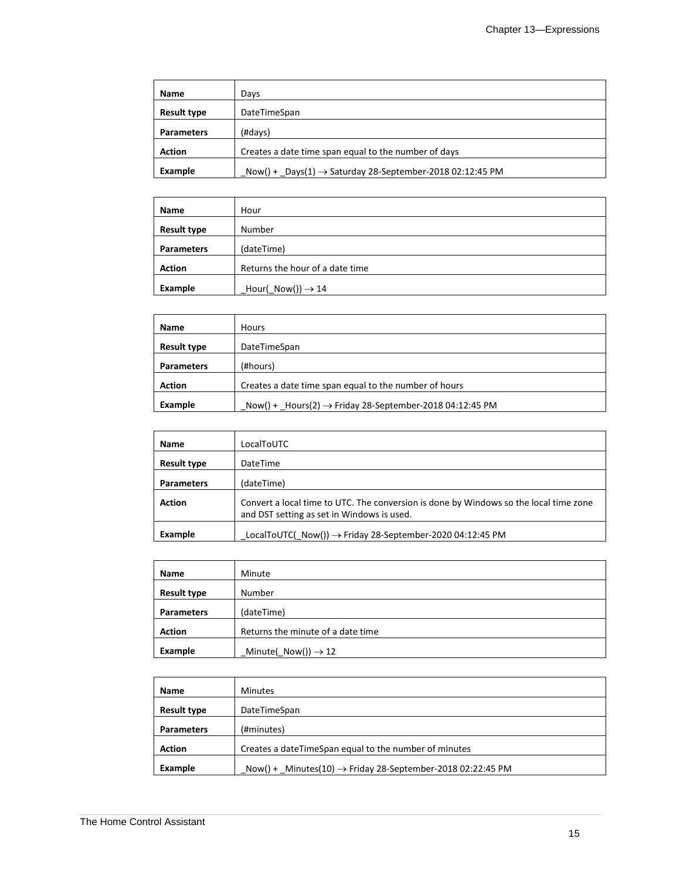| Name               | Days                                                                        |
|--------------------|-----------------------------------------------------------------------------|
| <b>Result type</b> | DateTimeSpan                                                                |
| <b>Parameters</b>  | (#days)                                                                     |
| <b>Action</b>      | Creates a date time span equal to the number of days                        |
| Example            | $Now() + \text{Days}(1) \rightarrow$ Saturday 28-September-2018 02:12:45 PM |

| <b>Name</b>        | Hour                               |
|--------------------|------------------------------------|
| <b>Result type</b> | Number                             |
| <b>Parameters</b>  | (dateTime)                         |
| <b>Action</b>      | Returns the hour of a date time    |
| Example            | $Hour(\text{Now})) \rightarrow 14$ |

| Name               | <b>Hours</b>                                                            |
|--------------------|-------------------------------------------------------------------------|
| <b>Result type</b> | DateTimeSpan                                                            |
| <b>Parameters</b>  | (#hours)                                                                |
| <b>Action</b>      | Creates a date time span equal to the number of hours                   |
| Example            | $Now() + _$ Hours(2) $\rightarrow$ Friday 28-September-2018 04:12:45 PM |

| <b>Name</b>        | LocalToUTC                                                                                                                          |
|--------------------|-------------------------------------------------------------------------------------------------------------------------------------|
| <b>Result type</b> | DateTime                                                                                                                            |
| <b>Parameters</b>  | (dateTime)                                                                                                                          |
| <b>Action</b>      | Convert a local time to UTC. The conversion is done by Windows so the local time zone<br>and DST setting as set in Windows is used. |
| Example            | LocalToUTC(_Now()) → Friday 28-September-2020 04:12:45 PM                                                                           |

| Name               | Minute                            |
|--------------------|-----------------------------------|
| <b>Result type</b> | Number                            |
| <b>Parameters</b>  | (dateTime)                        |
| <b>Action</b>      | Returns the minute of a date time |
| Example            | Minute( $Now() \rightarrow 12$    |

| Name               | <b>Minutes</b>                                                           |
|--------------------|--------------------------------------------------------------------------|
| <b>Result type</b> | DateTimeSpan                                                             |
| <b>Parameters</b>  | (#minutes)                                                               |
| <b>Action</b>      | Creates a dateTimeSpan equal to the number of minutes                    |
| Example            | $Now() +$ Minutes(10) $\rightarrow$ Friday 28-September-2018 02:22:45 PM |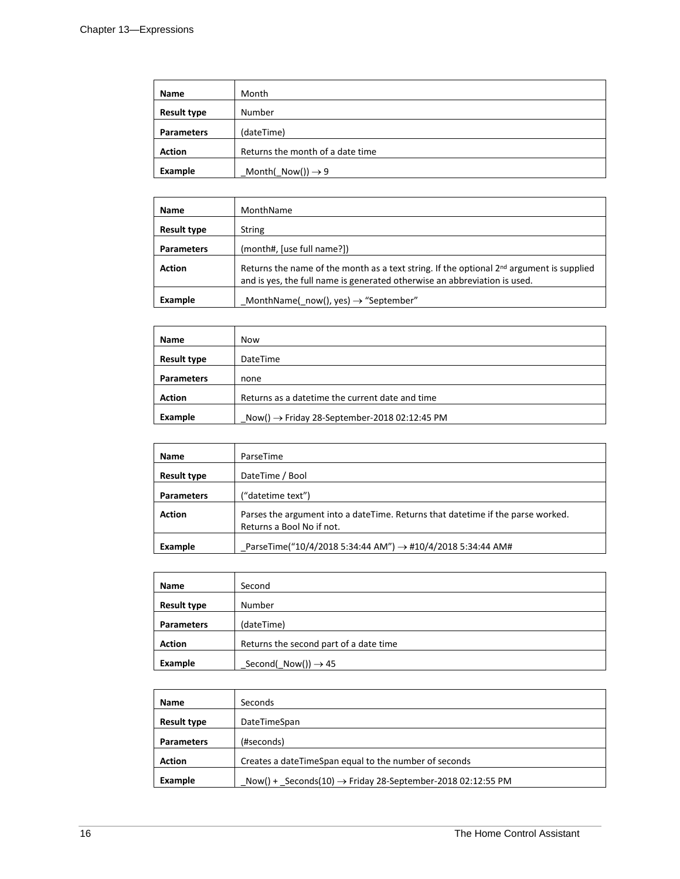| <b>Name</b>        | Month                            |
|--------------------|----------------------------------|
| <b>Result type</b> | Number                           |
| <b>Parameters</b>  | (dateTime)                       |
| <b>Action</b>      | Returns the month of a date time |
| Example            | Month(_Now()) $\rightarrow$ 9    |

| <b>Name</b>        | MonthName                                                                                                                                                                         |
|--------------------|-----------------------------------------------------------------------------------------------------------------------------------------------------------------------------------|
| <b>Result type</b> | <b>String</b>                                                                                                                                                                     |
| <b>Parameters</b>  | (month#, [use full name?])                                                                                                                                                        |
| <b>Action</b>      | Returns the name of the month as a text string. If the optional 2 <sup>nd</sup> argument is supplied<br>and is yes, the full name is generated otherwise an abbreviation is used. |
| Example            | MonthName( now(), yes) $\rightarrow$ "September"                                                                                                                                  |

| Name               | <b>Now</b>                                               |
|--------------------|----------------------------------------------------------|
| <b>Result type</b> | DateTime                                                 |
| <b>Parameters</b>  | none                                                     |
| <b>Action</b>      | Returns as a datetime the current date and time          |
| Example            | Now() $\rightarrow$ Friday 28-September-2018 02:12:45 PM |

| <b>Name</b>        | ParseTime                                                                                                    |
|--------------------|--------------------------------------------------------------------------------------------------------------|
| <b>Result type</b> | DateTime / Bool                                                                                              |
| <b>Parameters</b>  | ("datetime text")                                                                                            |
| <b>Action</b>      | Parses the argument into a dateTime. Returns that datetime if the parse worked.<br>Returns a Bool No if not. |
| Example            | ParseTime("10/4/2018 5:34:44 AM") $\rightarrow$ #10/4/2018 5:34:44 AM#                                       |

| <b>Name</b>        | Second                                 |
|--------------------|----------------------------------------|
| <b>Result type</b> | Number                                 |
| <b>Parameters</b>  | (dateTime)                             |
| <b>Action</b>      | Returns the second part of a date time |
| Example            | Second( $Now()$ ) $\rightarrow$ 45     |

| Name               | Seconds                                                                |
|--------------------|------------------------------------------------------------------------|
| <b>Result type</b> | DateTimeSpan                                                           |
| <b>Parameters</b>  | (#seconds)                                                             |
| <b>Action</b>      | Creates a dateTimeSpan equal to the number of seconds                  |
| Example            | Now() + Seconds(10) $\rightarrow$ Friday 28-September-2018 02:12:55 PM |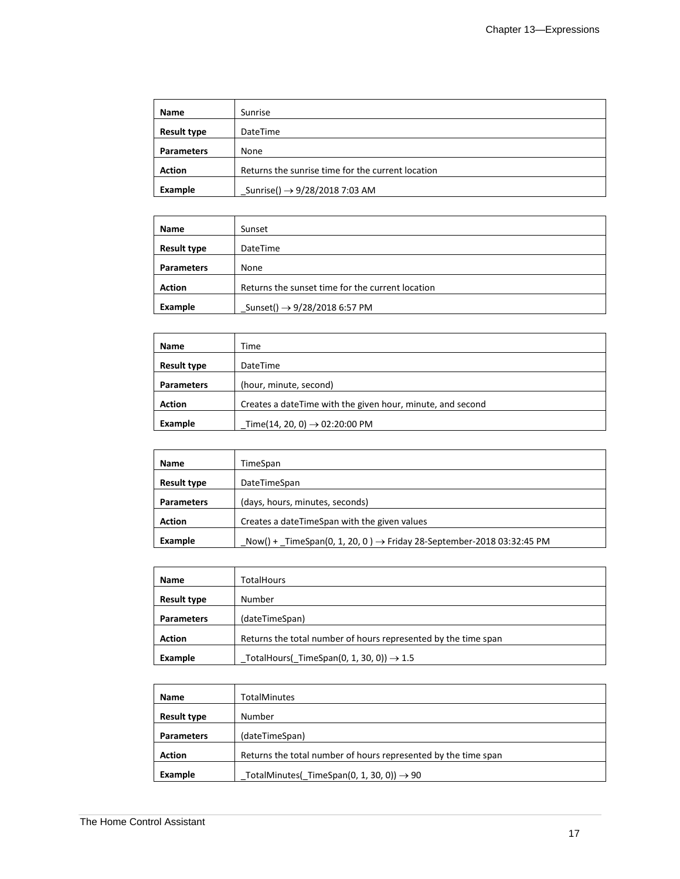| Name               | Sunrise                                           |
|--------------------|---------------------------------------------------|
| <b>Result type</b> | <b>DateTime</b>                                   |
| <b>Parameters</b>  | None                                              |
| <b>Action</b>      | Returns the sunrise time for the current location |
| Example            | Sunrise() $\rightarrow$ 9/28/2018 7:03 AM         |

| Name               | Sunset                                           |
|--------------------|--------------------------------------------------|
| <b>Result type</b> | DateTime                                         |
| <b>Parameters</b>  | None                                             |
| <b>Action</b>      | Returns the sunset time for the current location |
| Example            | Sunset() $\rightarrow$ 9/28/2018 6:57 PM         |

| Name               | Time                                                       |
|--------------------|------------------------------------------------------------|
| <b>Result type</b> | <b>DateTime</b>                                            |
| <b>Parameters</b>  | (hour, minute, second)                                     |
| <b>Action</b>      | Creates a dateTime with the given hour, minute, and second |
| Example            | Time(14, 20, 0) $\rightarrow$ 02:20:00 PM                  |

| Name               | TimeSpan                                                                         |
|--------------------|----------------------------------------------------------------------------------|
| <b>Result type</b> | DateTimeSpan                                                                     |
| <b>Parameters</b>  | (days, hours, minutes, seconds)                                                  |
| <b>Action</b>      | Creates a dateTimeSpan with the given values                                     |
| Example            | Now() + TimeSpan(0, 1, 20, 0) $\rightarrow$ Friday 28-September-2018 03:32:45 PM |

| <b>Name</b>        | TotalHours                                                     |
|--------------------|----------------------------------------------------------------|
| <b>Result type</b> | Number                                                         |
| <b>Parameters</b>  | (dateTimeSpan)                                                 |
| <b>Action</b>      | Returns the total number of hours represented by the time span |
| Example            | TotalHours(TimeSpan(0, 1, 30, 0)) $\rightarrow$ 1.5            |

| Name               | <b>TotalMinutes</b>                                            |
|--------------------|----------------------------------------------------------------|
| <b>Result type</b> | Number                                                         |
| <b>Parameters</b>  | (dateTimeSpan)                                                 |
| <b>Action</b>      | Returns the total number of hours represented by the time span |
| Example            | TotalMinutes( TimeSpan(0, 1, 30, 0)) $\rightarrow$ 90          |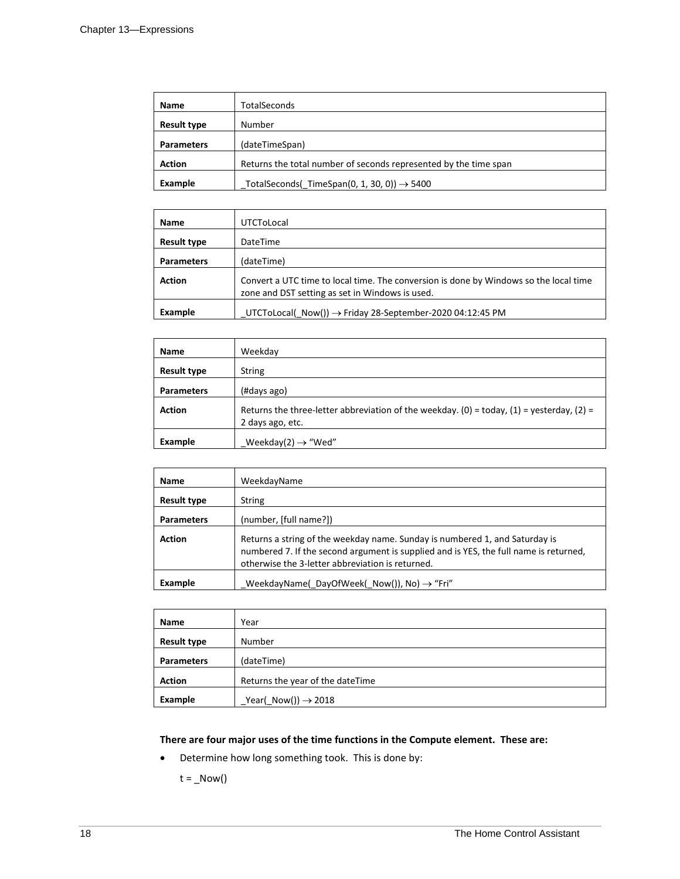| <b>Name</b>        | <b>TotalSeconds</b>                                              |
|--------------------|------------------------------------------------------------------|
| <b>Result type</b> | Number                                                           |
| <b>Parameters</b>  | (dateTimeSpan)                                                   |
| <b>Action</b>      | Returns the total number of seconds represented by the time span |
| Example            | TotalSeconds( TimeSpan(0, 1, 30, 0)) $\rightarrow$ 5400          |

| <b>Name</b>        | UTCToLocal                                                                                                                               |
|--------------------|------------------------------------------------------------------------------------------------------------------------------------------|
| <b>Result type</b> | DateTime                                                                                                                                 |
| <b>Parameters</b>  | (dateTime)                                                                                                                               |
| <b>Action</b>      | Convert a UTC time to local time. The conversion is done by Windows so the local time<br>zone and DST setting as set in Windows is used. |
| Example            | $_U$ UTCToLocal $(_N$ Now $()) \rightarrow$ Friday 28-September-2020 04:12:45 PM                                                         |

| <b>Name</b>        | Weekday                                                                                                       |
|--------------------|---------------------------------------------------------------------------------------------------------------|
| <b>Result type</b> | <b>String</b>                                                                                                 |
| <b>Parameters</b>  | (#days ago)                                                                                                   |
| <b>Action</b>      | Returns the three-letter abbreviation of the weekday. (0) = today, (1) = yesterday, (2) =<br>2 days ago, etc. |
| Example            | Weekday(2) $\rightarrow$ "Wed"                                                                                |

| <b>Name</b>       | WeekdayName                                                                                                                                                                                                              |
|-------------------|--------------------------------------------------------------------------------------------------------------------------------------------------------------------------------------------------------------------------|
| Result type       | String                                                                                                                                                                                                                   |
| <b>Parameters</b> | (number, [full name?])                                                                                                                                                                                                   |
| <b>Action</b>     | Returns a string of the weekday name. Sunday is numbered 1, and Saturday is<br>numbered 7. If the second argument is supplied and is YES, the full name is returned,<br>otherwise the 3-letter abbreviation is returned. |
| Example           | WeekdayName(DayOfWeek(Now()), No) $\rightarrow$ "Fri"                                                                                                                                                                    |

| Name               | Year                                 |
|--------------------|--------------------------------------|
| <b>Result type</b> | Number                               |
| <b>Parameters</b>  | (dateTime)                           |
| <b>Action</b>      | Returns the year of the dateTime     |
| Example            | $Year(\text{Now})) \rightarrow 2018$ |

#### **There are four major uses of the time functions in the Compute element. These are:**

• Determine how long something took. This is done by:

 $t = \text{Now}()$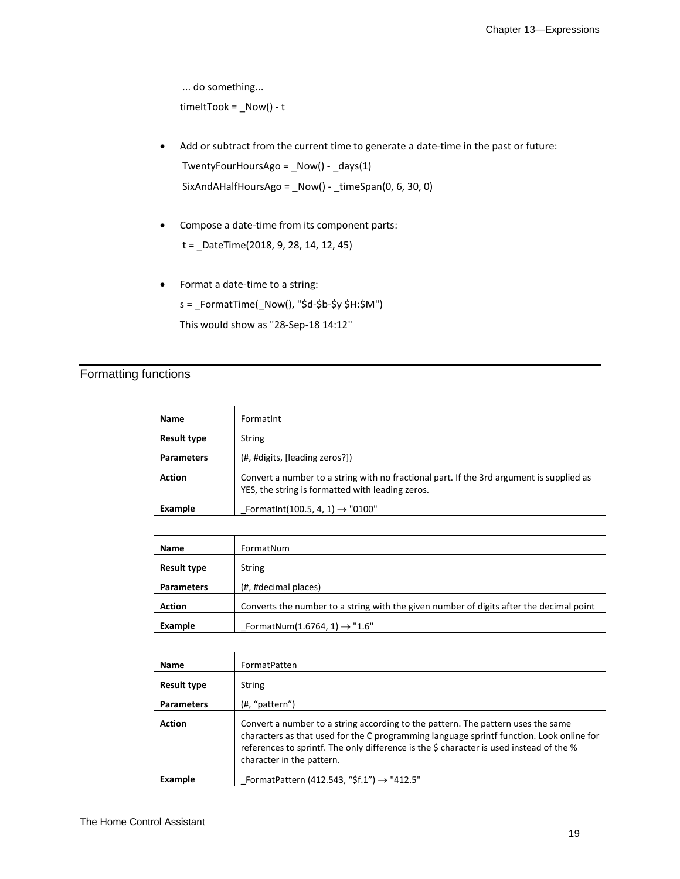... do something...  $timeltTook = _Now() - t$ 

- Add or subtract from the current time to generate a date-time in the past or future: TwentyFourHoursAgo = \_Now() - \_days(1) SixAndAHalfHoursAgo = \_Now() - \_timeSpan(0, 6, 30, 0)
- Compose a date-time from its component parts:

t = \_DateTime(2018, 9, 28, 14, 12, 45)

• Format a date-time to a string: s = \_FormatTime(\_Now(), "\$d-\$b-\$y \$H:\$M") This would show as "28-Sep-18 14:12"

### Formatting functions

| <b>Name</b>        | Formatint                                                                                                                                    |
|--------------------|----------------------------------------------------------------------------------------------------------------------------------------------|
| <b>Result type</b> | <b>String</b>                                                                                                                                |
| <b>Parameters</b>  | (#, #digits, [leading zeros?])                                                                                                               |
| <b>Action</b>      | Convert a number to a string with no fractional part. If the 3rd argument is supplied as<br>YES, the string is formatted with leading zeros. |
| Example            | Formatint(100.5, 4, 1) $\rightarrow$ "0100"                                                                                                  |

| Name               | FormatNum                                                                               |
|--------------------|-----------------------------------------------------------------------------------------|
| <b>Result type</b> | <b>String</b>                                                                           |
| <b>Parameters</b>  | (#, #decimal places)                                                                    |
| <b>Action</b>      | Converts the number to a string with the given number of digits after the decimal point |
| Example            | FormatNum(1.6764, 1) $\rightarrow$ "1.6"                                                |

| <b>Name</b>        | FormatPatten                                                                                                                                                                                                                                                                                         |
|--------------------|------------------------------------------------------------------------------------------------------------------------------------------------------------------------------------------------------------------------------------------------------------------------------------------------------|
| <b>Result type</b> | String                                                                                                                                                                                                                                                                                               |
| <b>Parameters</b>  | (#, "pattern")                                                                                                                                                                                                                                                                                       |
| <b>Action</b>      | Convert a number to a string according to the pattern. The pattern uses the same<br>characters as that used for the C programming language sprintf function. Look online for<br>references to sprintf. The only difference is the \$ character is used instead of the %<br>character in the pattern. |
| Example            | FormatPattern (412.543, "\$f.1") $\rightarrow$ "412.5"                                                                                                                                                                                                                                               |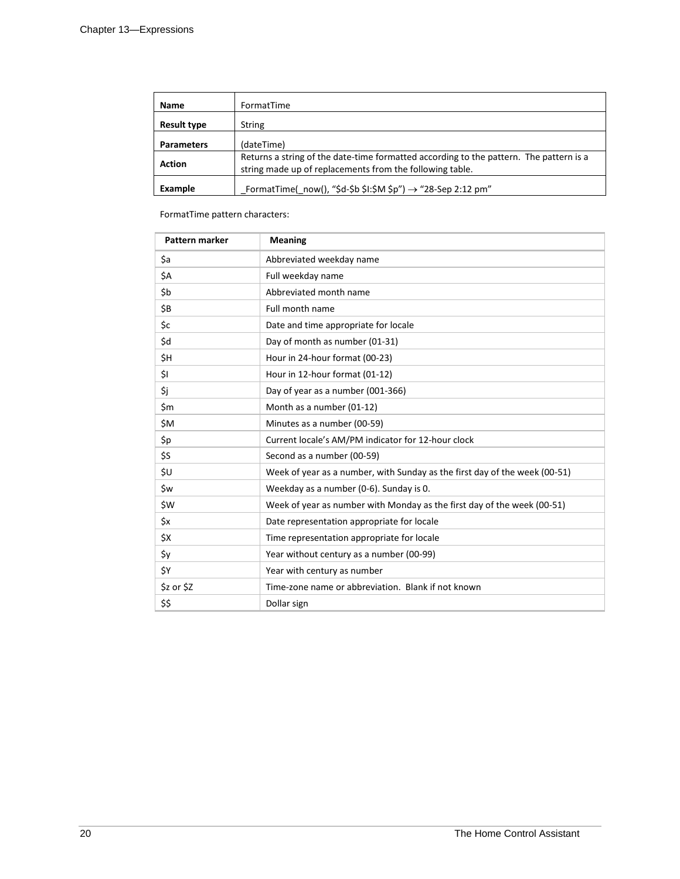| <b>Name</b>        | FormatTime                                                                                                                                         |
|--------------------|----------------------------------------------------------------------------------------------------------------------------------------------------|
| <b>Result type</b> | <b>String</b>                                                                                                                                      |
| <b>Parameters</b>  | (dateTime)                                                                                                                                         |
| <b>Action</b>      | Returns a string of the date-time formatted according to the pattern. The pattern is a<br>string made up of replacements from the following table. |
| Example            | FormatTime( now(), "\$d-\$b \$I:\$M \$p") $\rightarrow$ "28-Sep 2:12 pm"                                                                           |

FormatTime pattern characters:

| Pattern marker | <b>Meaning</b>                                                             |
|----------------|----------------------------------------------------------------------------|
| \$a            | Abbreviated weekday name                                                   |
| \$A            | Full weekday name                                                          |
| \$b            | Abbreviated month name                                                     |
| \$B            | Full month name                                                            |
| \$c            | Date and time appropriate for locale                                       |
| \$d            | Day of month as number (01-31)                                             |
| \$H            | Hour in 24-hour format (00-23)                                             |
| \$I            | Hour in 12-hour format (01-12)                                             |
| \$j            | Day of year as a number (001-366)                                          |
| \$m            | Month as a number (01-12)                                                  |
| \$M            | Minutes as a number (00-59)                                                |
| \$p            | Current locale's AM/PM indicator for 12-hour clock                         |
| \$S            | Second as a number (00-59)                                                 |
| \$U            | Week of year as a number, with Sunday as the first day of the week (00-51) |
| \$w            | Weekday as a number (0-6). Sunday is 0.                                    |
| \$W            | Week of year as number with Monday as the first day of the week (00-51)    |
| \$x            | Date representation appropriate for locale                                 |
| \$X            | Time representation appropriate for locale                                 |
| \$y            | Year without century as a number (00-99)                                   |
| ŚΥ             | Year with century as number                                                |
| \$z or \$Z     | Time-zone name or abbreviation. Blank if not known                         |
| \$\$           | Dollar sign                                                                |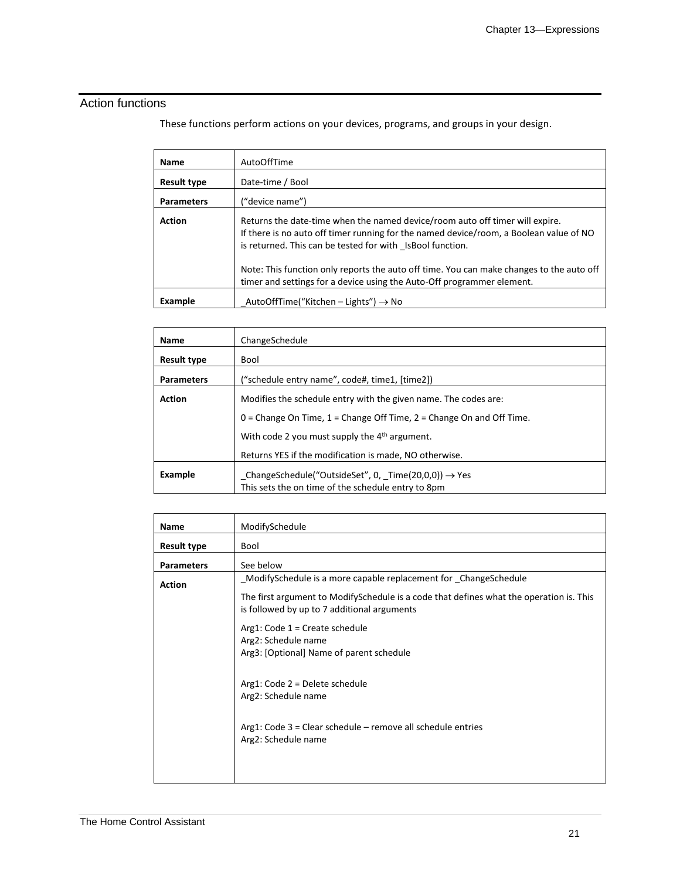### Action functions

These functions perform actions on your devices, programs, and groups in your design.

| <b>Name</b>        | AutoOffTime                                                                                                                                                                                                                         |
|--------------------|-------------------------------------------------------------------------------------------------------------------------------------------------------------------------------------------------------------------------------------|
| <b>Result type</b> | Date-time / Bool                                                                                                                                                                                                                    |
| <b>Parameters</b>  | ("device name")                                                                                                                                                                                                                     |
| <b>Action</b>      | Returns the date-time when the named device/room auto off timer will expire.<br>If there is no auto off timer running for the named device/room, a Boolean value of NO<br>is returned. This can be tested for with IsBool function. |
|                    | Note: This function only reports the auto off time. You can make changes to the auto off<br>timer and settings for a device using the Auto-Off programmer element.                                                                  |
| Example            | AutoOffTime("Kitchen – Lights") $\rightarrow$ No                                                                                                                                                                                    |

| Name               | ChangeSchedule                                                           |
|--------------------|--------------------------------------------------------------------------|
| <b>Result type</b> | Bool                                                                     |
| <b>Parameters</b>  | ("schedule entry name", code#, time1, [time2])                           |
| <b>Action</b>      | Modifies the schedule entry with the given name. The codes are:          |
|                    | 0 = Change On Time, $1$ = Change Off Time, $2$ = Change On and Off Time. |
|                    | With code 2 you must supply the 4 <sup>th</sup> argument.                |
|                    | Returns YES if the modification is made, NO otherwise.                   |
| Example            | $_$ ChangeSchedule("OutsideSet", 0, $_$ Time(20,0,0)) $\rightarrow$ Yes  |
|                    | This sets the on time of the schedule entry to 8pm                       |

| <b>Name</b>        | ModifySchedule                                                                                                                         |
|--------------------|----------------------------------------------------------------------------------------------------------------------------------------|
| <b>Result type</b> | Bool                                                                                                                                   |
| <b>Parameters</b>  | See below                                                                                                                              |
| <b>Action</b>      | ModifySchedule is a more capable replacement for ChangeSchedule                                                                        |
|                    | The first argument to ModifySchedule is a code that defines what the operation is. This<br>is followed by up to 7 additional arguments |
|                    | Arg1: Code $1 =$ Create schedule<br>Arg2: Schedule name<br>Arg3: [Optional] Name of parent schedule                                    |
|                    | Arg1: Code 2 = Delete schedule<br>Arg2: Schedule name                                                                                  |
|                    | Arg1: Code $3$ = Clear schedule – remove all schedule entries<br>Arg2: Schedule name                                                   |
|                    |                                                                                                                                        |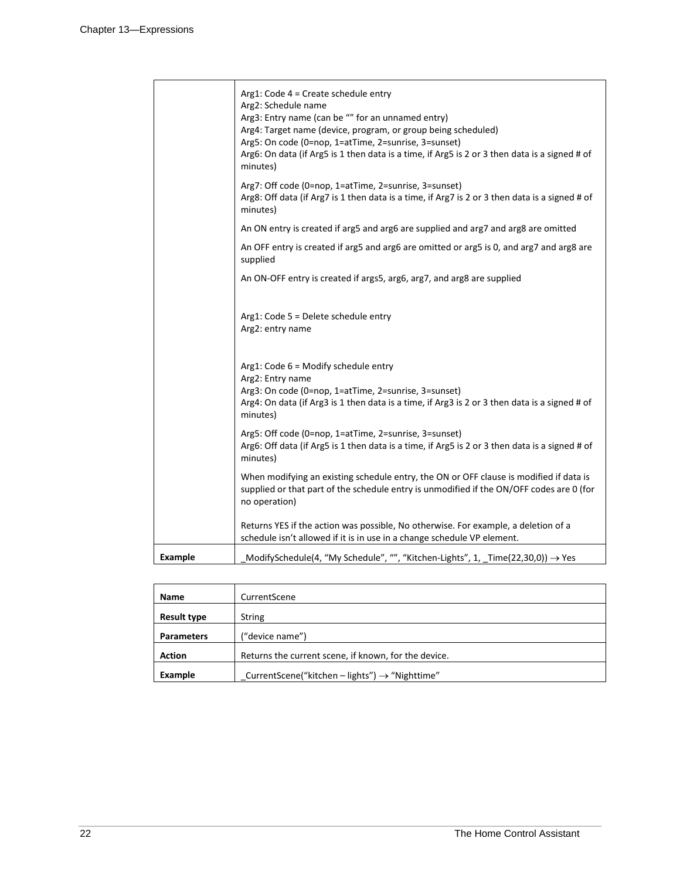|                | Arg1: Code 4 = Create schedule entry<br>Arg2: Schedule name<br>Arg3: Entry name (can be "" for an unnamed entry)<br>Arg4: Target name (device, program, or group being scheduled)<br>Arg5: On code (0=nop, 1=atTime, 2=sunrise, 3=sunset)<br>Arg6: On data (if Arg5 is 1 then data is a time, if Arg5 is 2 or 3 then data is a signed # of<br>minutes) |
|----------------|--------------------------------------------------------------------------------------------------------------------------------------------------------------------------------------------------------------------------------------------------------------------------------------------------------------------------------------------------------|
|                | Arg7: Off code (0=nop, 1=atTime, 2=sunrise, 3=sunset)<br>Arg8: Off data (if Arg7 is 1 then data is a time, if Arg7 is 2 or 3 then data is a signed # of<br>minutes)                                                                                                                                                                                    |
|                | An ON entry is created if arg5 and arg6 are supplied and arg7 and arg8 are omitted                                                                                                                                                                                                                                                                     |
|                | An OFF entry is created if arg5 and arg6 are omitted or arg5 is 0, and arg7 and arg8 are<br>supplied                                                                                                                                                                                                                                                   |
|                | An ON-OFF entry is created if args5, arg6, arg7, and arg8 are supplied                                                                                                                                                                                                                                                                                 |
|                | Arg1: Code 5 = Delete schedule entry<br>Arg2: entry name                                                                                                                                                                                                                                                                                               |
|                | $Arg1: Code 6 = Modify schedule entry$<br>Arg2: Entry name<br>Arg3: On code (0=nop, 1=atTime, 2=sunrise, 3=sunset)<br>Arg4: On data (if Arg3 is 1 then data is a time, if Arg3 is 2 or 3 then data is a signed # of<br>minutes)                                                                                                                        |
|                | Arg5: Off code (0=nop, 1=atTime, 2=sunrise, 3=sunset)<br>Arg6: Off data (if Arg5 is 1 then data is a time, if Arg5 is 2 or 3 then data is a signed # of<br>minutes)                                                                                                                                                                                    |
|                | When modifying an existing schedule entry, the ON or OFF clause is modified if data is<br>supplied or that part of the schedule entry is unmodified if the ON/OFF codes are 0 (for<br>no operation)                                                                                                                                                    |
|                | Returns YES if the action was possible, No otherwise. For example, a deletion of a<br>schedule isn't allowed if it is in use in a change schedule VP element.                                                                                                                                                                                          |
| <b>Example</b> | ModifySchedule(4, "My Schedule", "", "Kitchen-Lights", 1, _Time(22,30,0)) → Yes                                                                                                                                                                                                                                                                        |

| Name               | CurrentScene                                               |
|--------------------|------------------------------------------------------------|
| <b>Result type</b> | <b>String</b>                                              |
| <b>Parameters</b>  | ("device name")                                            |
| <b>Action</b>      | Returns the current scene, if known, for the device.       |
| Example            | CurrentScene("kitchen – lights") $\rightarrow$ "Nighttime" |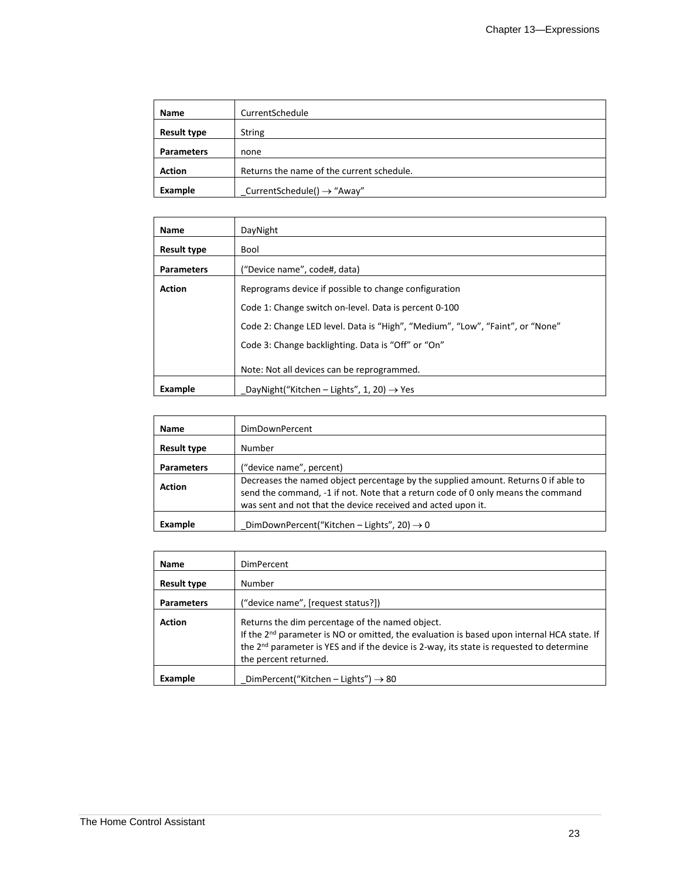| <b>Name</b>        | CurrentSchedule                           |
|--------------------|-------------------------------------------|
| <b>Result type</b> | <b>String</b>                             |
| <b>Parameters</b>  | none                                      |
| <b>Action</b>      | Returns the name of the current schedule. |
| Example            | CurrentSchedule() $\rightarrow$ "Away"    |

| <b>Name</b>        | DayNight                                                                      |
|--------------------|-------------------------------------------------------------------------------|
| <b>Result type</b> | Bool                                                                          |
| <b>Parameters</b>  | ("Device name", code#, data)                                                  |
| <b>Action</b>      | Reprograms device if possible to change configuration                         |
|                    | Code 1: Change switch on-level. Data is percent 0-100                         |
|                    | Code 2: Change LED level. Data is "High", "Medium", "Low", "Faint", or "None" |
|                    | Code 3: Change backlighting. Data is "Off" or "On"                            |
|                    | Note: Not all devices can be reprogrammed.                                    |
| Example            | DayNight("Kitchen – Lights", 1, 20) $\rightarrow$ Yes                         |

| <b>Name</b>        | DimDownPercent                                                                                                                                                                                                                         |
|--------------------|----------------------------------------------------------------------------------------------------------------------------------------------------------------------------------------------------------------------------------------|
| <b>Result type</b> | Number                                                                                                                                                                                                                                 |
| <b>Parameters</b>  | ("device name", percent)                                                                                                                                                                                                               |
| <b>Action</b>      | Decreases the named object percentage by the supplied amount. Returns 0 if able to<br>send the command, -1 if not. Note that a return code of 0 only means the command<br>was sent and not that the device received and acted upon it. |
| Example            | DimDownPercent("Kitchen - Lights", 20) $\rightarrow$ 0                                                                                                                                                                                 |

| Name               | DimPercent                                                                                                                                                                                                                                                                                 |
|--------------------|--------------------------------------------------------------------------------------------------------------------------------------------------------------------------------------------------------------------------------------------------------------------------------------------|
| <b>Result type</b> | Number                                                                                                                                                                                                                                                                                     |
| <b>Parameters</b>  | ("device name", [request status?])                                                                                                                                                                                                                                                         |
| <b>Action</b>      | Returns the dim percentage of the named object.<br>If the 2 <sup>nd</sup> parameter is NO or omitted, the evaluation is based upon internal HCA state. If<br>the 2 <sup>nd</sup> parameter is YES and if the device is 2-way, its state is requested to determine<br>the percent returned. |
| Example            | DimPercent("Kitchen – Lights") $\rightarrow$ 80                                                                                                                                                                                                                                            |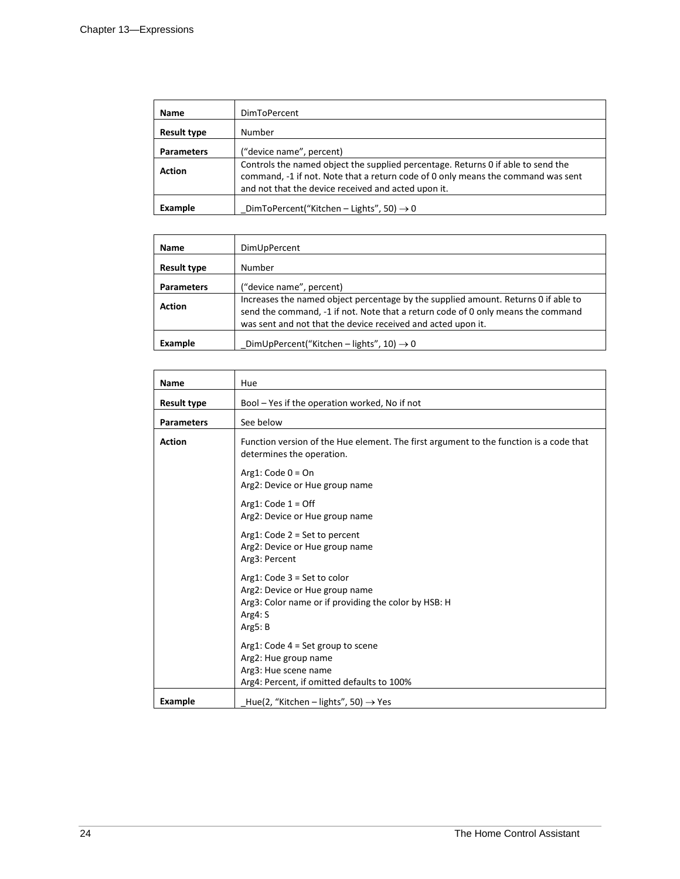| <b>Name</b>        | <b>DimToPercent</b>                                                                                                                                                                                                         |
|--------------------|-----------------------------------------------------------------------------------------------------------------------------------------------------------------------------------------------------------------------------|
| <b>Result type</b> | Number                                                                                                                                                                                                                      |
| <b>Parameters</b>  | ("device name", percent)                                                                                                                                                                                                    |
| <b>Action</b>      | Controls the named object the supplied percentage. Returns 0 if able to send the<br>command, -1 if not. Note that a return code of 0 only means the command was sent<br>and not that the device received and acted upon it. |
| Example            | DimToPercent("Kitchen – Lights", 50) $\rightarrow$ 0                                                                                                                                                                        |

| <b>Name</b>        | DimUpPercent                                                                                                                                                                                                                           |
|--------------------|----------------------------------------------------------------------------------------------------------------------------------------------------------------------------------------------------------------------------------------|
| <b>Result type</b> | Number                                                                                                                                                                                                                                 |
| <b>Parameters</b>  | ("device name", percent)                                                                                                                                                                                                               |
| <b>Action</b>      | Increases the named object percentage by the supplied amount. Returns 0 if able to<br>send the command, -1 if not. Note that a return code of 0 only means the command<br>was sent and not that the device received and acted upon it. |
| Example            | DimUpPercent("Kitchen - lights", 10) $\rightarrow$ 0                                                                                                                                                                                   |

| Name               | Hue                                                                                                                                           |
|--------------------|-----------------------------------------------------------------------------------------------------------------------------------------------|
| <b>Result type</b> | Bool - Yes if the operation worked, No if not                                                                                                 |
| <b>Parameters</b>  | See below                                                                                                                                     |
| <b>Action</b>      | Function version of the Hue element. The first argument to the function is a code that<br>determines the operation.                           |
|                    | Arg1: Code $0 = On$<br>Arg2: Device or Hue group name                                                                                         |
|                    | Arg1: Code $1 =$ Off<br>Arg2: Device or Hue group name                                                                                        |
|                    | Arg1: Code $2 = Set$ to percent<br>Arg2: Device or Hue group name<br>Arg3: Percent                                                            |
|                    | $Arg1: Code 3 = Set to color$<br>Arg2: Device or Hue group name<br>Arg3: Color name or if providing the color by HSB: H<br>Arg4: S<br>Arg5: B |
|                    | Arg1: Code $4 = Set$ group to scene<br>Arg2: Hue group name<br>Arg3: Hue scene name<br>Arg4: Percent, if omitted defaults to 100%             |
| <b>Example</b>     | Hue(2, "Kitchen - lights", 50) $\rightarrow$ Yes                                                                                              |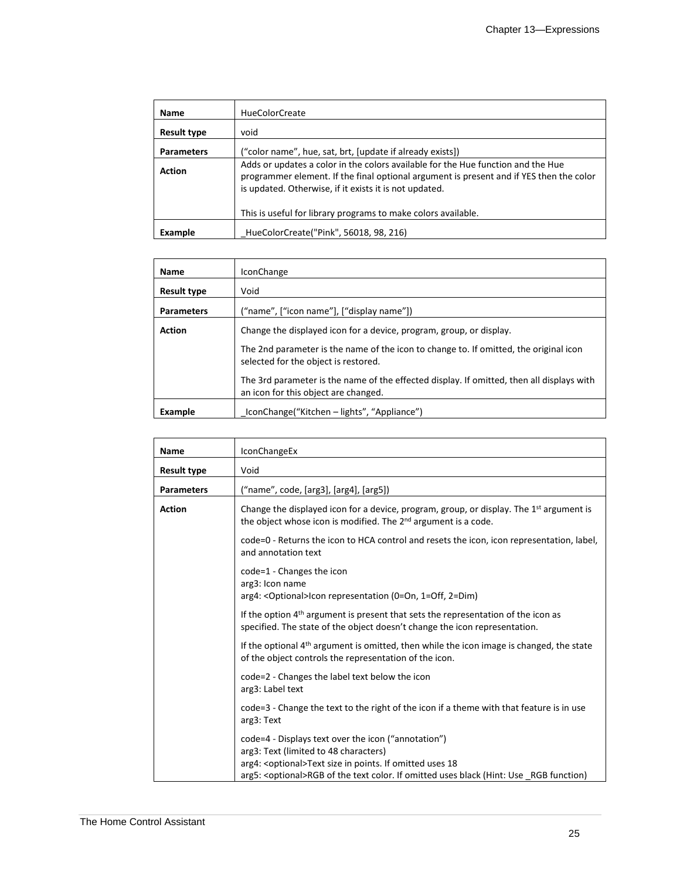| <b>Name</b>        | <b>HueColorCreate</b>                                                                                                                                                                                                                 |
|--------------------|---------------------------------------------------------------------------------------------------------------------------------------------------------------------------------------------------------------------------------------|
| <b>Result type</b> | void                                                                                                                                                                                                                                  |
| <b>Parameters</b>  | ("color name", hue, sat, brt, [update if already exists])                                                                                                                                                                             |
| <b>Action</b>      | Adds or updates a color in the colors available for the Hue function and the Hue<br>programmer element. If the final optional argument is present and if YES then the color<br>is updated. Otherwise, if it exists it is not updated. |
|                    | This is useful for library programs to make colors available.                                                                                                                                                                         |
| Example            | HueColorCreate("Pink", 56018, 98, 216)                                                                                                                                                                                                |

| Name               | IconChange                                                                                                                        |
|--------------------|-----------------------------------------------------------------------------------------------------------------------------------|
| <b>Result type</b> | Void                                                                                                                              |
| <b>Parameters</b>  | ("name", ["icon name"], ["display name"])                                                                                         |
| <b>Action</b>      | Change the displayed icon for a device, program, group, or display.                                                               |
|                    | The 2nd parameter is the name of the icon to change to. If omitted, the original icon<br>selected for the object is restored.     |
|                    | The 3rd parameter is the name of the effected display. If omitted, then all displays with<br>an icon for this object are changed. |
| Example            | IconChange("Kitchen – lights", "Appliance")                                                                                       |

| <b>Name</b>        | <b>IconChangeEx</b>                                                                                                                                                                                                                                           |
|--------------------|---------------------------------------------------------------------------------------------------------------------------------------------------------------------------------------------------------------------------------------------------------------|
| <b>Result type</b> | Void                                                                                                                                                                                                                                                          |
| <b>Parameters</b>  | ("name", code, [arg3], [arg4], [arg5])                                                                                                                                                                                                                        |
| <b>Action</b>      | Change the displayed icon for a device, program, group, or display. The $1st$ argument is<br>the object whose icon is modified. The 2 <sup>nd</sup> argument is a code.                                                                                       |
|                    | code=0 - Returns the icon to HCA control and resets the icon, icon representation, label,<br>and annotation text                                                                                                                                              |
|                    | code=1 - Changes the icon<br>arg3: Icon name<br>arg4: < Optional>Icon representation (0=On, 1=Off, 2=Dim)                                                                                                                                                     |
|                    | If the option 4 <sup>th</sup> argument is present that sets the representation of the icon as<br>specified. The state of the object doesn't change the icon representation.                                                                                   |
|                    | If the optional 4 <sup>th</sup> argument is omitted, then while the icon image is changed, the state<br>of the object controls the representation of the icon.                                                                                                |
|                    | code=2 - Changes the label text below the icon<br>arg3: Label text                                                                                                                                                                                            |
|                    | code=3 - Change the text to the right of the icon if a theme with that feature is in use<br>arg3: Text                                                                                                                                                        |
|                    | code=4 - Displays text over the icon ("annotation")<br>arg3: Text (limited to 48 characters)<br>arg4: < optional>Text size in points. If omitted uses 18<br>arg5: <optional>RGB of the text color. If omitted uses black (Hint: Use _RGB function)</optional> |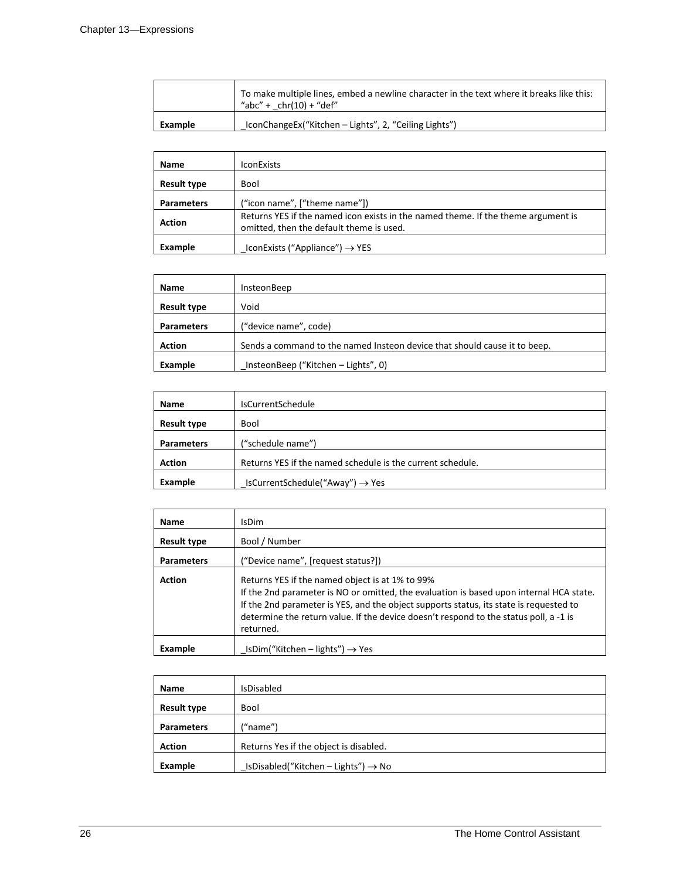|         | To make multiple lines, embed a newline character in the text where it breaks like this:<br>"abc" + $chr(10) + "def"$ |
|---------|-----------------------------------------------------------------------------------------------------------------------|
| Example | IconChangeEx("Kitchen - Lights", 2, "Ceiling Lights")                                                                 |

| <b>Name</b>        | <b>IconExists</b>                                                                                                             |
|--------------------|-------------------------------------------------------------------------------------------------------------------------------|
| <b>Result type</b> | Bool                                                                                                                          |
| <b>Parameters</b>  | ("icon name", ["theme name"])                                                                                                 |
| <b>Action</b>      | Returns YES if the named icon exists in the named theme. If the theme argument is<br>omitted, then the default theme is used. |
| Example            | IconExists ("Appliance") $\rightarrow$ YES                                                                                    |

| <b>Name</b>        | InsteonBeep                                                               |
|--------------------|---------------------------------------------------------------------------|
| <b>Result type</b> | Void                                                                      |
| <b>Parameters</b>  | ("device name", code)                                                     |
| <b>Action</b>      | Sends a command to the named Insteon device that should cause it to beep. |
| Example            | InsteonBeep ("Kitchen – Lights", 0)                                       |

| Name               | <b>IsCurrentSchedule</b>                                   |
|--------------------|------------------------------------------------------------|
| <b>Result type</b> | Bool                                                       |
| <b>Parameters</b>  | ("schedule name")                                          |
| <b>Action</b>      | Returns YES if the named schedule is the current schedule. |
| Example            | IsCurrentSchedule("Away") $\rightarrow$ Yes                |

| <b>Name</b>        | IsDim                                                                                                                                                                                                                                                                                                                                      |
|--------------------|--------------------------------------------------------------------------------------------------------------------------------------------------------------------------------------------------------------------------------------------------------------------------------------------------------------------------------------------|
| <b>Result type</b> | Bool / Number                                                                                                                                                                                                                                                                                                                              |
| <b>Parameters</b>  | ("Device name", [request status?])                                                                                                                                                                                                                                                                                                         |
| <b>Action</b>      | Returns YES if the named object is at 1% to 99%<br>If the 2nd parameter is NO or omitted, the evaluation is based upon internal HCA state.<br>If the 2nd parameter is YES, and the object supports status, its state is requested to<br>determine the return value. If the device doesn't respond to the status poll, a -1 is<br>returned. |
| Example            | $LsDim("Kitchen - lights") \rightarrow Yes$                                                                                                                                                                                                                                                                                                |

| <b>Name</b>        | <b>IsDisabled</b>                                   |
|--------------------|-----------------------------------------------------|
| <b>Result type</b> | Bool                                                |
| <b>Parameters</b>  | ("name")                                            |
| <b>Action</b>      | Returns Yes if the object is disabled.              |
| Example            | $L$ IsDisabled("Kitchen – Lights") $\rightarrow$ No |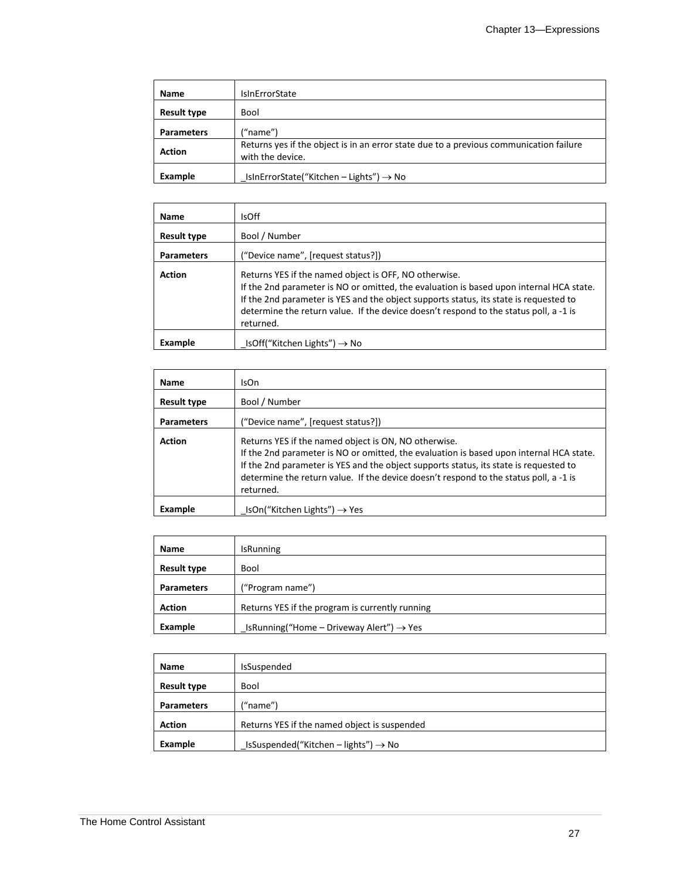| Name               | <b>IsinErrorState</b>                                                                                      |
|--------------------|------------------------------------------------------------------------------------------------------------|
| <b>Result type</b> | Bool                                                                                                       |
| <b>Parameters</b>  | ("name")                                                                                                   |
| <b>Action</b>      | Returns yes if the object is in an error state due to a previous communication failure<br>with the device. |
| Example            | IsInErrorState("Kitchen - Lights") $\rightarrow$ No                                                        |

| <b>Name</b>        | IsOff                                                                                                                                                                                                                                                                                                                                           |
|--------------------|-------------------------------------------------------------------------------------------------------------------------------------------------------------------------------------------------------------------------------------------------------------------------------------------------------------------------------------------------|
| <b>Result type</b> | Bool / Number                                                                                                                                                                                                                                                                                                                                   |
| <b>Parameters</b>  | ("Device name", [request status?])                                                                                                                                                                                                                                                                                                              |
| <b>Action</b>      | Returns YES if the named object is OFF, NO otherwise.<br>If the 2nd parameter is NO or omitted, the evaluation is based upon internal HCA state.<br>If the 2nd parameter is YES and the object supports status, its state is requested to<br>determine the return value. If the device doesn't respond to the status poll, a -1 is<br>returned. |
| Example            | IsOff("Kitchen Lights") $\rightarrow$ No                                                                                                                                                                                                                                                                                                        |

| <b>Name</b>        | IsOn                                                                                                                                                                                                                                                                                                                                           |
|--------------------|------------------------------------------------------------------------------------------------------------------------------------------------------------------------------------------------------------------------------------------------------------------------------------------------------------------------------------------------|
| <b>Result type</b> | Bool / Number                                                                                                                                                                                                                                                                                                                                  |
| <b>Parameters</b>  | ("Device name", [request status?])                                                                                                                                                                                                                                                                                                             |
| <b>Action</b>      | Returns YES if the named object is ON, NO otherwise.<br>If the 2nd parameter is NO or omitted, the evaluation is based upon internal HCA state.<br>If the 2nd parameter is YES and the object supports status, its state is requested to<br>determine the return value. If the device doesn't respond to the status poll, a -1 is<br>returned. |
| Example            | $IsOn("Kitchen Lights") \rightarrow Yes$                                                                                                                                                                                                                                                                                                       |

| Name               | <b>IsRunning</b>                                     |
|--------------------|------------------------------------------------------|
| <b>Result type</b> | Bool                                                 |
| <b>Parameters</b>  | ("Program name")                                     |
| <b>Action</b>      | Returns YES if the program is currently running      |
| Example            | IsRunning("Home – Driveway Alert") $\rightarrow$ Yes |

| Name               | IsSuspended                                      |
|--------------------|--------------------------------------------------|
| <b>Result type</b> | <b>Bool</b>                                      |
| <b>Parameters</b>  | ("name")                                         |
| <b>Action</b>      | Returns YES if the named object is suspended     |
| Example            | IsSuspended("Kitchen - lights") $\rightarrow$ No |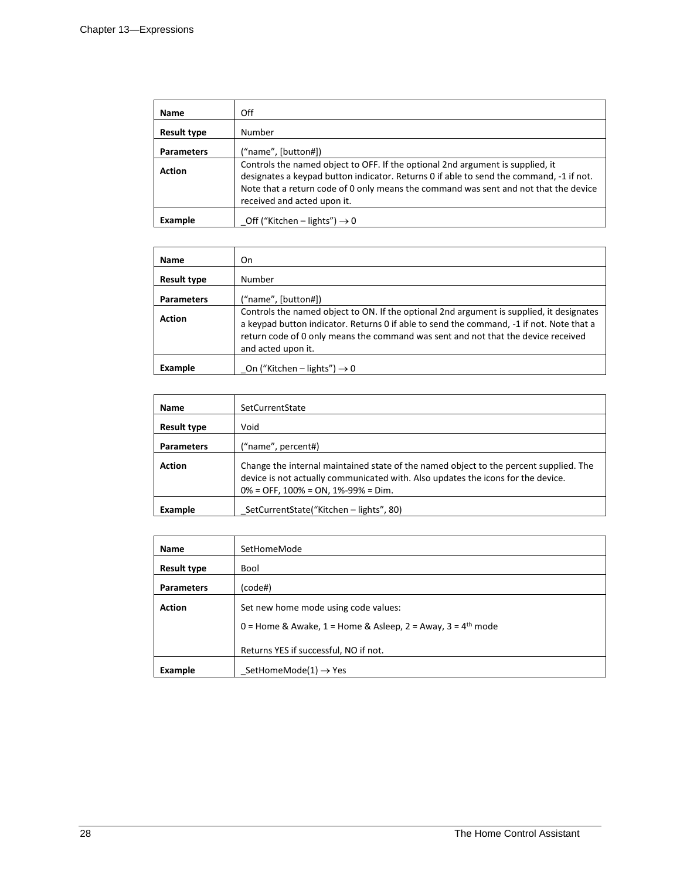| Name               | Off                                                                                                                                                                                                                                                                                              |  |
|--------------------|--------------------------------------------------------------------------------------------------------------------------------------------------------------------------------------------------------------------------------------------------------------------------------------------------|--|
| <b>Result type</b> | Number                                                                                                                                                                                                                                                                                           |  |
| <b>Parameters</b>  | ("name", [button#])                                                                                                                                                                                                                                                                              |  |
| <b>Action</b>      | Controls the named object to OFF. If the optional 2nd argument is supplied, it<br>designates a keypad button indicator. Returns 0 if able to send the command, -1 if not.<br>Note that a return code of 0 only means the command was sent and not that the device<br>received and acted upon it. |  |
| <b>Example</b>     | Off ("Kitchen – lights") $\rightarrow$ 0                                                                                                                                                                                                                                                         |  |

| <b>Name</b>        | On                                                                                                                                                                                                                                                                                              |
|--------------------|-------------------------------------------------------------------------------------------------------------------------------------------------------------------------------------------------------------------------------------------------------------------------------------------------|
| <b>Result type</b> | Number                                                                                                                                                                                                                                                                                          |
| <b>Parameters</b>  | ("name", [button#])                                                                                                                                                                                                                                                                             |
| <b>Action</b>      | Controls the named object to ON. If the optional 2nd argument is supplied, it designates<br>a keypad button indicator. Returns 0 if able to send the command, -1 if not. Note that a<br>return code of 0 only means the command was sent and not that the device received<br>and acted upon it. |
| Example            | On ("Kitchen – lights") $\rightarrow$ 0                                                                                                                                                                                                                                                         |

| <b>Name</b>       | SetCurrentState                                                                                                                                                                                                    |
|-------------------|--------------------------------------------------------------------------------------------------------------------------------------------------------------------------------------------------------------------|
| Result type       | Void                                                                                                                                                                                                               |
| <b>Parameters</b> | ("name", percent#)                                                                                                                                                                                                 |
| <b>Action</b>     | Change the internal maintained state of the named object to the percent supplied. The<br>device is not actually communicated with. Also updates the icons for the device.<br>$0\%$ = OFF, 100% = ON, 1%-99% = Dim. |
| Example           | SetCurrentState("Kitchen - lights", 80)                                                                                                                                                                            |

| <b>Name</b>        | SetHomeMode                                                   |  |
|--------------------|---------------------------------------------------------------|--|
| <b>Result type</b> | Bool                                                          |  |
| <b>Parameters</b>  | (code#)                                                       |  |
| <b>Action</b>      | Set new home mode using code values:                          |  |
|                    | 0 = Home & Awake, 1 = Home & Asleep, 2 = Away, 3 = $4th$ mode |  |
|                    | Returns YES if successful, NO if not.                         |  |
| Example            | SetHomeMode(1) $\rightarrow$ Yes                              |  |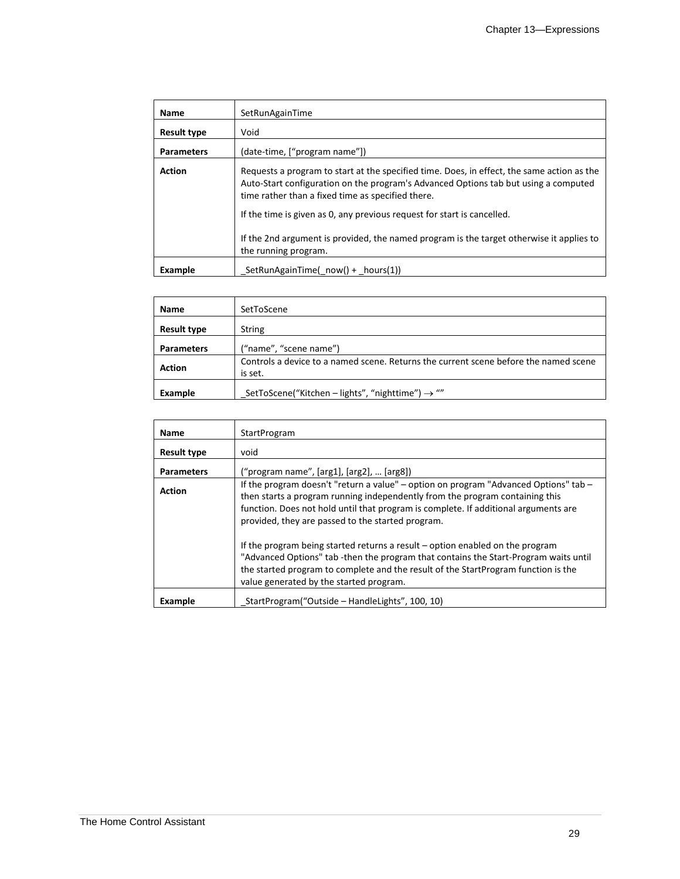| <b>Name</b>        | SetRunAgainTime                                                                                                                                                                                                                        |  |
|--------------------|----------------------------------------------------------------------------------------------------------------------------------------------------------------------------------------------------------------------------------------|--|
| <b>Result type</b> | Void                                                                                                                                                                                                                                   |  |
| <b>Parameters</b>  | (date-time, ["program name"])                                                                                                                                                                                                          |  |
| <b>Action</b>      | Requests a program to start at the specified time. Does, in effect, the same action as the<br>Auto-Start configuration on the program's Advanced Options tab but using a computed<br>time rather than a fixed time as specified there. |  |
|                    | If the time is given as 0, any previous request for start is cancelled.                                                                                                                                                                |  |
|                    | If the 2nd argument is provided, the named program is the target otherwise it applies to<br>the running program.                                                                                                                       |  |
| Example            | _SetRunAgainTime(_now() + _hours(1))                                                                                                                                                                                                   |  |

| Name               | SetToScene                                                                                      |  |  |
|--------------------|-------------------------------------------------------------------------------------------------|--|--|
| <b>Result type</b> | <b>String</b>                                                                                   |  |  |
| <b>Parameters</b>  | ("name", "scene name")                                                                          |  |  |
| <b>Action</b>      | Controls a device to a named scene. Returns the current scene before the named scene<br>is set. |  |  |
| Example            | SetToScene("Kitchen – lights", "nighttime") $\rightarrow$ ""                                    |  |  |

| Name               | StartProgram                                                                                                                                                                                                                                                                                                     |  |
|--------------------|------------------------------------------------------------------------------------------------------------------------------------------------------------------------------------------------------------------------------------------------------------------------------------------------------------------|--|
| <b>Result type</b> | void                                                                                                                                                                                                                                                                                                             |  |
| <b>Parameters</b>  | ("program name", [arg1], [arg2],  [arg8])                                                                                                                                                                                                                                                                        |  |
| <b>Action</b>      | If the program doesn't "return a value" – option on program "Advanced Options" tab –<br>then starts a program running independently from the program containing this<br>function. Does not hold until that program is complete. If additional arguments are<br>provided, they are passed to the started program. |  |
|                    | If the program being started returns a result - option enabled on the program<br>"Advanced Options" tab -then the program that contains the Start-Program waits until<br>the started program to complete and the result of the StartProgram function is the<br>value generated by the started program.           |  |
| Example            | StartProgram("Outside – HandleLights", 100, 10)                                                                                                                                                                                                                                                                  |  |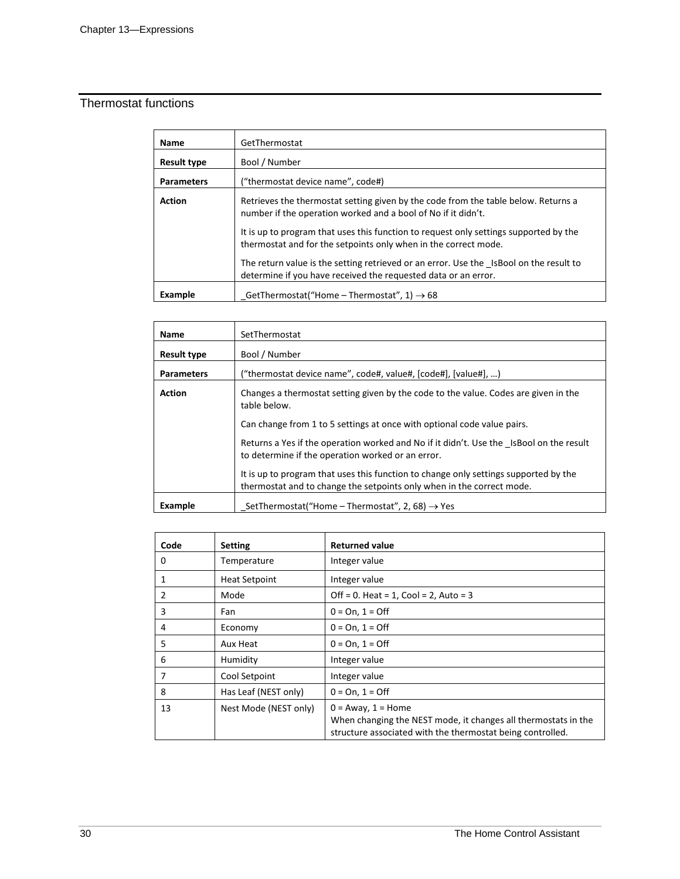# Thermostat functions

| <b>Name</b>        | GetThermostat                                                                                                                                            |  |
|--------------------|----------------------------------------------------------------------------------------------------------------------------------------------------------|--|
| <b>Result type</b> | Bool / Number                                                                                                                                            |  |
| <b>Parameters</b>  | ("thermostat device name", code#)                                                                                                                        |  |
| <b>Action</b>      | Retrieves the thermostat setting given by the code from the table below. Returns a<br>number if the operation worked and a bool of No if it didn't.      |  |
|                    | It is up to program that uses this function to request only settings supported by the<br>thermostat and for the setpoints only when in the correct mode. |  |
|                    | The return value is the setting retrieved or an error. Use the IsBool on the result to<br>determine if you have received the requested data or an error. |  |
| Example            | GetThermostat("Home – Thermostat", 1) $\rightarrow$ 68                                                                                                   |  |

| Name               | SetThermostat                                                                                                                                                 |  |
|--------------------|---------------------------------------------------------------------------------------------------------------------------------------------------------------|--|
| <b>Result type</b> | Bool / Number                                                                                                                                                 |  |
| <b>Parameters</b>  | ("thermostat device name", code#, value#, [code#], [value#], )                                                                                                |  |
| <b>Action</b>      | Changes a thermostat setting given by the code to the value. Codes are given in the<br>table below.                                                           |  |
|                    | Can change from 1 to 5 settings at once with optional code value pairs.                                                                                       |  |
|                    | Returns a Yes if the operation worked and No if it didn't. Use the IsBool on the result<br>to determine if the operation worked or an error.                  |  |
|                    | It is up to program that uses this function to change only settings supported by the<br>thermostat and to change the setpoints only when in the correct mode. |  |
| Example            | SetThermostat("Home – Thermostat", 2, 68) $\rightarrow$ Yes                                                                                                   |  |

| Code | <b>Setting</b>        | <b>Returned value</b>                                                                                                                                   |
|------|-----------------------|---------------------------------------------------------------------------------------------------------------------------------------------------------|
| 0    | Temperature           | Integer value                                                                                                                                           |
|      | <b>Heat Setpoint</b>  | Integer value                                                                                                                                           |
| 2    | Mode                  | Off = 0. Heat = $1$ , Cool = $2$ , Auto = $3$                                                                                                           |
| 3    | Fan                   | $0 = On, 1 = Off$                                                                                                                                       |
| 4    | Economy               | $0 = On, 1 = Off$                                                                                                                                       |
| 5    | Aux Heat              | $0 = On, 1 = Off$                                                                                                                                       |
| 6    | Humidity              | Integer value                                                                                                                                           |
| 7    | Cool Setpoint         | Integer value                                                                                                                                           |
| 8    | Has Leaf (NEST only)  | $0 = On, 1 = Off$                                                                                                                                       |
| 13   | Nest Mode (NEST only) | $0 = A$ way, $1 =$ Home<br>When changing the NEST mode, it changes all thermostats in the<br>structure associated with the thermostat being controlled. |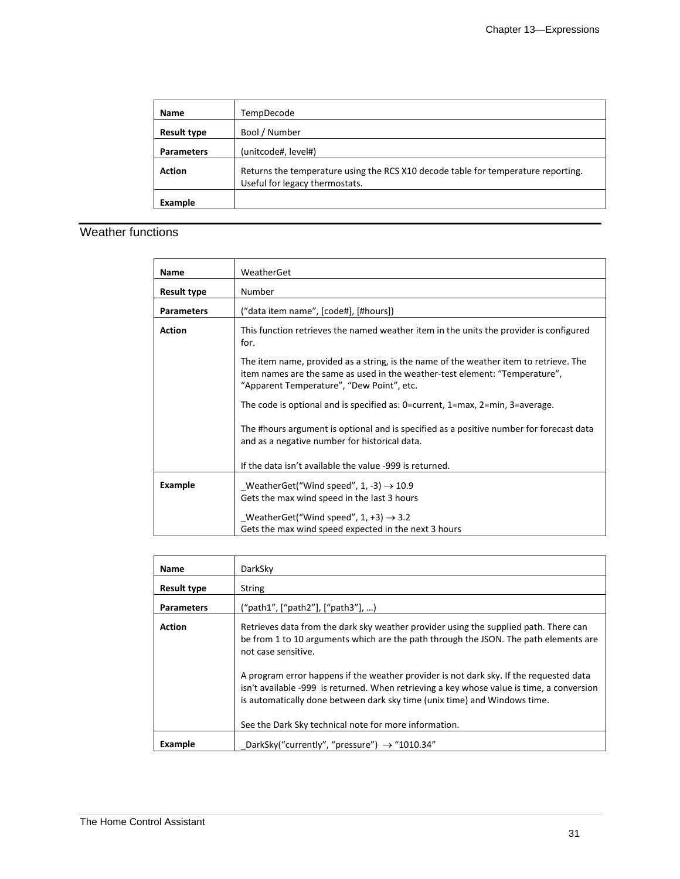| <b>Name</b>        | TempDecode                                                                                                          |  |
|--------------------|---------------------------------------------------------------------------------------------------------------------|--|
| <b>Result type</b> | Bool / Number                                                                                                       |  |
| <b>Parameters</b>  | (unitcode#, level#)                                                                                                 |  |
| <b>Action</b>      | Returns the temperature using the RCS X10 decode table for temperature reporting.<br>Useful for legacy thermostats. |  |
| Example            |                                                                                                                     |  |

### Weather functions

| <b>Name</b>        | WeatherGet                                                                                                                                                                                                        |  |
|--------------------|-------------------------------------------------------------------------------------------------------------------------------------------------------------------------------------------------------------------|--|
| <b>Result type</b> | Number                                                                                                                                                                                                            |  |
| <b>Parameters</b>  | ("data item name", [code#], [#hours])                                                                                                                                                                             |  |
| <b>Action</b>      | This function retrieves the named weather item in the units the provider is configured<br>for.                                                                                                                    |  |
|                    | The item name, provided as a string, is the name of the weather item to retrieve. The<br>item names are the same as used in the weather-test element: "Temperature",<br>"Apparent Temperature", "Dew Point", etc. |  |
|                    | The code is optional and is specified as: 0=current, 1=max, 2=min, 3=average.                                                                                                                                     |  |
|                    | The #hours argument is optional and is specified as a positive number for forecast data<br>and as a negative number for historical data.                                                                          |  |
|                    | If the data isn't available the value -999 is returned.                                                                                                                                                           |  |
| Example            | WeatherGet("Wind speed", 1, -3) $\rightarrow$ 10.9<br>Gets the max wind speed in the last 3 hours                                                                                                                 |  |
|                    | WeatherGet("Wind speed", 1, +3) $\rightarrow$ 3.2<br>Gets the max wind speed expected in the next 3 hours                                                                                                         |  |

| Name               | DarkSky                                                                                                                                                                                                                                                          |
|--------------------|------------------------------------------------------------------------------------------------------------------------------------------------------------------------------------------------------------------------------------------------------------------|
| <b>Result type</b> | String                                                                                                                                                                                                                                                           |
| <b>Parameters</b>  | ("path1", ["path2"], ["path3"], )                                                                                                                                                                                                                                |
| <b>Action</b>      | Retrieves data from the dark sky weather provider using the supplied path. There can<br>be from 1 to 10 arguments which are the path through the JSON. The path elements are<br>not case sensitive.                                                              |
|                    | A program error happens if the weather provider is not dark sky. If the requested data<br>isn't available -999 is returned. When retrieving a key whose value is time, a conversion<br>is automatically done between dark sky time (unix time) and Windows time. |
|                    | See the Dark Sky technical note for more information.                                                                                                                                                                                                            |
| Example            | DarkSky("currently", "pressure") $\rightarrow$ "1010.34"                                                                                                                                                                                                         |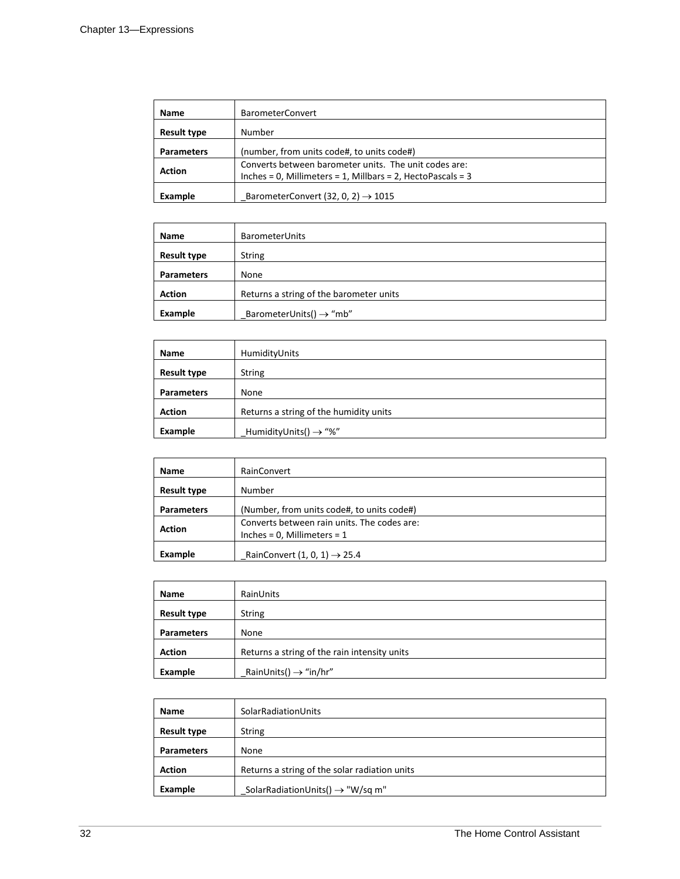| Name               | <b>BarometerConvert</b>                                                                                              |
|--------------------|----------------------------------------------------------------------------------------------------------------------|
| <b>Result type</b> | Number                                                                                                               |
| <b>Parameters</b>  | (number, from units code#, to units code#)                                                                           |
| <b>Action</b>      | Converts between barometer units. The unit codes are:<br>Inches = 0, Millimeters = 1, Millbars = 2, HectoPascals = 3 |
| Example            | BarometerConvert (32, 0, 2) $\rightarrow$ 1015                                                                       |

| Name               | <b>BarometerUnits</b>                   |
|--------------------|-----------------------------------------|
| <b>Result type</b> | <b>String</b>                           |
| <b>Parameters</b>  | None                                    |
| <b>Action</b>      | Returns a string of the barometer units |
| Example            | BarometerUnits() $\rightarrow$ "mb"     |

| Name               | HumidityUnits                          |
|--------------------|----------------------------------------|
| <b>Result type</b> | <b>String</b>                          |
| <b>Parameters</b>  | None                                   |
| <b>Action</b>      | Returns a string of the humidity units |
| Example            | HumidityUnits() $\rightarrow$ "%"      |

| Name               | RainConvert                                                                     |
|--------------------|---------------------------------------------------------------------------------|
| <b>Result type</b> | Number                                                                          |
| <b>Parameters</b>  | (Number, from units code#, to units code#)                                      |
| <b>Action</b>      | Converts between rain units. The codes are:<br>Inches = $0$ , Millimeters = $1$ |
| Example            | RainConvert $(1, 0, 1) \rightarrow 25.4$                                        |

| <b>Name</b>        | RainUnits                                    |
|--------------------|----------------------------------------------|
| <b>Result type</b> | <b>String</b>                                |
| <b>Parameters</b>  | None                                         |
| <b>Action</b>      | Returns a string of the rain intensity units |
| Example            | RainUnits() $\rightarrow$ "in/hr"            |

| Name               | SolarRadiationUnits                           |
|--------------------|-----------------------------------------------|
| <b>Result type</b> | <b>String</b>                                 |
| <b>Parameters</b>  | None                                          |
| <b>Action</b>      | Returns a string of the solar radiation units |
| Example            | SolarRadiationUnits() $\rightarrow$ "W/sq m"  |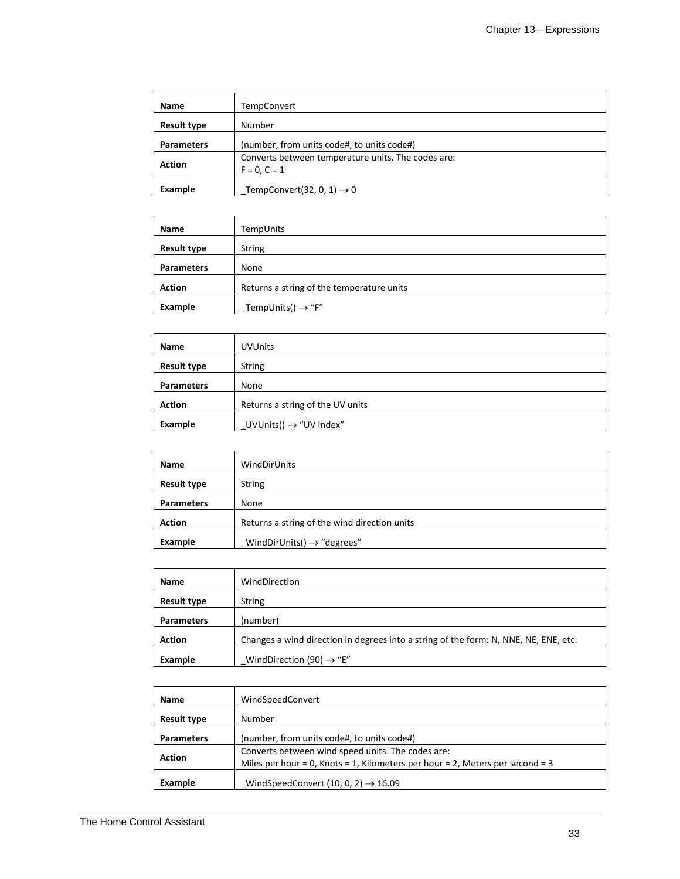| Name               | <b>TempConvert</b>                                                   |
|--------------------|----------------------------------------------------------------------|
| <b>Result type</b> | Number                                                               |
| <b>Parameters</b>  | (number, from units code#, to units code#)                           |
| <b>Action</b>      | Converts between temperature units. The codes are:<br>$F = 0. C = 1$ |
| Example            | TempConvert(32, 0, 1) $\rightarrow$ 0                                |

| <b>Name</b>        | TempUnits                                 |
|--------------------|-------------------------------------------|
| <b>Result type</b> | <b>String</b>                             |
| <b>Parameters</b>  | None                                      |
| <b>Action</b>      | Returns a string of the temperature units |
| Example            | TempUnits() $\rightarrow$ "F"             |

| Name               | <b>UVUnits</b>                     |
|--------------------|------------------------------------|
| <b>Result type</b> | <b>String</b>                      |
| <b>Parameters</b>  | None                               |
| <b>Action</b>      | Returns a string of the UV units   |
| Example            | $UVUnits() \rightarrow "UV Index"$ |

| Name               | WindDirUnits                                 |
|--------------------|----------------------------------------------|
| <b>Result type</b> | <b>String</b>                                |
| <b>Parameters</b>  | None                                         |
| <b>Action</b>      | Returns a string of the wind direction units |
| Example            | WindDirUnits() $\rightarrow$ "degrees"       |

| Name               | WindDirection                                                                        |
|--------------------|--------------------------------------------------------------------------------------|
| <b>Result type</b> | <b>String</b>                                                                        |
| <b>Parameters</b>  | (number)                                                                             |
| <b>Action</b>      | Changes a wind direction in degrees into a string of the form: N, NNE, NE, ENE, etc. |
| Example            | WindDirection (90) $\rightarrow$ "E"                                                 |

| <b>Name</b>        | WindSpeedConvert                                                              |
|--------------------|-------------------------------------------------------------------------------|
| <b>Result type</b> | Number                                                                        |
| <b>Parameters</b>  | (number, from units code#, to units code#)                                    |
| <b>Action</b>      | Converts between wind speed units. The codes are:                             |
|                    | Miles per hour = 0, Knots = 1, Kilometers per hour = 2, Meters per second = 3 |
|                    |                                                                               |
| Example            | WindSpeedConvert (10, 0, 2) $\rightarrow$ 16.09                               |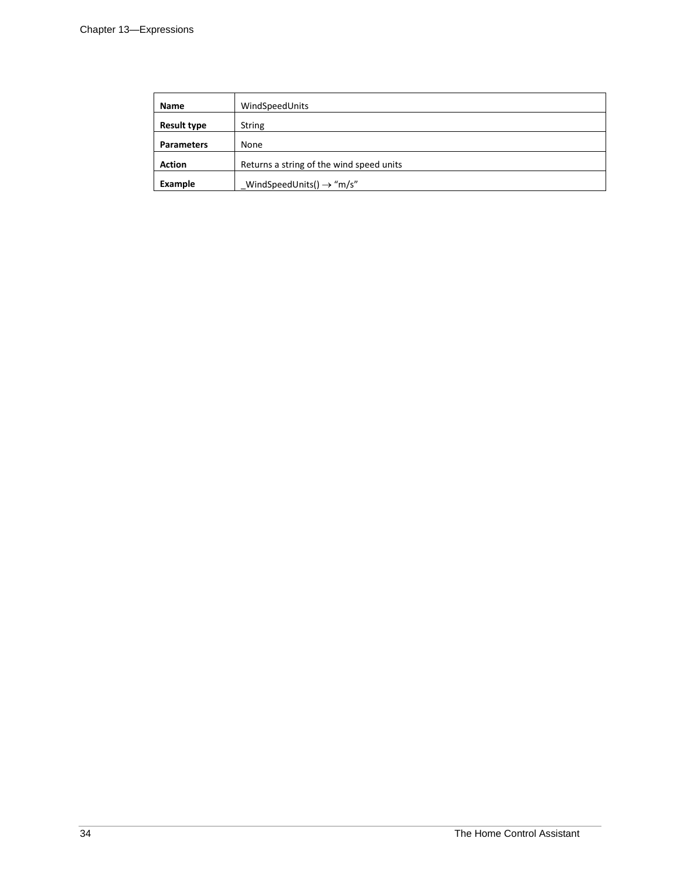| Name               | WindSpeedUnits                           |
|--------------------|------------------------------------------|
| <b>Result type</b> | <b>String</b>                            |
| <b>Parameters</b>  | None                                     |
| <b>Action</b>      | Returns a string of the wind speed units |
| Example            | WindSpeedUnits() $\rightarrow$ "m/s"     |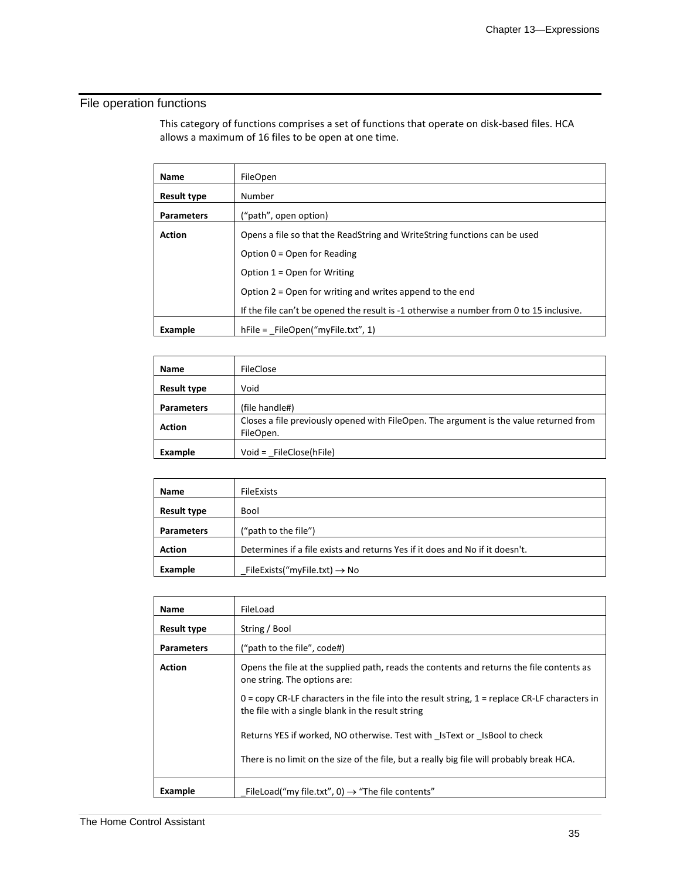# File operation functions

This category of functions comprises a set of functions that operate on disk-based files. HCA allows a maximum of 16 files to be open at one time.

| Name              | FileOpen                                                                                |
|-------------------|-----------------------------------------------------------------------------------------|
| Result type       | Number                                                                                  |
| <b>Parameters</b> | ("path", open option)                                                                   |
| <b>Action</b>     | Opens a file so that the ReadString and WriteString functions can be used               |
|                   | Option $0 =$ Open for Reading                                                           |
|                   | Option $1 =$ Open for Writing                                                           |
|                   | Option $2 =$ Open for writing and writes append to the end                              |
|                   | If the file can't be opened the result is -1 otherwise a number from 0 to 15 inclusive. |
| Example           | $hFile = FileOpen("myFile.txt", 1)$                                                     |

| <b>Name</b>        | <b>FileClose</b>                                                                                    |
|--------------------|-----------------------------------------------------------------------------------------------------|
| <b>Result type</b> | Void                                                                                                |
| <b>Parameters</b>  | (file handle#)                                                                                      |
| <b>Action</b>      | Closes a file previously opened with FileOpen. The argument is the value returned from<br>FileOpen. |
| Example            | Void = FileClose(hFile)                                                                             |

| Name               | <b>FileExists</b>                                                            |
|--------------------|------------------------------------------------------------------------------|
| <b>Result type</b> | Bool                                                                         |
| <b>Parameters</b>  | ("path to the file")                                                         |
| <b>Action</b>      | Determines if a file exists and returns Yes if it does and No if it doesn't. |
| Example            | FileExists("myFile.txt) $\rightarrow$ No                                     |

| <b>Name</b>        | FileLoad                                                                                                                                               |
|--------------------|--------------------------------------------------------------------------------------------------------------------------------------------------------|
| <b>Result type</b> | String / Bool                                                                                                                                          |
| <b>Parameters</b>  | ("path to the file", code#)                                                                                                                            |
| <b>Action</b>      | Opens the file at the supplied path, reads the contents and returns the file contents as<br>one string. The options are:                               |
|                    | $0 =$ copy CR-LF characters in the file into the result string, $1 =$ replace CR-LF characters in<br>the file with a single blank in the result string |
|                    | Returns YES if worked, NO otherwise. Test with IsText or IsBool to check                                                                               |
|                    | There is no limit on the size of the file, but a really big file will probably break HCA.                                                              |
| Example            | FileLoad("my file.txt", 0) $\rightarrow$ "The file contents"                                                                                           |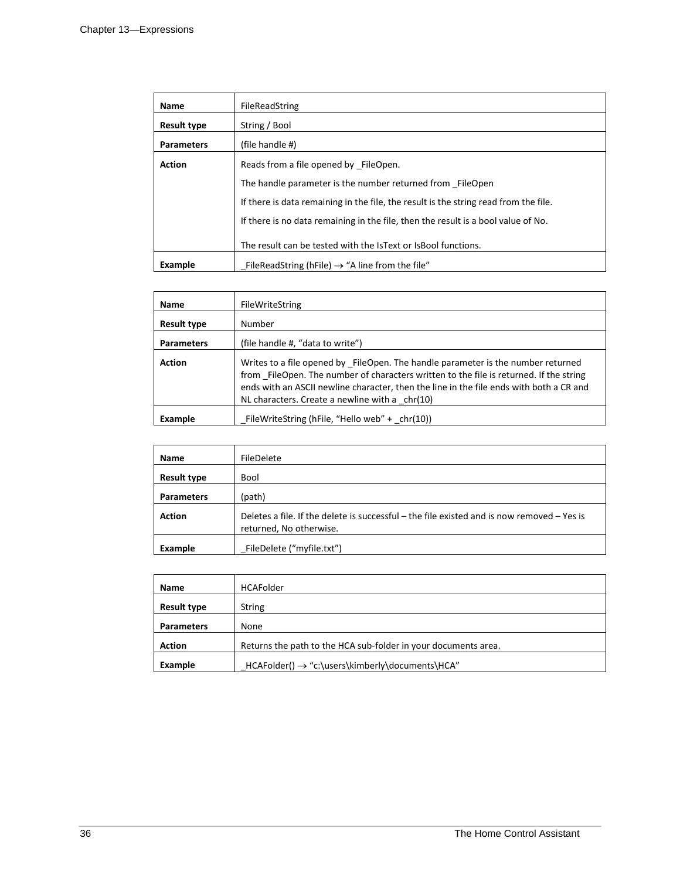| <b>Name</b>        | FileReadString                                                                       |
|--------------------|--------------------------------------------------------------------------------------|
| <b>Result type</b> | String / Bool                                                                        |
| <b>Parameters</b>  | (file handle #)                                                                      |
| <b>Action</b>      | Reads from a file opened by FileOpen.                                                |
|                    | The handle parameter is the number returned from FileOpen                            |
|                    | If there is data remaining in the file, the result is the string read from the file. |
|                    | If there is no data remaining in the file, then the result is a bool value of No.    |
|                    | The result can be tested with the IsText or IsBool functions.                        |
| Example            | FileReadString (hFile) $\rightarrow$ "A line from the file"                          |

| <b>Name</b>        | FileWriteString                                                                                                                                                                                                                                                                                                           |
|--------------------|---------------------------------------------------------------------------------------------------------------------------------------------------------------------------------------------------------------------------------------------------------------------------------------------------------------------------|
| <b>Result type</b> | Number                                                                                                                                                                                                                                                                                                                    |
| <b>Parameters</b>  | (file handle #, "data to write")                                                                                                                                                                                                                                                                                          |
| <b>Action</b>      | Writes to a file opened by FileOpen. The handle parameter is the number returned<br>from FileOpen. The number of characters written to the file is returned. If the string<br>ends with an ASCII newline character, then the line in the file ends with both a CR and<br>NL characters. Create a newline with a $chr(10)$ |
| Example            | FileWriteString (hFile, "Hello web" + chr(10))                                                                                                                                                                                                                                                                            |

| <b>Name</b>        | FileDelete                                                                                                            |
|--------------------|-----------------------------------------------------------------------------------------------------------------------|
| <b>Result type</b> | Bool                                                                                                                  |
| <b>Parameters</b>  | (path)                                                                                                                |
| <b>Action</b>      | Deletes a file. If the delete is successful – the file existed and is now removed – Yes is<br>returned, No otherwise. |
| Example            | FileDelete ("myfile.txt")                                                                                             |

| Name               | <b>HCAFolder</b>                                               |
|--------------------|----------------------------------------------------------------|
| <b>Result type</b> | String                                                         |
| <b>Parameters</b>  | None                                                           |
| <b>Action</b>      | Returns the path to the HCA sub-folder in your documents area. |
| Example            | $HCAFolder() \rightarrow "c:\users\kimberly\documents\HCA"$    |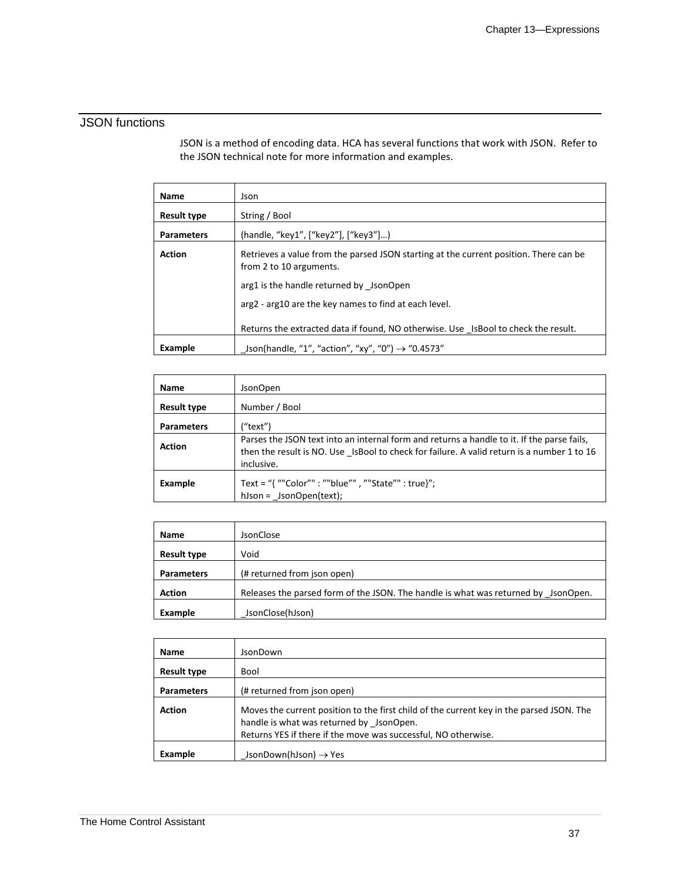### JSON functions

JSON is a method of encoding data. HCA has several functions that work with JSON. Refer to the JSON technical note for more information and examples.

| Name               | Json                                                                                                             |
|--------------------|------------------------------------------------------------------------------------------------------------------|
| <b>Result type</b> | String / Bool                                                                                                    |
| <b>Parameters</b>  | (handle, "key1", ["key2"], ["key3"])                                                                             |
| <b>Action</b>      | Retrieves a value from the parsed JSON starting at the current position. There can be<br>from 2 to 10 arguments. |
|                    | arg1 is the handle returned by JsonOpen                                                                          |
|                    | arg2 - arg10 are the key names to find at each level.                                                            |
|                    | Returns the extracted data if found, NO otherwise. Use IsBool to check the result.                               |
| Example            | Json(handle, "1", "action", "xy", "0") $\rightarrow$ "0.4573"                                                    |

| <b>Name</b>        | JsonOpen                                                                                                                                                                                               |
|--------------------|--------------------------------------------------------------------------------------------------------------------------------------------------------------------------------------------------------|
| <b>Result type</b> | Number / Bool                                                                                                                                                                                          |
| <b>Parameters</b>  | ("text")                                                                                                                                                                                               |
| <b>Action</b>      | Parses the JSON text into an internal form and returns a handle to it. If the parse fails,<br>then the result is NO. Use IsBool to check for failure. A valid return is a number 1 to 16<br>inclusive. |
| Example            | Text = "{ ""Color"" : ""blue"", ""State"" : true}";<br>$h$ Json = JsonOpen(text);                                                                                                                      |

| <b>Name</b>        | <b>JsonClose</b>                                                                   |
|--------------------|------------------------------------------------------------------------------------|
| <b>Result type</b> | Void                                                                               |
| <b>Parameters</b>  | (# returned from json open)                                                        |
| <b>Action</b>      | Releases the parsed form of the JSON. The handle is what was returned by JsonOpen. |
| Example            | JsonClose(hJson)                                                                   |

| <b>Name</b>        | JsonDown                                                                                                                                                                                               |
|--------------------|--------------------------------------------------------------------------------------------------------------------------------------------------------------------------------------------------------|
| <b>Result type</b> | Bool                                                                                                                                                                                                   |
| <b>Parameters</b>  | (# returned from json open)                                                                                                                                                                            |
| <b>Action</b>      | Moves the current position to the first child of the current key in the parsed JSON. The<br>handle is what was returned by JsonOpen.<br>Returns YES if there if the move was successful, NO otherwise. |
| Example            | JsonDown(hJson) $\rightarrow$ Yes                                                                                                                                                                      |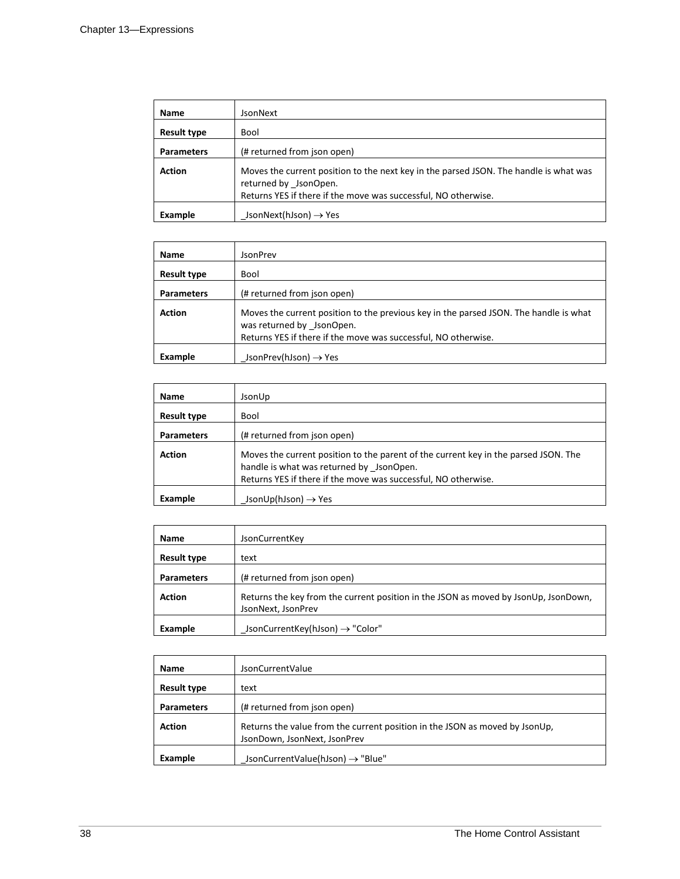| Name               | JsonNext                                                                                                                                                                         |
|--------------------|----------------------------------------------------------------------------------------------------------------------------------------------------------------------------------|
| <b>Result type</b> | <b>Bool</b>                                                                                                                                                                      |
| <b>Parameters</b>  | (# returned from json open)                                                                                                                                                      |
| <b>Action</b>      | Moves the current position to the next key in the parsed JSON. The handle is what was<br>returned by JsonOpen.<br>Returns YES if there if the move was successful, NO otherwise. |
| Example            | JsonNext(hJson) $\rightarrow$ Yes                                                                                                                                                |

| <b>Name</b>        | JsonPrev                                                                                                                                                                             |
|--------------------|--------------------------------------------------------------------------------------------------------------------------------------------------------------------------------------|
| <b>Result type</b> | <b>Bool</b>                                                                                                                                                                          |
| <b>Parameters</b>  | (# returned from json open)                                                                                                                                                          |
| <b>Action</b>      | Moves the current position to the previous key in the parsed JSON. The handle is what<br>was returned by JsonOpen.<br>Returns YES if there if the move was successful, NO otherwise. |
| Example            | JsonPrev(hJson) $\rightarrow$ Yes                                                                                                                                                    |

| <b>Name</b>       | JsonUp                                                                                                                                                                                            |
|-------------------|---------------------------------------------------------------------------------------------------------------------------------------------------------------------------------------------------|
| Result type       | Bool                                                                                                                                                                                              |
| <b>Parameters</b> | (# returned from json open)                                                                                                                                                                       |
| <b>Action</b>     | Moves the current position to the parent of the current key in the parsed JSON. The<br>handle is what was returned by JsonOpen.<br>Returns YES if there if the move was successful, NO otherwise. |
| Example           | JsonUp(hJson) $\rightarrow$ Yes                                                                                                                                                                   |

| <b>Name</b>        | <b>JsonCurrentKey</b>                                                                                     |
|--------------------|-----------------------------------------------------------------------------------------------------------|
| <b>Result type</b> | text                                                                                                      |
| <b>Parameters</b>  | (# returned from json open)                                                                               |
| <b>Action</b>      | Returns the key from the current position in the JSON as moved by JsonUp, JsonDown,<br>JsonNext, JsonPrev |
| Example            | JsonCurrentKey(hJson) $\rightarrow$ "Color"                                                               |

| <b>Name</b>        | <b>JsonCurrentValue</b>                                                                                     |
|--------------------|-------------------------------------------------------------------------------------------------------------|
| <b>Result type</b> | text                                                                                                        |
| <b>Parameters</b>  | (# returned from json open)                                                                                 |
| <b>Action</b>      | Returns the value from the current position in the JSON as moved by JsonUp,<br>JsonDown, JsonNext, JsonPrev |
| Example            | JsonCurrentValue(hJson) $\rightarrow$ "Blue"                                                                |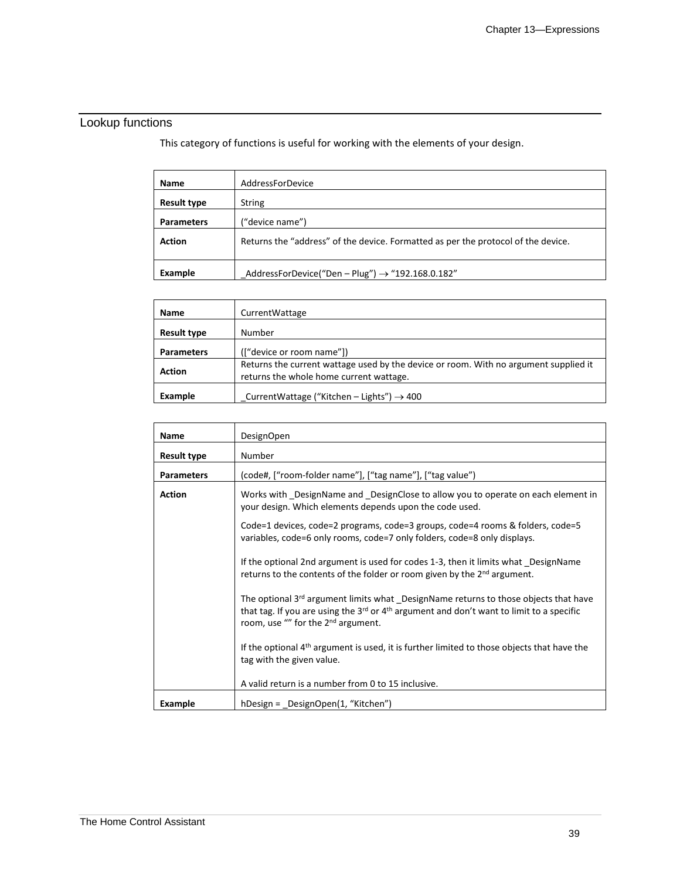# Lookup functions

This category of functions is useful for working with the elements of your design.

| <b>Name</b>        | AddressForDevice                                                                  |
|--------------------|-----------------------------------------------------------------------------------|
| <b>Result type</b> | <b>String</b>                                                                     |
| <b>Parameters</b>  | ("device name")                                                                   |
| <b>Action</b>      | Returns the "address" of the device. Formatted as per the protocol of the device. |
| Example            | AddressForDevice("Den - Plug") $\rightarrow$ "192.168.0.182"                      |

| <b>Name</b>        | CurrentWattage                                                                                                                  |
|--------------------|---------------------------------------------------------------------------------------------------------------------------------|
| <b>Result type</b> | Number                                                                                                                          |
| <b>Parameters</b>  | (["device or room name"])                                                                                                       |
| <b>Action</b>      | Returns the current wattage used by the device or room. With no argument supplied it<br>returns the whole home current wattage. |
| Example            | CurrentWattage ("Kitchen - Lights") $\rightarrow$ 400                                                                           |

| <b>Name</b>        | <b>DesignOpen</b>                                                                                                                                                                                                                                                                                                                                                                                                                                                                                                                                                                                                                                                                                                                                                                                                                                              |
|--------------------|----------------------------------------------------------------------------------------------------------------------------------------------------------------------------------------------------------------------------------------------------------------------------------------------------------------------------------------------------------------------------------------------------------------------------------------------------------------------------------------------------------------------------------------------------------------------------------------------------------------------------------------------------------------------------------------------------------------------------------------------------------------------------------------------------------------------------------------------------------------|
| <b>Result type</b> | Number                                                                                                                                                                                                                                                                                                                                                                                                                                                                                                                                                                                                                                                                                                                                                                                                                                                         |
| <b>Parameters</b>  | (code#, ["room-folder name"], ["tag name"], ["tag value")                                                                                                                                                                                                                                                                                                                                                                                                                                                                                                                                                                                                                                                                                                                                                                                                      |
| <b>Action</b>      | Works with DesignName and DesignClose to allow you to operate on each element in<br>your design. Which elements depends upon the code used.<br>Code=1 devices, code=2 programs, code=3 groups, code=4 rooms & folders, code=5<br>variables, code=6 only rooms, code=7 only folders, code=8 only displays.<br>If the optional 2nd argument is used for codes 1-3, then it limits what DesignName<br>returns to the contents of the folder or room given by the 2 <sup>nd</sup> argument.<br>The optional 3 <sup>rd</sup> argument limits what DesignName returns to those objects that have<br>that tag. If you are using the 3rd or 4 <sup>th</sup> argument and don't want to limit to a specific<br>room, use "" for the 2 <sup>nd</sup> argument.<br>If the optional 4 <sup>th</sup> argument is used, it is further limited to those objects that have the |
|                    | tag with the given value.                                                                                                                                                                                                                                                                                                                                                                                                                                                                                                                                                                                                                                                                                                                                                                                                                                      |
|                    | A valid return is a number from 0 to 15 inclusive.                                                                                                                                                                                                                                                                                                                                                                                                                                                                                                                                                                                                                                                                                                                                                                                                             |
| Example            | hDesign = DesignOpen(1, "Kitchen")                                                                                                                                                                                                                                                                                                                                                                                                                                                                                                                                                                                                                                                                                                                                                                                                                             |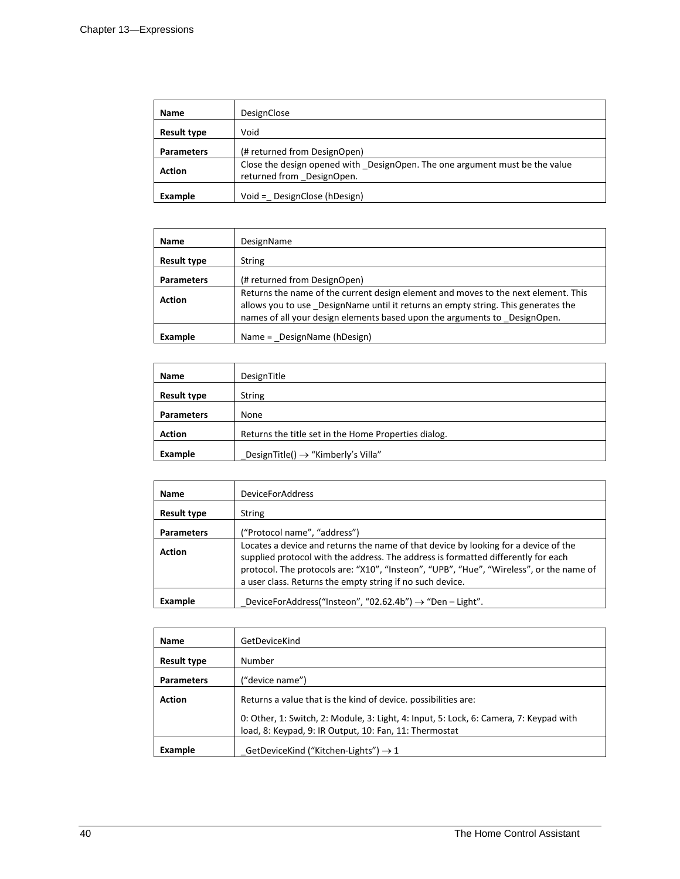| Name               | DesignClose                                                                                              |
|--------------------|----------------------------------------------------------------------------------------------------------|
| <b>Result type</b> | Void                                                                                                     |
| <b>Parameters</b>  | (# returned from DesignOpen)                                                                             |
| <b>Action</b>      | Close the design opened with DesignOpen. The one argument must be the value<br>returned from DesignOpen. |
| Example            | Void = DesignClose (hDesign)                                                                             |

| Name               | DesignName                                                                                                                                                                                                                                           |
|--------------------|------------------------------------------------------------------------------------------------------------------------------------------------------------------------------------------------------------------------------------------------------|
| <b>Result type</b> | <b>String</b>                                                                                                                                                                                                                                        |
| <b>Parameters</b>  | (# returned from DesignOpen)                                                                                                                                                                                                                         |
| <b>Action</b>      | Returns the name of the current design element and moves to the next element. This<br>allows you to use DesignName until it returns an empty string. This generates the<br>names of all your design elements based upon the arguments to DesignOpen. |
| Example            | Name = DesignName (hDesign)                                                                                                                                                                                                                          |

| <b>Name</b>        | DesignTitle                                          |
|--------------------|------------------------------------------------------|
| <b>Result type</b> | <b>String</b>                                        |
| <b>Parameters</b>  | None                                                 |
| <b>Action</b>      | Returns the title set in the Home Properties dialog. |
| Example            | DesignTitle() $\rightarrow$ "Kimberly's Villa"       |

| <b>Name</b>        | <b>DeviceForAddress</b>                                                                                                                                                                                                                                                                                                          |
|--------------------|----------------------------------------------------------------------------------------------------------------------------------------------------------------------------------------------------------------------------------------------------------------------------------------------------------------------------------|
| <b>Result type</b> | <b>String</b>                                                                                                                                                                                                                                                                                                                    |
| <b>Parameters</b>  | ("Protocol name", "address")                                                                                                                                                                                                                                                                                                     |
| <b>Action</b>      | Locates a device and returns the name of that device by looking for a device of the<br>supplied protocol with the address. The address is formatted differently for each<br>protocol. The protocols are: "X10", "Insteon", "UPB", "Hue", "Wireless", or the name of<br>a user class. Returns the empty string if no such device. |
| Example            | DeviceForAddress("Insteon", "02.62.4b") $\rightarrow$ "Den - Light".                                                                                                                                                                                                                                                             |

| <b>Name</b>        | GetDeviceKind                                                                                                                                    |
|--------------------|--------------------------------------------------------------------------------------------------------------------------------------------------|
| <b>Result type</b> | Number                                                                                                                                           |
| <b>Parameters</b>  | ("device name")                                                                                                                                  |
| <b>Action</b>      | Returns a value that is the kind of device. possibilities are:                                                                                   |
|                    | 0: Other, 1: Switch, 2: Module, 3: Light, 4: Input, 5: Lock, 6: Camera, 7: Keypad with<br>load, 8: Keypad, 9: IR Output, 10: Fan, 11: Thermostat |
| Example            | _GetDeviceKind ("Kitchen-Lights") $\rightarrow$ 1                                                                                                |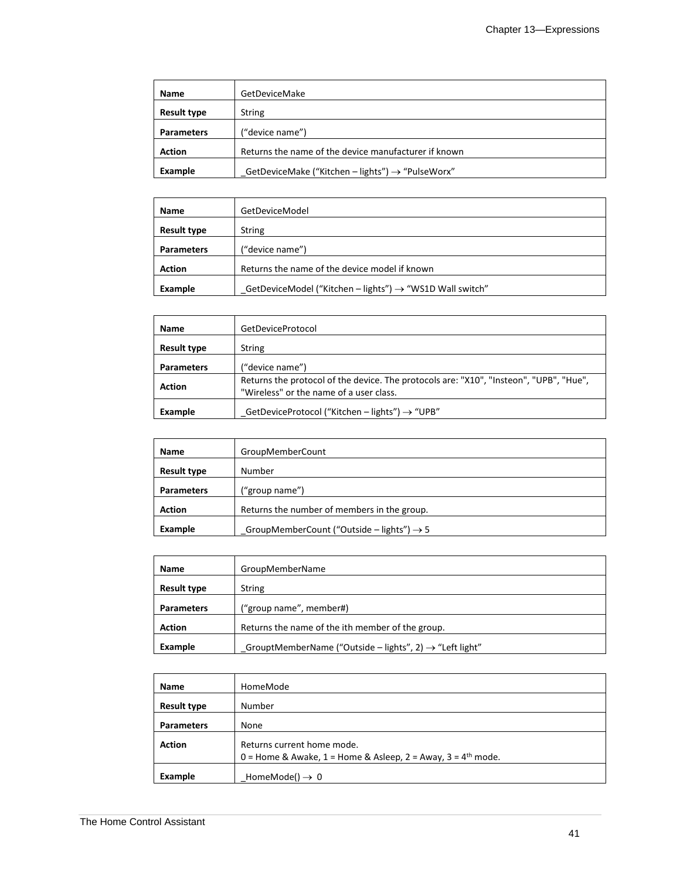| Name               | GetDeviceMake                                                |
|--------------------|--------------------------------------------------------------|
| <b>Result type</b> | <b>String</b>                                                |
| <b>Parameters</b>  | ("device name")                                              |
| <b>Action</b>      | Returns the name of the device manufacturer if known         |
| Example            | GetDeviceMake ("Kitchen - lights") $\rightarrow$ "PulseWorx" |

| <b>Name</b>        | GetDeviceModel                                                       |
|--------------------|----------------------------------------------------------------------|
| <b>Result type</b> | String                                                               |
| <b>Parameters</b>  | ("device name")                                                      |
| <b>Action</b>      | Returns the name of the device model if known                        |
| Example            | GetDeviceModel ("Kitchen - lights") $\rightarrow$ "WS1D Wall switch" |

| <b>Name</b>       | GetDeviceProtocol                                                                                                                 |
|-------------------|-----------------------------------------------------------------------------------------------------------------------------------|
| Result type       | String                                                                                                                            |
| <b>Parameters</b> | ("device name")                                                                                                                   |
| <b>Action</b>     | Returns the protocol of the device. The protocols are: "X10", "Insteon", "UPB", "Hue",<br>"Wireless" or the name of a user class. |
| Example           | GetDeviceProtocol ("Kitchen – lights") $\rightarrow$ "UPB"                                                                        |

| Name               | GroupMemberCount                                      |
|--------------------|-------------------------------------------------------|
| <b>Result type</b> | Number                                                |
| <b>Parameters</b>  | ("group name")                                        |
| <b>Action</b>      | Returns the number of members in the group.           |
| Example            | GroupMemberCount ("Outside – lights") $\rightarrow$ 5 |

| Name               | GroupMemberName                                                     |
|--------------------|---------------------------------------------------------------------|
| <b>Result type</b> | <b>String</b>                                                       |
| <b>Parameters</b>  | ("group name", member#)                                             |
| <b>Action</b>      | Returns the name of the ith member of the group.                    |
| Example            | GrouptMemberName ("Outside – lights", 2) $\rightarrow$ "Left light" |

| <b>Name</b>        | HomeMode                                                                                     |
|--------------------|----------------------------------------------------------------------------------------------|
| <b>Result type</b> | Number                                                                                       |
| <b>Parameters</b>  | None                                                                                         |
| <b>Action</b>      | Returns current home mode.<br>0 = Home & Awake, 1 = Home & Asleep, 2 = Away, 3 = $4th$ mode. |
| Example            | HomeMode() $\rightarrow$ 0                                                                   |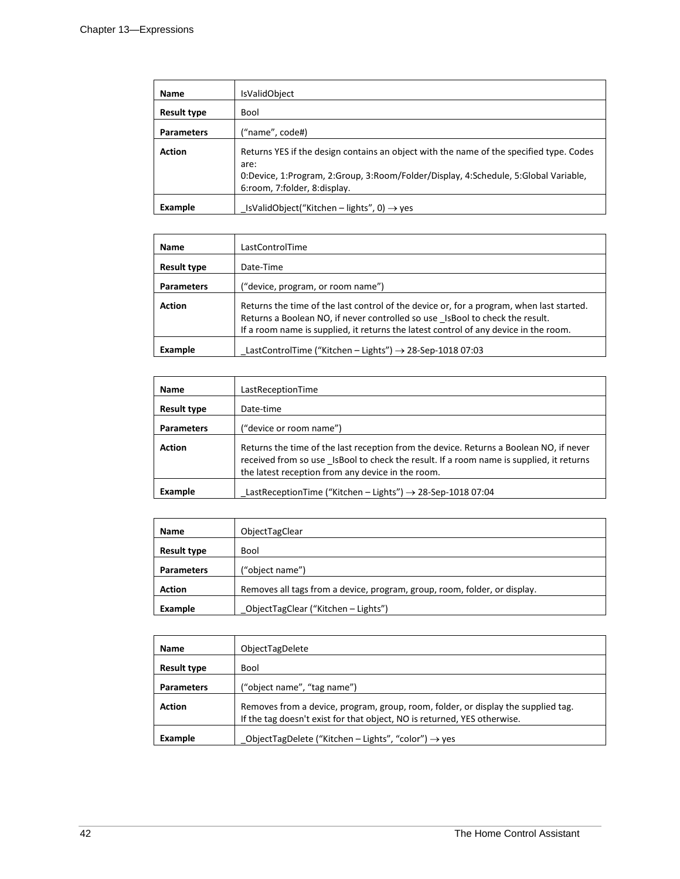| <b>Name</b>        | <b>IsValidObject</b>                                                                                                                                                                                                   |
|--------------------|------------------------------------------------------------------------------------------------------------------------------------------------------------------------------------------------------------------------|
| <b>Result type</b> | Bool                                                                                                                                                                                                                   |
| <b>Parameters</b>  | ("name", code#)                                                                                                                                                                                                        |
| <b>Action</b>      | Returns YES if the design contains an object with the name of the specified type. Codes<br>are:<br>0:Device, 1:Program, 2:Group, 3:Room/Folder/Display, 4:Schedule, 5:Global Variable,<br>6:room, 7:folder, 8:display. |
| Example            | $_{\rm l}$ IsValidObject("Kitchen – lights", 0) $\rightarrow$ yes                                                                                                                                                      |

| <b>Name</b>        | LastControlTime                                                                                                                                                                                                                                                  |
|--------------------|------------------------------------------------------------------------------------------------------------------------------------------------------------------------------------------------------------------------------------------------------------------|
| <b>Result type</b> | Date-Time                                                                                                                                                                                                                                                        |
| <b>Parameters</b>  | ("device, program, or room name")                                                                                                                                                                                                                                |
| <b>Action</b>      | Returns the time of the last control of the device or, for a program, when last started.<br>Returns a Boolean NO, if never controlled so use IsBool to check the result.<br>If a room name is supplied, it returns the latest control of any device in the room. |
| Example            | LastControlTime ("Kitchen - Lights") $\rightarrow$ 28-Sep-1018 07:03                                                                                                                                                                                             |

| <b>Name</b>        | LastReceptionTime                                                                                                                                                                                                                      |
|--------------------|----------------------------------------------------------------------------------------------------------------------------------------------------------------------------------------------------------------------------------------|
| <b>Result type</b> | Date-time                                                                                                                                                                                                                              |
| <b>Parameters</b>  | ("device or room name")                                                                                                                                                                                                                |
| <b>Action</b>      | Returns the time of the last reception from the device. Returns a Boolean NO, if never<br>received from so use IsBool to check the result. If a room name is supplied, it returns<br>the latest reception from any device in the room. |
| Example            | LastReceptionTime ("Kitchen - Lights") $\rightarrow$ 28-Sep-1018 07:04                                                                                                                                                                 |

| Name               | ObjectTagClear                                                            |
|--------------------|---------------------------------------------------------------------------|
| <b>Result type</b> | <b>Bool</b>                                                               |
| <b>Parameters</b>  | ("object name")                                                           |
| <b>Action</b>      | Removes all tags from a device, program, group, room, folder, or display. |
| Example            | _ObjectTagClear ("Kitchen - Lights")                                      |

| <b>Name</b>        | ObjectTagDelete                                                                                                                                               |
|--------------------|---------------------------------------------------------------------------------------------------------------------------------------------------------------|
| <b>Result type</b> | Bool                                                                                                                                                          |
| <b>Parameters</b>  | ("object name", "tag name")                                                                                                                                   |
| <b>Action</b>      | Removes from a device, program, group, room, folder, or display the supplied tag.<br>If the tag doesn't exist for that object, NO is returned, YES otherwise. |
| Example            | ObjectTagDelete ("Kitchen – Lights", "color") $\rightarrow$ yes                                                                                               |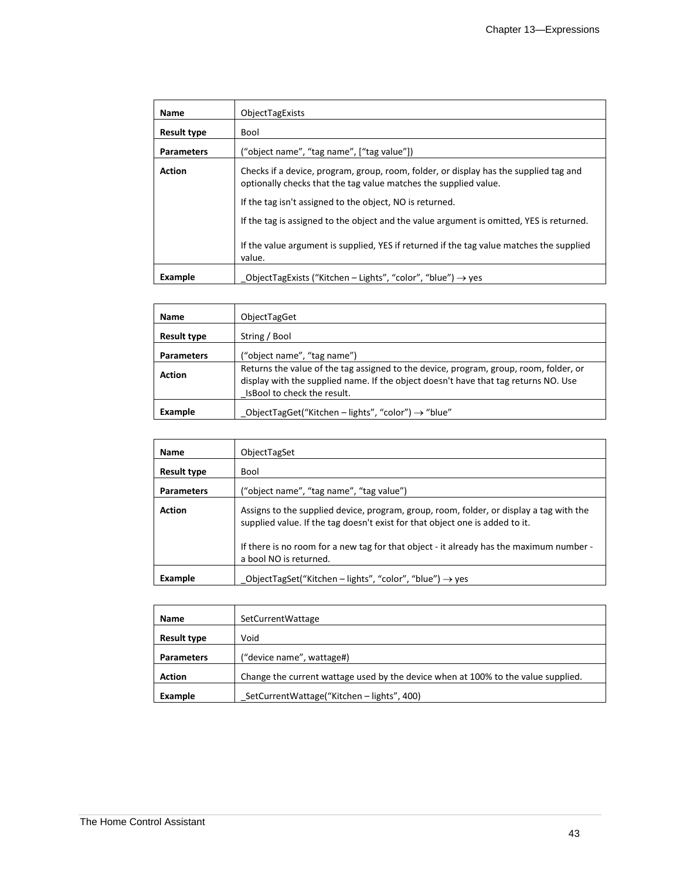| Name               | ObjectTagExists                                                                                                                                           |
|--------------------|-----------------------------------------------------------------------------------------------------------------------------------------------------------|
| <b>Result type</b> | Bool                                                                                                                                                      |
| <b>Parameters</b>  | ("object name", "tag name", ["tag value"])                                                                                                                |
| <b>Action</b>      | Checks if a device, program, group, room, folder, or display has the supplied tag and<br>optionally checks that the tag value matches the supplied value. |
|                    | If the tag isn't assigned to the object, NO is returned.                                                                                                  |
|                    | If the tag is assigned to the object and the value argument is omitted, YES is returned.                                                                  |
|                    | If the value argument is supplied, YES if returned if the tag value matches the supplied<br>value.                                                        |
| Example            | ObjectTagExists ("Kitchen - Lights", "color", "blue") $\rightarrow$ yes                                                                                   |

| Name               | ObjectTagGet                                                                                                                                                                                                 |
|--------------------|--------------------------------------------------------------------------------------------------------------------------------------------------------------------------------------------------------------|
| <b>Result type</b> | String / Bool                                                                                                                                                                                                |
| <b>Parameters</b>  | ("object name", "tag name")                                                                                                                                                                                  |
| <b>Action</b>      | Returns the value of the tag assigned to the device, program, group, room, folder, or<br>display with the supplied name. If the object doesn't have that tag returns NO. Use<br>Is Bool to check the result. |
| Example            | ObjectTagGet("Kitchen - lights", "color") $\rightarrow$ "blue"                                                                                                                                               |

| <b>Name</b>        | ObjectTagSet                                                                                                                                                                                                                                                                                 |
|--------------------|----------------------------------------------------------------------------------------------------------------------------------------------------------------------------------------------------------------------------------------------------------------------------------------------|
| <b>Result type</b> | Bool                                                                                                                                                                                                                                                                                         |
| <b>Parameters</b>  | ("object name", "tag name", "tag value")                                                                                                                                                                                                                                                     |
| <b>Action</b>      | Assigns to the supplied device, program, group, room, folder, or display a tag with the<br>supplied value. If the tag doesn't exist for that object one is added to it.<br>If there is no room for a new tag for that object - it already has the maximum number -<br>a bool NO is returned. |
| Example            | ObjectTagSet("Kitchen - lights", "color", "blue") $\rightarrow$ yes                                                                                                                                                                                                                          |

| <b>Name</b>        | SetCurrentWattage                                                                 |
|--------------------|-----------------------------------------------------------------------------------|
| <b>Result type</b> | Void                                                                              |
| <b>Parameters</b>  | ("device name", wattage#)                                                         |
| <b>Action</b>      | Change the current wattage used by the device when at 100% to the value supplied. |
| Example            | SetCurrentWattage("Kitchen - lights", 400)                                        |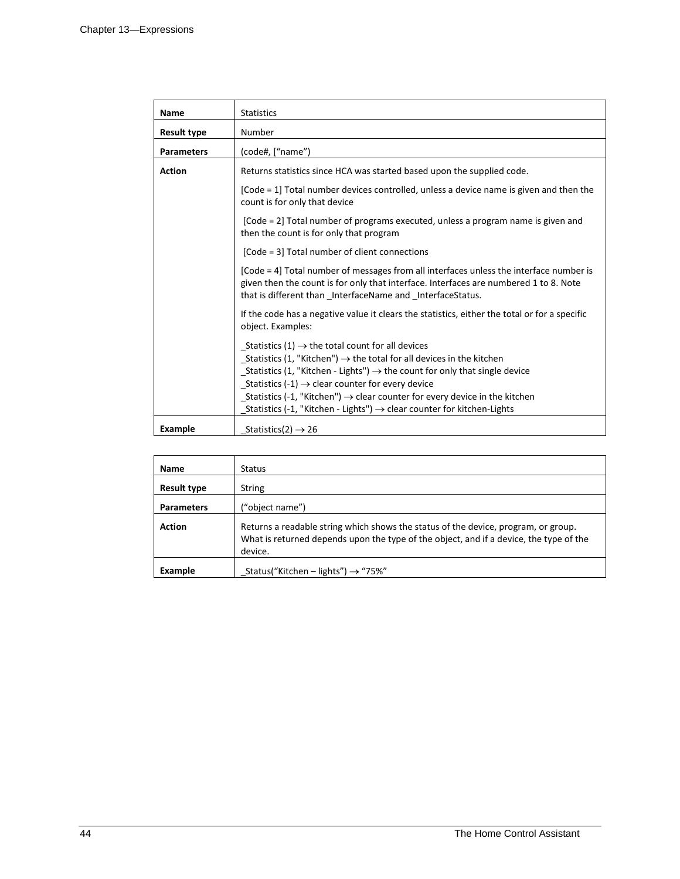| Name              | <b>Statistics</b>                                                                                                                                                                                                                                                                                                                                                                                                                                                                                 |
|-------------------|---------------------------------------------------------------------------------------------------------------------------------------------------------------------------------------------------------------------------------------------------------------------------------------------------------------------------------------------------------------------------------------------------------------------------------------------------------------------------------------------------|
| Result type       | Number                                                                                                                                                                                                                                                                                                                                                                                                                                                                                            |
| <b>Parameters</b> | (code#, ["name")                                                                                                                                                                                                                                                                                                                                                                                                                                                                                  |
| <b>Action</b>     | Returns statistics since HCA was started based upon the supplied code.                                                                                                                                                                                                                                                                                                                                                                                                                            |
|                   | [Code = 1] Total number devices controlled, unless a device name is given and then the<br>count is for only that device                                                                                                                                                                                                                                                                                                                                                                           |
|                   | [Code = 2] Total number of programs executed, unless a program name is given and<br>then the count is for only that program                                                                                                                                                                                                                                                                                                                                                                       |
|                   | [Code = 3] Total number of client connections                                                                                                                                                                                                                                                                                                                                                                                                                                                     |
|                   | [Code = 4] Total number of messages from all interfaces unless the interface number is<br>given then the count is for only that interface. Interfaces are numbered 1 to 8. Note<br>that is different than _InterfaceName and _InterfaceStatus.                                                                                                                                                                                                                                                    |
|                   | If the code has a negative value it clears the statistics, either the total or for a specific<br>object. Examples:                                                                                                                                                                                                                                                                                                                                                                                |
|                   | $_$ Statistics (1) $\rightarrow$ the total count for all devices<br>_Statistics (1, "Kitchen") $\rightarrow$ the total for all devices in the kitchen<br>_Statistics (1, "Kitchen - Lights") $\rightarrow$ the count for only that single device<br>Statistics (-1) $\rightarrow$ clear counter for every device<br>_Statistics (-1, "Kitchen") $\rightarrow$ clear counter for every device in the kitchen<br>Statistics (-1, "Kitchen - Lights") $\rightarrow$ clear counter for kitchen-Lights |
| Example           | Statistics(2) $\rightarrow$ 26                                                                                                                                                                                                                                                                                                                                                                                                                                                                    |

| <b>Name</b>        | <b>Status</b>                                                                                                                                                                           |
|--------------------|-----------------------------------------------------------------------------------------------------------------------------------------------------------------------------------------|
| <b>Result type</b> | <b>String</b>                                                                                                                                                                           |
| <b>Parameters</b>  | ("object name")                                                                                                                                                                         |
| <b>Action</b>      | Returns a readable string which shows the status of the device, program, or group.<br>What is returned depends upon the type of the object, and if a device, the type of the<br>device. |
| Example            | Status("Kitchen – lights") $\rightarrow$ "75%"                                                                                                                                          |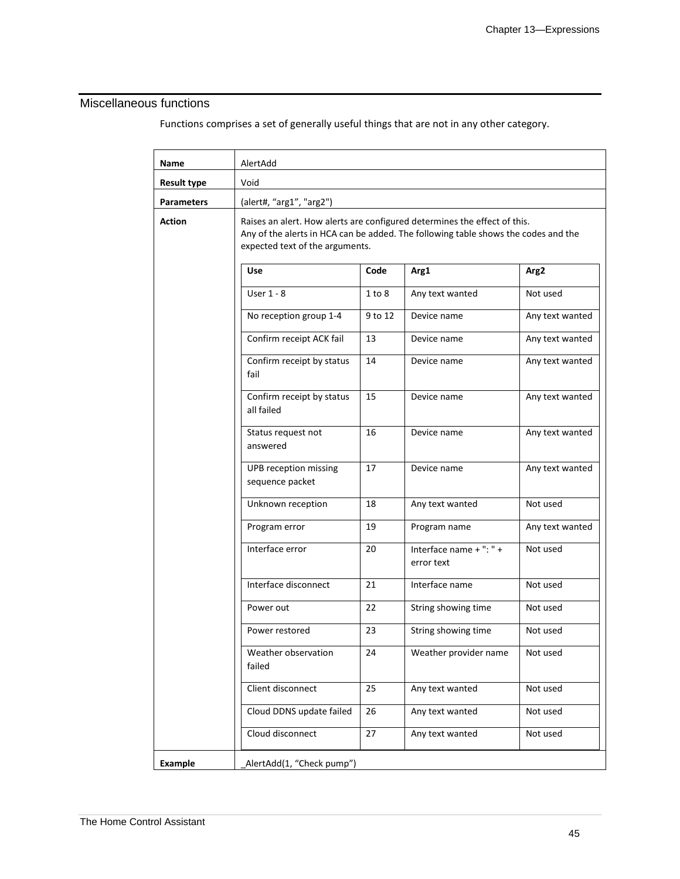### Miscellaneous functions

Functions comprises a set of generally useful things that are not in any other category.

| Name               | AlertAdd                                 |                                                                                                                                                                                                    |                                       |                  |  |
|--------------------|------------------------------------------|----------------------------------------------------------------------------------------------------------------------------------------------------------------------------------------------------|---------------------------------------|------------------|--|
| <b>Result type</b> | Void                                     |                                                                                                                                                                                                    |                                       |                  |  |
| <b>Parameters</b>  | (alert#, "arg1", "arg2")                 |                                                                                                                                                                                                    |                                       |                  |  |
| <b>Action</b>      |                                          | Raises an alert. How alerts are configured determines the effect of this.<br>Any of the alerts in HCA can be added. The following table shows the codes and the<br>expected text of the arguments. |                                       |                  |  |
|                    | <b>Use</b>                               | Code                                                                                                                                                                                               | Arg1                                  | Arg <sub>2</sub> |  |
|                    | User $1 - 8$                             | 1 to 8                                                                                                                                                                                             | Any text wanted                       | Not used         |  |
|                    | No reception group 1-4                   | 9 to 12                                                                                                                                                                                            | Device name                           | Any text wanted  |  |
|                    | Confirm receipt ACK fail                 | 13                                                                                                                                                                                                 | Device name                           | Any text wanted  |  |
|                    | Confirm receipt by status<br>fail        | 14                                                                                                                                                                                                 | Device name                           | Any text wanted  |  |
|                    | Confirm receipt by status<br>all failed  | 15                                                                                                                                                                                                 | Device name                           | Any text wanted  |  |
|                    | Status request not<br>answered           | 16                                                                                                                                                                                                 | Device name                           | Any text wanted  |  |
|                    | UPB reception missing<br>sequence packet | 17                                                                                                                                                                                                 | Device name                           | Any text wanted  |  |
|                    | Unknown reception                        | 18                                                                                                                                                                                                 | Any text wanted                       | Not used         |  |
|                    | Program error                            | 19                                                                                                                                                                                                 | Program name                          | Any text wanted  |  |
|                    | Interface error                          | 20                                                                                                                                                                                                 | Interface name + ": " +<br>error text | Not used         |  |
|                    | Interface disconnect                     | 21                                                                                                                                                                                                 | Interface name                        | Not used         |  |
|                    | Power out                                | 22                                                                                                                                                                                                 | String showing time                   | Not used         |  |
|                    | Power restored                           | 23                                                                                                                                                                                                 | String showing time                   | Not used         |  |
|                    | Weather observation<br>failed            | 24                                                                                                                                                                                                 | Weather provider name                 | Not used         |  |
|                    | Client disconnect                        | 25                                                                                                                                                                                                 | Any text wanted                       | Not used         |  |
|                    | Cloud DDNS update failed                 | 26                                                                                                                                                                                                 | Any text wanted                       | Not used         |  |
|                    | Cloud disconnect                         | 27                                                                                                                                                                                                 | Any text wanted                       | Not used         |  |
| <b>Example</b>     | AlertAdd(1, "Check pump")                |                                                                                                                                                                                                    |                                       |                  |  |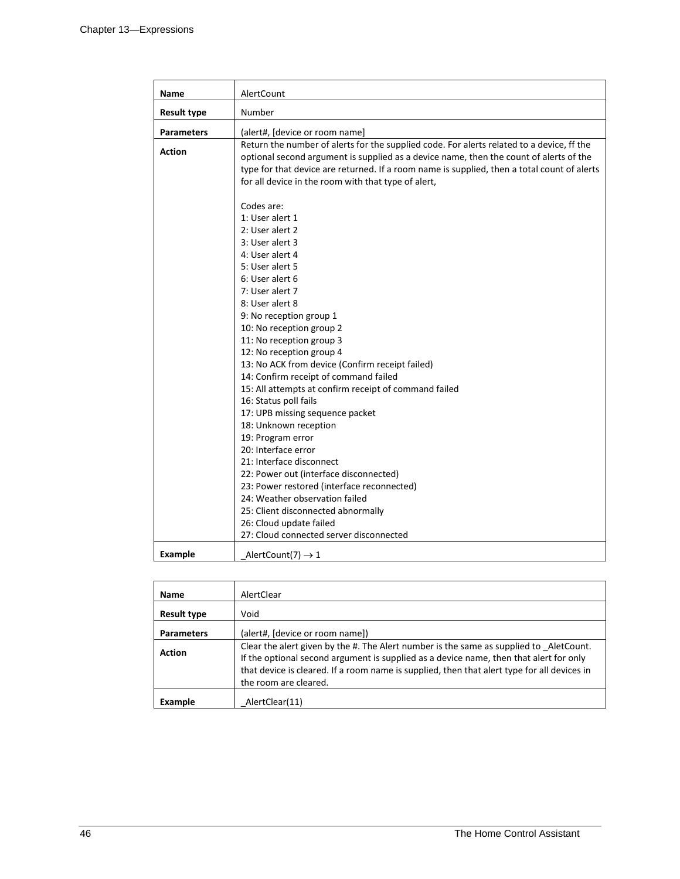| Name               | AlertCount                                                                                                                                                                                                                                                                                                                                                                                                                                                                                                                                                                                                                                                                                                                                                                                                                                                                                    |  |
|--------------------|-----------------------------------------------------------------------------------------------------------------------------------------------------------------------------------------------------------------------------------------------------------------------------------------------------------------------------------------------------------------------------------------------------------------------------------------------------------------------------------------------------------------------------------------------------------------------------------------------------------------------------------------------------------------------------------------------------------------------------------------------------------------------------------------------------------------------------------------------------------------------------------------------|--|
| <b>Result type</b> | Number                                                                                                                                                                                                                                                                                                                                                                                                                                                                                                                                                                                                                                                                                                                                                                                                                                                                                        |  |
| <b>Parameters</b>  | (alert#, [device or room name]                                                                                                                                                                                                                                                                                                                                                                                                                                                                                                                                                                                                                                                                                                                                                                                                                                                                |  |
| <b>Action</b>      | Return the number of alerts for the supplied code. For alerts related to a device, ff the<br>optional second argument is supplied as a device name, then the count of alerts of the<br>type for that device are returned. If a room name is supplied, then a total count of alerts<br>for all device in the room with that type of alert,<br>Codes are:<br>1: User alert 1<br>2: User alert 2<br>3: User alert 3<br>4: User alert 4<br>5: User alert 5<br>6: User alert 6<br>7: User alert 7<br>8: User alert 8<br>9: No reception group 1<br>10: No reception group 2<br>11: No reception group 3<br>12: No reception group 4<br>13: No ACK from device (Confirm receipt failed)<br>14: Confirm receipt of command failed<br>15: All attempts at confirm receipt of command failed<br>16: Status poll fails<br>17: UPB missing sequence packet<br>18: Unknown reception<br>19: Program error |  |
|                    | 20: Interface error                                                                                                                                                                                                                                                                                                                                                                                                                                                                                                                                                                                                                                                                                                                                                                                                                                                                           |  |
|                    | 21: Interface disconnect<br>22: Power out (interface disconnected)                                                                                                                                                                                                                                                                                                                                                                                                                                                                                                                                                                                                                                                                                                                                                                                                                            |  |
|                    | 23: Power restored (interface reconnected)<br>24: Weather observation failed<br>25: Client disconnected abnormally                                                                                                                                                                                                                                                                                                                                                                                                                                                                                                                                                                                                                                                                                                                                                                            |  |
|                    | 26: Cloud update failed<br>27: Cloud connected server disconnected                                                                                                                                                                                                                                                                                                                                                                                                                                                                                                                                                                                                                                                                                                                                                                                                                            |  |
| <b>Example</b>     | AlertCount(7) $\rightarrow$ 1                                                                                                                                                                                                                                                                                                                                                                                                                                                                                                                                                                                                                                                                                                                                                                                                                                                                 |  |

| <b>Name</b>        | AlertClear                                                                                                                                                                                                                                                                                               |
|--------------------|----------------------------------------------------------------------------------------------------------------------------------------------------------------------------------------------------------------------------------------------------------------------------------------------------------|
| <b>Result type</b> | Void                                                                                                                                                                                                                                                                                                     |
| <b>Parameters</b>  | (alert#, [device or room name])                                                                                                                                                                                                                                                                          |
| <b>Action</b>      | Clear the alert given by the #. The Alert number is the same as supplied to AletCount.<br>If the optional second argument is supplied as a device name, then that alert for only<br>that device is cleared. If a room name is supplied, then that alert type for all devices in<br>the room are cleared. |
| Example            | AlertClear(11)                                                                                                                                                                                                                                                                                           |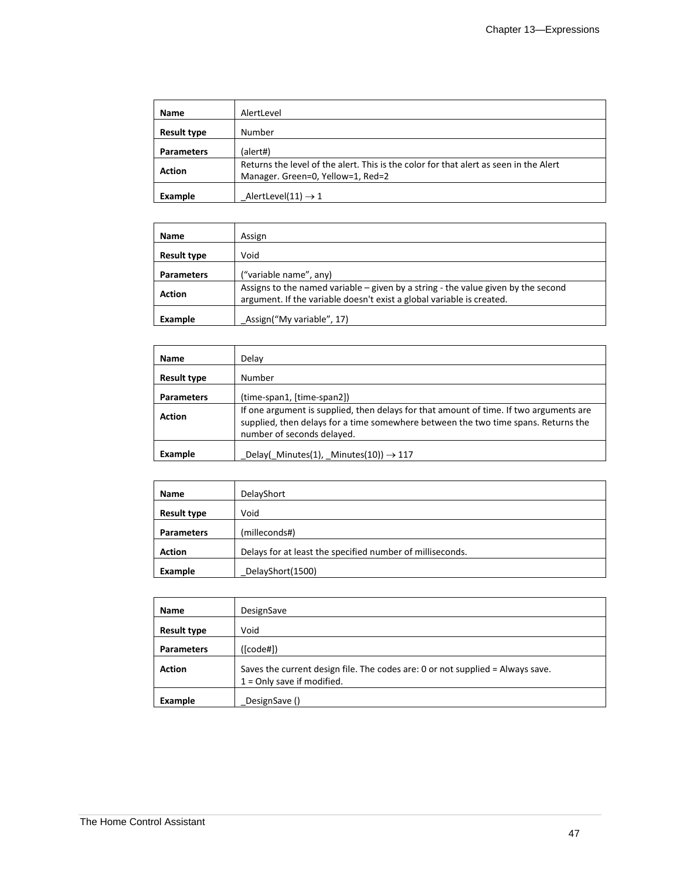| Name               | AlertLevel                                                                                                                 |  |
|--------------------|----------------------------------------------------------------------------------------------------------------------------|--|
| <b>Result type</b> | Number                                                                                                                     |  |
| <b>Parameters</b>  | (alert#)                                                                                                                   |  |
| <b>Action</b>      | Returns the level of the alert. This is the color for that alert as seen in the Alert<br>Manager. Green=0, Yellow=1, Red=2 |  |
| Example            | AlertLevel(11) $\rightarrow$ 1                                                                                             |  |

| Name               | Assign                                                                                                                                                       |
|--------------------|--------------------------------------------------------------------------------------------------------------------------------------------------------------|
| <b>Result type</b> | Void                                                                                                                                                         |
| <b>Parameters</b>  | ("variable name", any)                                                                                                                                       |
| <b>Action</b>      | Assigns to the named variable $-$ given by a string - the value given by the second<br>argument. If the variable doesn't exist a global variable is created. |
| Example            | Assign("My variable", 17)                                                                                                                                    |

| <b>Name</b>        | Delay                                                                                                                                                                                                      |
|--------------------|------------------------------------------------------------------------------------------------------------------------------------------------------------------------------------------------------------|
| <b>Result type</b> | Number                                                                                                                                                                                                     |
| <b>Parameters</b>  | (time-span1, [time-span2])                                                                                                                                                                                 |
| <b>Action</b>      | If one argument is supplied, then delays for that amount of time. If two arguments are<br>supplied, then delays for a time somewhere between the two time spans. Returns the<br>number of seconds delayed. |
| Example            | Delay( Minutes(1), Minutes(10)) $\rightarrow$ 117                                                                                                                                                          |

| <b>Name</b>        | DelayShort                                                |
|--------------------|-----------------------------------------------------------|
| <b>Result type</b> | Void                                                      |
| <b>Parameters</b>  | (milleconds#)                                             |
| <b>Action</b>      | Delays for at least the specified number of milliseconds. |
| Example            | DelayShort(1500)                                          |

| Name               | DesignSave                                                                                                     |
|--------------------|----------------------------------------------------------------------------------------------------------------|
| <b>Result type</b> | Void                                                                                                           |
| <b>Parameters</b>  | ([code#])                                                                                                      |
| <b>Action</b>      | Saves the current design file. The codes are: 0 or not supplied = Always save.<br>$1 =$ Only save if modified. |
| Example            | DesignSave ()                                                                                                  |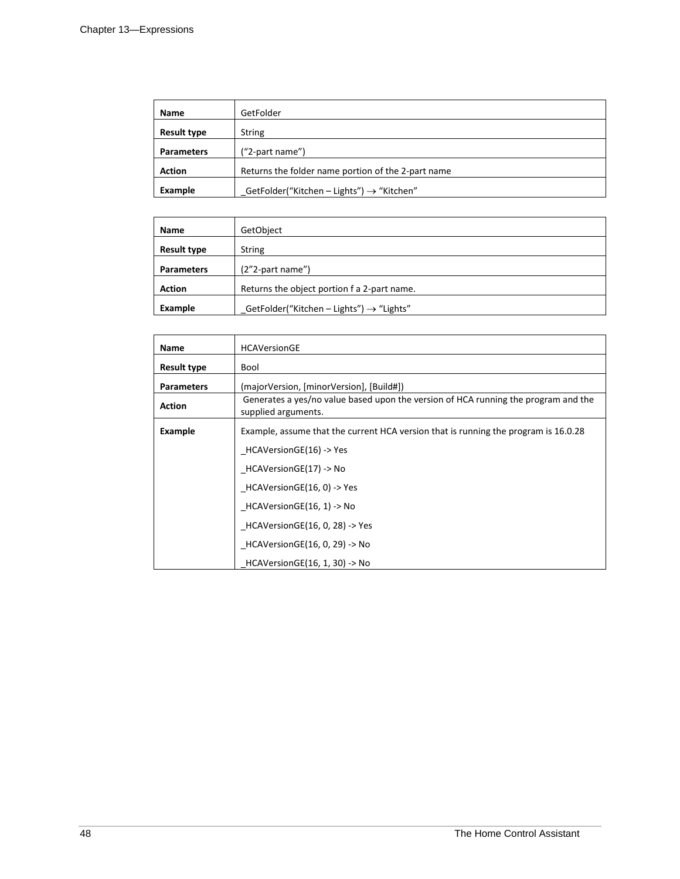| <b>Name</b>        | GetFolder                                             |
|--------------------|-------------------------------------------------------|
| <b>Result type</b> | String                                                |
| <b>Parameters</b>  | ("2-part name")                                       |
| <b>Action</b>      | Returns the folder name portion of the 2-part name    |
| Example            | GetFolder("Kitchen - Lights") $\rightarrow$ "Kitchen" |

| <b>Name</b>        | GetObject                                            |
|--------------------|------------------------------------------------------|
| <b>Result type</b> | <b>String</b>                                        |
| <b>Parameters</b>  | $(2"2$ -part name")                                  |
| <b>Action</b>      | Returns the object portion f a 2-part name.          |
| Example            | GetFolder("Kitchen – Lights") $\rightarrow$ "Lights" |

| <b>Name</b>        | <b>HCAVersionGE</b>                                                                                       |
|--------------------|-----------------------------------------------------------------------------------------------------------|
| <b>Result type</b> | Bool                                                                                                      |
| <b>Parameters</b>  | (majorVersion, [minorVersion], [Build#])                                                                  |
| <b>Action</b>      | Generates a yes/no value based upon the version of HCA running the program and the<br>supplied arguments. |
| Example            | Example, assume that the current HCA version that is running the program is 16.0.28                       |
|                    | HCAVersionGE(16) -> Yes                                                                                   |
|                    | HCAVersionGE(17) -> No                                                                                    |
|                    | HCAVersionGE(16, 0) -> Yes                                                                                |
|                    | HCAVersionGE(16, 1) -> No                                                                                 |
|                    | HCAVersionGE(16, 0, 28) -> Yes                                                                            |
|                    | HCAVersionGE(16, 0, 29) -> No                                                                             |
|                    | $HCAVersionGE(16, 1, 30)$ -> No                                                                           |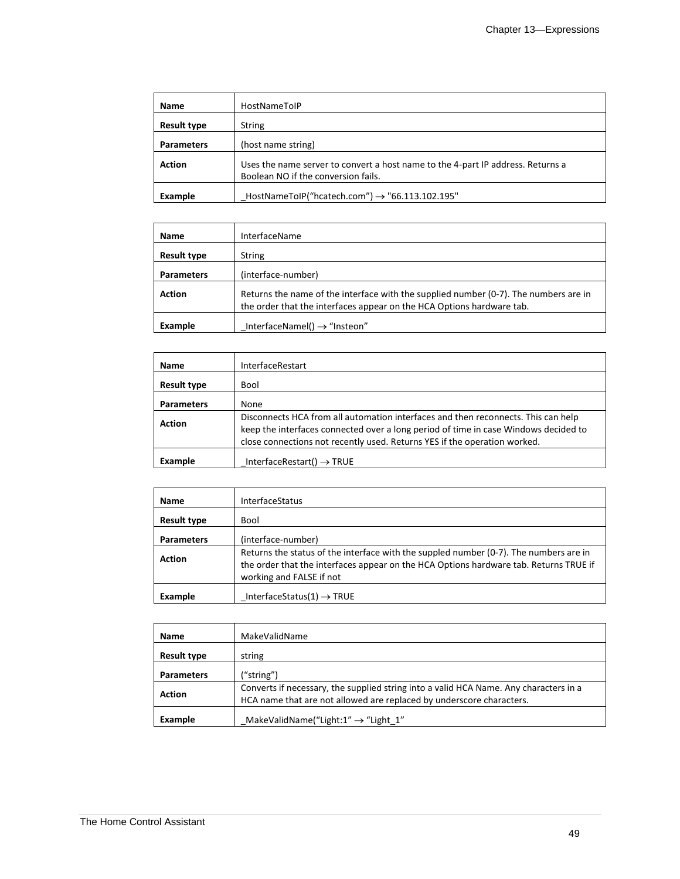| <b>Name</b>        | <b>HostNameToIP</b>                                                                                                    |
|--------------------|------------------------------------------------------------------------------------------------------------------------|
| <b>Result type</b> | <b>String</b>                                                                                                          |
| <b>Parameters</b>  | (host name string)                                                                                                     |
| <b>Action</b>      | Uses the name server to convert a host name to the 4-part IP address. Returns a<br>Boolean NO if the conversion fails. |
| Example            | HostNameToIP("hcatech.com") $\rightarrow$ "66.113.102.195"                                                             |

| <b>Name</b>        | <b>InterfaceName</b>                                                                                                                                          |
|--------------------|---------------------------------------------------------------------------------------------------------------------------------------------------------------|
| <b>Result type</b> | <b>String</b>                                                                                                                                                 |
| <b>Parameters</b>  | (interface-number)                                                                                                                                            |
| <b>Action</b>      | Returns the name of the interface with the supplied number (0-7). The numbers are in<br>the order that the interfaces appear on the HCA Options hardware tab. |
| Example            | InterfaceNamel() $\rightarrow$ "Insteon"                                                                                                                      |

| <b>Name</b>        | InterfaceRestart                                                                                                                                                                                                                                      |
|--------------------|-------------------------------------------------------------------------------------------------------------------------------------------------------------------------------------------------------------------------------------------------------|
| <b>Result type</b> | Bool                                                                                                                                                                                                                                                  |
| <b>Parameters</b>  | None                                                                                                                                                                                                                                                  |
| <b>Action</b>      | Disconnects HCA from all automation interfaces and then reconnects. This can help<br>keep the interfaces connected over a long period of time in case Windows decided to<br>close connections not recently used. Returns YES if the operation worked. |
| Example            | InterfaceRestart() $\rightarrow$ TRUE                                                                                                                                                                                                                 |

| <b>Name</b>        | <b>InterfaceStatus</b>                                                                                                                                                                                     |
|--------------------|------------------------------------------------------------------------------------------------------------------------------------------------------------------------------------------------------------|
| <b>Result type</b> | Bool                                                                                                                                                                                                       |
| <b>Parameters</b>  | (interface-number)                                                                                                                                                                                         |
| <b>Action</b>      | Returns the status of the interface with the suppled number (0-7). The numbers are in<br>the order that the interfaces appear on the HCA Options hardware tab. Returns TRUE if<br>working and FALSE if not |
| Example            | InterfaceStatus(1) $\rightarrow$ TRUE                                                                                                                                                                      |

| <b>Name</b>        | MakeValidName                                                                                                                                                 |
|--------------------|---------------------------------------------------------------------------------------------------------------------------------------------------------------|
| <b>Result type</b> | string                                                                                                                                                        |
| <b>Parameters</b>  | ("string")                                                                                                                                                    |
| <b>Action</b>      | Converts if necessary, the supplied string into a valid HCA Name. Any characters in a<br>HCA name that are not allowed are replaced by underscore characters. |
| Example            | MakeValidName("Light: $1" \rightarrow$ "Light $1"$                                                                                                            |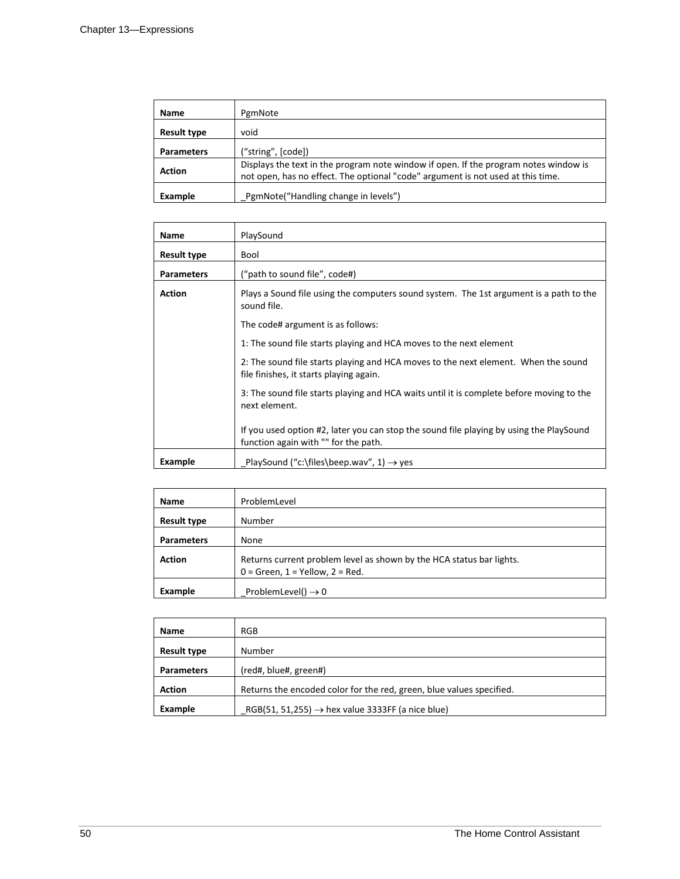| <b>Name</b>        | PgmNote                                                                                                                                                                 |  |  |
|--------------------|-------------------------------------------------------------------------------------------------------------------------------------------------------------------------|--|--|
| <b>Result type</b> | void                                                                                                                                                                    |  |  |
| <b>Parameters</b>  | ("string", [code])                                                                                                                                                      |  |  |
| <b>Action</b>      | Displays the text in the program note window if open. If the program notes window is<br>not open, has no effect. The optional "code" argument is not used at this time. |  |  |
| Example            | PgmNote("Handling change in levels")                                                                                                                                    |  |  |

| <b>Name</b>                                                        | PlaySound                                                                                                                       |  |  |  |  |
|--------------------------------------------------------------------|---------------------------------------------------------------------------------------------------------------------------------|--|--|--|--|
| <b>Result type</b>                                                 | Bool                                                                                                                            |  |  |  |  |
| <b>Parameters</b>                                                  | ("path to sound file", code#)                                                                                                   |  |  |  |  |
| <b>Action</b>                                                      | Plays a Sound file using the computers sound system. The 1st argument is a path to the<br>sound file.                           |  |  |  |  |
| The code# argument is as follows:                                  |                                                                                                                                 |  |  |  |  |
| 1: The sound file starts playing and HCA moves to the next element |                                                                                                                                 |  |  |  |  |
|                                                                    | 2: The sound file starts playing and HCA moves to the next element. When the sound<br>file finishes, it starts playing again.   |  |  |  |  |
|                                                                    | 3: The sound file starts playing and HCA waits until it is complete before moving to the<br>next element.                       |  |  |  |  |
|                                                                    | If you used option #2, later you can stop the sound file playing by using the PlaySound<br>function again with "" for the path. |  |  |  |  |
| Example                                                            | PlaySound ("c:\files\beep.wav", 1) $\rightarrow$ yes                                                                            |  |  |  |  |

| <b>Name</b>        | ProblemLevel                                                                                                  |  |  |
|--------------------|---------------------------------------------------------------------------------------------------------------|--|--|
| <b>Result type</b> | Number                                                                                                        |  |  |
| <b>Parameters</b>  | None                                                                                                          |  |  |
| <b>Action</b>      | Returns current problem level as shown by the HCA status bar lights.<br>$0 =$ Green, $1 =$ Yellow, $2 =$ Red. |  |  |
| Example            | ProblemLevel() $\rightarrow$ 0                                                                                |  |  |

| Name               | RGB                                                                  |
|--------------------|----------------------------------------------------------------------|
| <b>Result type</b> | Number                                                               |
| <b>Parameters</b>  | (red#, blue#, green#)                                                |
| <b>Action</b>      | Returns the encoded color for the red, green, blue values specified. |
| Example            | RGB(51, 51,255) $\rightarrow$ hex value 3333FF (a nice blue)         |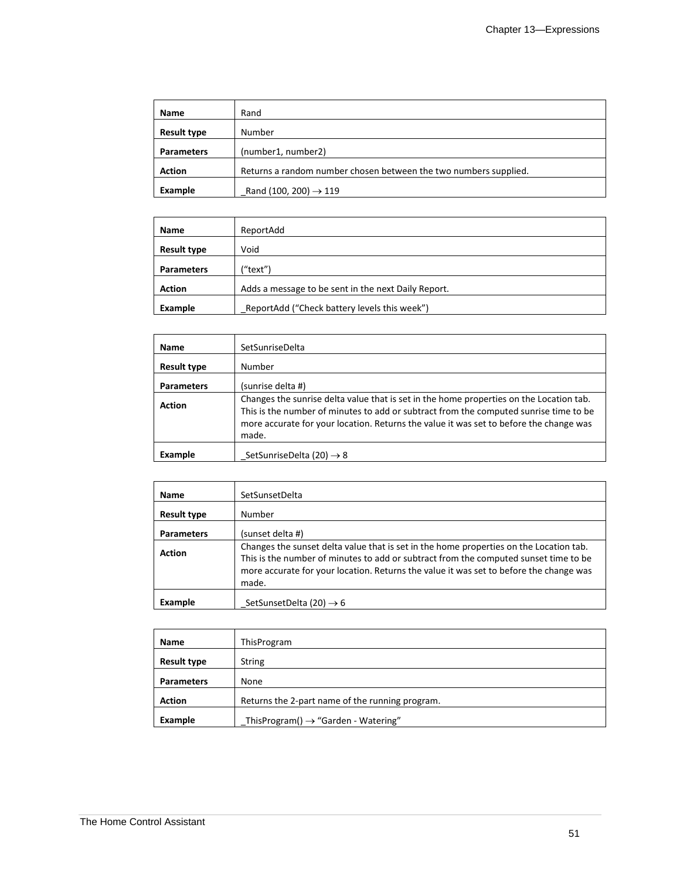| Name               | Rand                                                             |
|--------------------|------------------------------------------------------------------|
| <b>Result type</b> | Number                                                           |
| <b>Parameters</b>  | (number1, number2)                                               |
| <b>Action</b>      | Returns a random number chosen between the two numbers supplied. |
| Example            | Rand (100, 200) $\rightarrow$ 119                                |

| Name               | ReportAdd                                           |  |  |
|--------------------|-----------------------------------------------------|--|--|
| <b>Result type</b> | Void                                                |  |  |
| <b>Parameters</b>  | ("text")                                            |  |  |
| <b>Action</b>      | Adds a message to be sent in the next Daily Report. |  |  |
| Example            | ReportAdd ("Check battery levels this week")        |  |  |

| <b>Name</b>        | SetSunriseDelta                                                                                                                                                                                                                                                                     |
|--------------------|-------------------------------------------------------------------------------------------------------------------------------------------------------------------------------------------------------------------------------------------------------------------------------------|
| <b>Result type</b> | Number                                                                                                                                                                                                                                                                              |
| <b>Parameters</b>  | (sunrise delta #)                                                                                                                                                                                                                                                                   |
| <b>Action</b>      | Changes the sunrise delta value that is set in the home properties on the Location tab.<br>This is the number of minutes to add or subtract from the computed sunrise time to be<br>more accurate for your location. Returns the value it was set to before the change was<br>made. |
| Example            | SetSunriseDelta (20) $\rightarrow$ 8                                                                                                                                                                                                                                                |

| Name               | SetSunsetDelta                                                                                                                                                                                                                                                                    |
|--------------------|-----------------------------------------------------------------------------------------------------------------------------------------------------------------------------------------------------------------------------------------------------------------------------------|
| <b>Result type</b> | Number                                                                                                                                                                                                                                                                            |
| <b>Parameters</b>  | (sunset delta #)                                                                                                                                                                                                                                                                  |
| <b>Action</b>      | Changes the sunset delta value that is set in the home properties on the Location tab.<br>This is the number of minutes to add or subtract from the computed sunset time to be<br>more accurate for your location. Returns the value it was set to before the change was<br>made. |
| Example            | SetSunsetDelta (20) $\rightarrow$ 6                                                                                                                                                                                                                                               |

| Name               | ThisProgram                                     |  |  |
|--------------------|-------------------------------------------------|--|--|
| <b>Result type</b> | <b>String</b>                                   |  |  |
| <b>Parameters</b>  | None                                            |  |  |
| <b>Action</b>      | Returns the 2-part name of the running program. |  |  |
| Example            | ThisProgram() $\rightarrow$ "Garden - Watering" |  |  |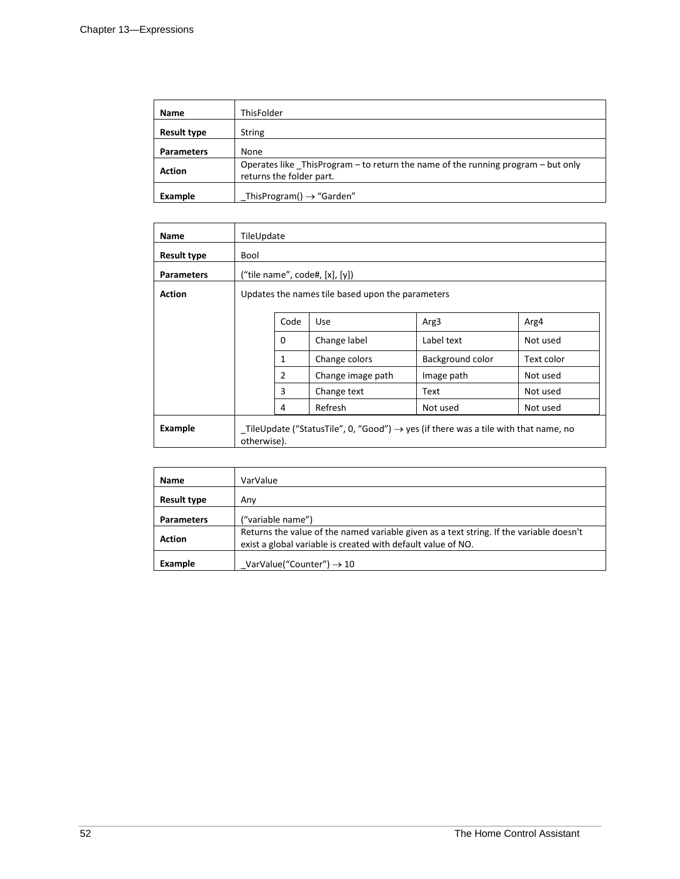| Name               | ThisFolder                                                                                                   |
|--------------------|--------------------------------------------------------------------------------------------------------------|
| <b>Result type</b> | <b>String</b>                                                                                                |
| <b>Parameters</b>  | None                                                                                                         |
| <b>Action</b>      | Operates like ThisProgram – to return the name of the running program – but only<br>returns the folder part. |
| Example            | ThisProgram() $\rightarrow$ "Garden"                                                                         |

| <b>Name</b>       | TileUpdate                                                                                                     |                                |                   |                  |            |
|-------------------|----------------------------------------------------------------------------------------------------------------|--------------------------------|-------------------|------------------|------------|
| Result type       | Bool                                                                                                           |                                |                   |                  |            |
| <b>Parameters</b> |                                                                                                                | ("tile name", code#, [x], [y]) |                   |                  |            |
| <b>Action</b>     | Updates the names tile based upon the parameters                                                               |                                |                   |                  |            |
|                   |                                                                                                                | Code                           | Use               | Arg3             | Arg4       |
|                   |                                                                                                                | 0                              | Change label      | Label text       | Not used   |
|                   |                                                                                                                | $\mathbf{1}$                   | Change colors     | Background color | Text color |
|                   |                                                                                                                | $\overline{2}$                 | Change image path | Image path       | Not used   |
|                   |                                                                                                                | 3                              | Change text       | Text             | Not used   |
|                   |                                                                                                                | 4                              | Refresh           | Not used         | Not used   |
| Example           | _TileUpdate ("StatusTile", 0, "Good") $\rightarrow$ yes (if there was a tile with that name, no<br>otherwise). |                                |                   |                  |            |

| <b>Name</b>        | VarValue                                                                                                                                                |
|--------------------|---------------------------------------------------------------------------------------------------------------------------------------------------------|
| <b>Result type</b> | Anv                                                                                                                                                     |
| <b>Parameters</b>  | ("variable name")                                                                                                                                       |
| <b>Action</b>      | Returns the value of the named variable given as a text string. If the variable doesn't<br>exist a global variable is created with default value of NO. |
| Example            | VarValue("Counter") $\rightarrow$ 10                                                                                                                    |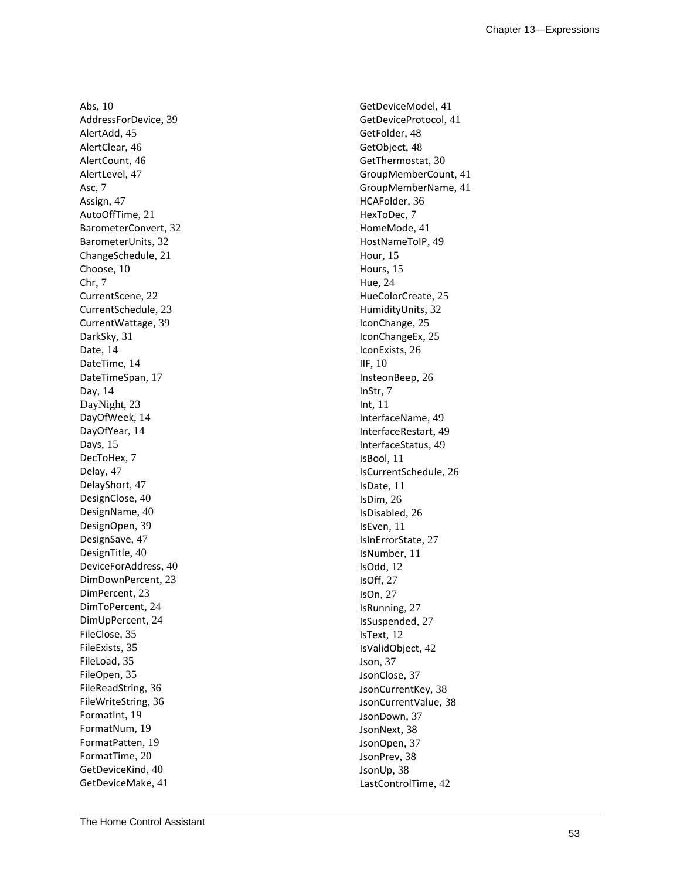Abs, 10 AddressForDevice, 39 AlertAdd, 45 AlertClear, 46 AlertCount, 46 AlertLevel, 47 Asc, 7 Assign, 47 AutoOffTime, 21 BarometerConvert, 32 BarometerUnits, 32 ChangeSchedule, 21 Choose, 10 Chr, 7 CurrentScene, 22 CurrentSchedule, 23 CurrentWattage, 39 DarkSky, 31 Date, 14 DateTime, 14 DateTimeSpan, 17 Day, 14 DayNight, 23 DayOfWeek, 14 DayOfYear, 14 Days, 15 DecToHex, 7 Delay, 47 DelayShort, 47 DesignClose, 40 DesignName, 40 DesignOpen, 39 DesignSave, 47 DesignTitle, 40 DeviceForAddress, 40 DimDownPercent, 23 DimPercent, 23 DimToPercent, 24 DimUpPercent, 24 FileClose, 35 FileExists, 35 FileLoad, 35 FileOpen, 35 FileReadString, 36 FileWriteString, 36 FormatInt, 19 FormatNum, 19 FormatPatten, 19 FormatTime, 20 GetDeviceKind, 40 GetDeviceMake, 41

GetDeviceModel, 41 GetDeviceProtocol, 41 GetFolder, 48 GetObject, 48 GetThermostat, 30 GroupMemberCount, 41 GroupMemberName, 41 HCAFolder, 36 HexToDec, 7 HomeMode, 41 HostNameToIP, 49 Hour, 15 Hours, 15 Hue, 24 HueColorCreate, 25 HumidityUnits, 32 IconChange, 25 IconChangeEx, 25 IconExists, 26 IIF, 10 InsteonBeep, 26 InStr, 7 Int, 11 InterfaceName, 49 InterfaceRestart, 49 InterfaceStatus, 49 IsBool, 11 IsCurrentSchedule, 26 IsDate, 11 IsDim, 26 IsDisabled, 26 IsEven, 11 IsInErrorState, 27 IsNumber, 11 IsOdd, 12 IsOff, 27 IsOn, 27 IsRunning, 27 IsSuspended, 27 IsText, 12 IsValidObject, 42 Json, 37 JsonClose, 37 JsonCurrentKey, 38 JsonCurrentValue, 38 JsonDown, 37 JsonNext, 38 JsonOpen, 37 JsonPrev, 38 JsonUp, 38 LastControlTime, 42